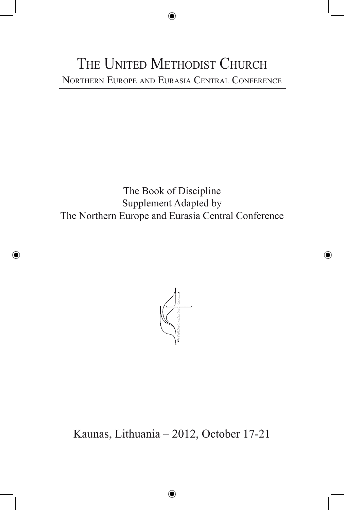# THE UNITED METHODIST CHURCH Northern Europe and Eurasia Central Conference

## The Book of Discipline Supplement Adapted by The Northern Europe and Eurasia Central Conference



Kaunas, Lithuania – 2012, October 17-21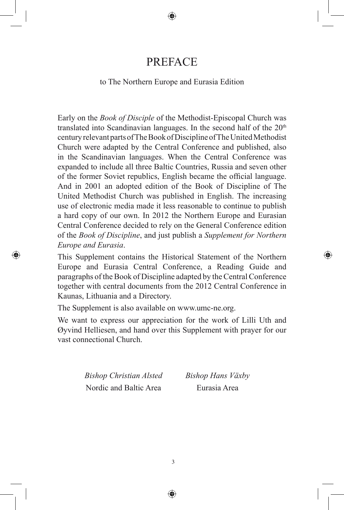## **PREFACE**

#### to The Northern Europe and Eurasia Edition

Early on the *Book of Disciple* of the Methodist-Episcopal Church was translated into Scandinavian languages. In the second half of the  $20<sup>th</sup>$ century relevant parts of The Book of Discipline of The United Methodist Church were adapted by the Central Conference and published, also in the Scandinavian languages. When the Central Conference was expanded to include all three Baltic Countries, Russia and seven other of the former Soviet republics, English became the official language. And in 2001 an adopted edition of the Book of Discipline of The United Methodist Church was published in English. The increasing use of electronic media made it less reasonable to continue to publish a hard copy of our own. In 2012 the Northern Europe and Eurasian Central Conference decided to rely on the General Conference edition of the *Book of Discipline*, and just publish a *Supplement for Northern Europe and Eurasia*.

This Supplement contains the Historical Statement of the Northern Europe and Eurasia Central Conference, a Reading Guide and paragraphs of the Book of Discipline adapted by the Central Conference together with central documents from the 2012 Central Conference in Kaunas, Lithuania and a Directory.

The Supplement is also available on www.umc-ne.org.

We want to express our appreciation for the work of Lilli Uth and Øyvind Helliesen, and hand over this Supplement with prayer for our vast connectional Church.

> *Bishop Christian Alsted Bishop Hans Växby* Nordic and Baltic Area Eurasia Area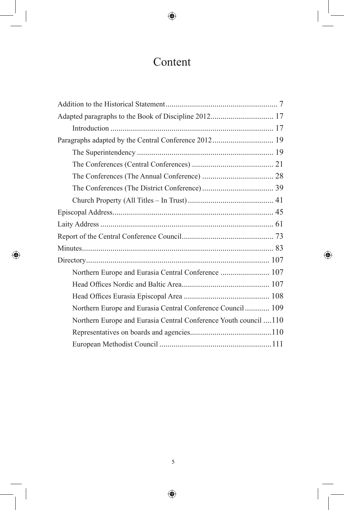## Content

| Northern Europe and Eurasia Central Conference Council 109       |  |
|------------------------------------------------------------------|--|
| Northern Europe and Eurasia Central Conference Youth council 110 |  |
|                                                                  |  |
|                                                                  |  |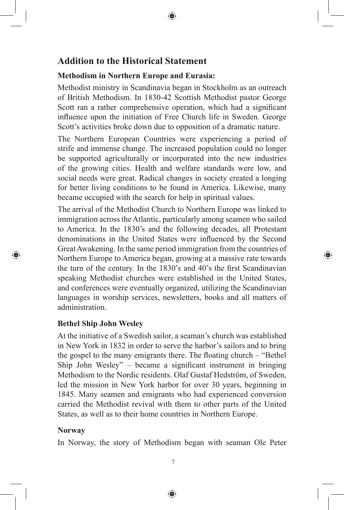### **Addition to the Historical Statement**

#### **Methodism in Northern Europe and Eurasia:**

Methodist ministry in Scandinavia began in Stockholm as an outreach of British Methodism. In 1830-42 Scottish Methodist pastor George Scott ran a rather comprehensive operation, which had a significant influence upon the initiation of Free Church life in Sweden. George Scott's activities broke down due to opposition of a dramatic nature.

The Northern European Countries were experiencing a period of strife and immense change. The increased population could no longer be supported agriculturally or incorporated into the new industries of the growing cities. Health and welfare standards were low, and social needs were great. Radical changes in society created a longing for better living conditions to be found in America. Likewise, many became occupied with the search for help in spiritual values.

The arrival of the Methodist Church to Northern Europe was linked to immigration across the Atlantic, particularly among seamen who sailed to America. In the 1830's and the following decades, all Protestant denominations in the United States were influenced by the Second Great Awakening. In the same period immigration from the countries of Northern Europe to America began, growing at a massive rate towards the turn of the century. In the 1830's and 40's the first Scandinavian speaking Methodist churches were established in the United States, and conferences were eventually organized, utilizing the Scandinavian languages in worship services, newsletters, books and all matters of administration.

#### **Bethel Ship John Wesley**

At the initiative of a Swedish sailor, a seaman's church was established in New York in 1832 in order to serve the harbor's sailors and to bring the gospel to the many emigrants there. The floating church – "Bethel Ship John Wesley" – became a significant instrument in bringing Methodism to the Nordic residents. Olaf Gustaf Hedström, of Sweden, led the mission in New York harbor for over 30 years, beginning in 1845. Many seamen and emigrants who had experienced conversion carried the Methodist revival with them to other parts of the United States, as well as to their home countries in Northern Europe.

#### **Norway**

In Norway, the story of Methodism began with seaman Ole Peter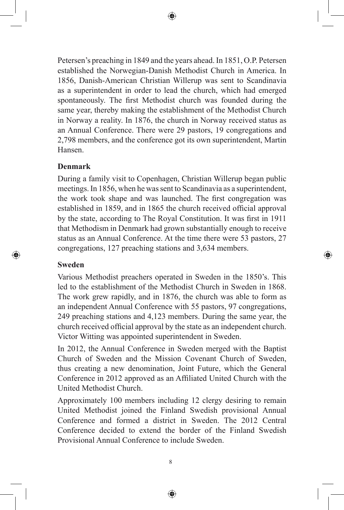Petersen's preaching in 1849 and the years ahead. In 1851, O.P. Petersen established the Norwegian-Danish Methodist Church in America. In 1856, Danish-American Christian Willerup was sent to Scandinavia as a superintendent in order to lead the church, which had emerged spontaneously. The first Methodist church was founded during the same year, thereby making the establishment of the Methodist Church in Norway a reality. In 1876, the church in Norway received status as an Annual Conference. There were 29 pastors, 19 congregations and 2,798 members, and the conference got its own superintendent, Martin Hansen.

#### **Denmark**

During a family visit to Copenhagen, Christian Willerup began public meetings. In 1856, when he was sent to Scandinavia as a superintendent, the work took shape and was launched. The first congregation was established in 1859, and in 1865 the church received official approval by the state, according to The Royal Constitution. It was first in 1911 that Methodism in Denmark had grown substantially enough to receive status as an Annual Conference. At the time there were 53 pastors, 27 congregations, 127 preaching stations and 3,634 members.

#### **Sweden**

Various Methodist preachers operated in Sweden in the 1850's. This led to the establishment of the Methodist Church in Sweden in 1868. The work grew rapidly, and in 1876, the church was able to form as an independent Annual Conference with 55 pastors, 97 congregations, 249 preaching stations and 4,123 members. During the same year, the church received official approval by the state as an independent church. Victor Witting was appointed superintendent in Sweden.

In 2012, the Annual Conference in Sweden merged with the Baptist Church of Sweden and the Mission Covenant Church of Sweden, thus creating a new denomination, Joint Future, which the General Conference in 2012 approved as an Affiliated United Church with the United Methodist Church.

Approximately 100 members including 12 clergy desiring to remain United Methodist joined the Finland Swedish provisional Annual Conference and formed a district in Sweden. The 2012 Central Conference decided to extend the border of the Finland Swedish Provisional Annual Conference to include Sweden.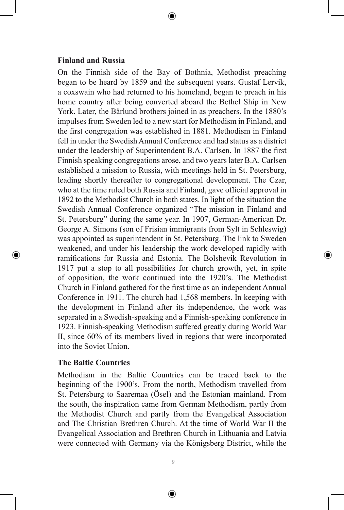#### **Finland and Russia**

On the Finnish side of the Bay of Bothnia, Methodist preaching began to be heard by 1859 and the subsequent years. Gustaf Lervik, a coxswain who had returned to his homeland, began to preach in his home country after being converted aboard the Bethel Ship in New York. Later, the Bärlund brothers joined in as preachers. In the 1880's impulses from Sweden led to a new start for Methodism in Finland, and the first congregation was established in 1881. Methodism in Finland fell in under the Swedish Annual Conference and had status as a district under the leadership of Superintendent B.A. Carlsen. In 1887 the first Finnish speaking congregations arose, and two years later B.A. Carlsen established a mission to Russia, with meetings held in St. Petersburg, leading shortly thereafter to congregational development. The Czar, who at the time ruled both Russia and Finland, gave official approval in 1892 to the Methodist Church in both states. In light of the situation the Swedish Annual Conference organized "The mission in Finland and St. Petersburg" during the same year. In 1907, German-American Dr. George A. Simons (son of Frisian immigrants from Sylt in Schleswig) was appointed as superintendent in St. Petersburg. The link to Sweden weakened, and under his leadership the work developed rapidly with ramifications for Russia and Estonia. The Bolshevik Revolution in 1917 put a stop to all possibilities for church growth, yet, in spite of opposition, the work continued into the 1920's. The Methodist Church in Finland gathered for the first time as an independent Annual Conference in 1911. The church had 1,568 members. In keeping with the development in Finland after its independence, the work was separated in a Swedish-speaking and a Finnish-speaking conference in 1923. Finnish-speaking Methodism suffered greatly during World War II, since 60% of its members lived in regions that were incorporated into the Soviet Union.

#### **The Baltic Countries**

Methodism in the Baltic Countries can be traced back to the beginning of the 1900's. From the north, Methodism travelled from St. Petersburg to Saaremaa (Ösel) and the Estonian mainland. From the south, the inspiration came from German Methodism, partly from the Methodist Church and partly from the Evangelical Association and The Christian Brethren Church. At the time of World War II the Evangelical Association and Brethren Church in Lithuania and Latvia were connected with Germany via the Königsberg District, while the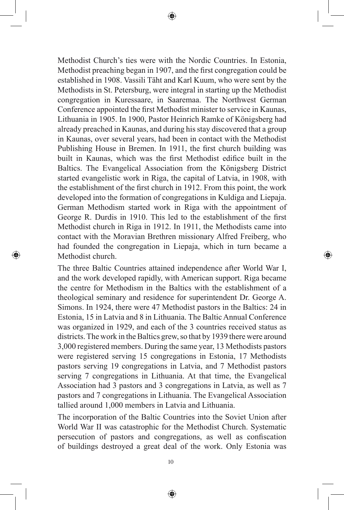Methodist Church's ties were with the Nordic Countries. In Estonia, Methodist preaching began in 1907, and the first congregation could be established in 1908. Vassili Täht and Karl Kuum, who were sent by the Methodists in St. Petersburg, were integral in starting up the Methodist congregation in Kuressaare, in Saaremaa. The Northwest German Conference appointed the first Methodist minister to service in Kaunas, Lithuania in 1905. In 1900, Pastor Heinrich Ramke of Königsberg had already preached in Kaunas, and during his stay discovered that a group in Kaunas, over several years, had been in contact with the Methodist Publishing House in Bremen. In 1911, the first church building was built in Kaunas, which was the first Methodist edifice built in the Baltics. The Evangelical Association from the Königsberg District started evangelistic work in Riga, the capital of Latvia, in 1908, with the establishment of the first church in 1912. From this point, the work developed into the formation of congregations in Kuldiga and Liepaja. German Methodism started work in Riga with the appointment of George R. Durdis in 1910. This led to the establishment of the first Methodist church in Riga in 1912. In 1911, the Methodists came into contact with the Moravian Brethren missionary Alfred Freiberg, who had founded the congregation in Liepaja, which in turn became a Methodist church.

The three Baltic Countries attained independence after World War I, and the work developed rapidly, with American support. Riga became the centre for Methodism in the Baltics with the establishment of a theological seminary and residence for superintendent Dr. George A. Simons. In 1924, there were 47 Methodist pastors in the Baltics: 24 in Estonia, 15 in Latvia and 8 in Lithuania. The Baltic Annual Conference was organized in 1929, and each of the 3 countries received status as districts. The work in the Baltics grew, so that by 1939 there were around 3,000 registered members. During the same year, 13 Methodists pastors were registered serving 15 congregations in Estonia, 17 Methodists pastors serving 19 congregations in Latvia, and 7 Methodist pastors serving 7 congregations in Lithuania. At that time, the Evangelical Association had 3 pastors and 3 congregations in Latvia, as well as 7 pastors and 7 congregations in Lithuania. The Evangelical Association tallied around 1,000 members in Latvia and Lithuania.

The incorporation of the Baltic Countries into the Soviet Union after World War II was catastrophic for the Methodist Church. Systematic persecution of pastors and congregations, as well as confiscation of buildings destroyed a great deal of the work. Only Estonia was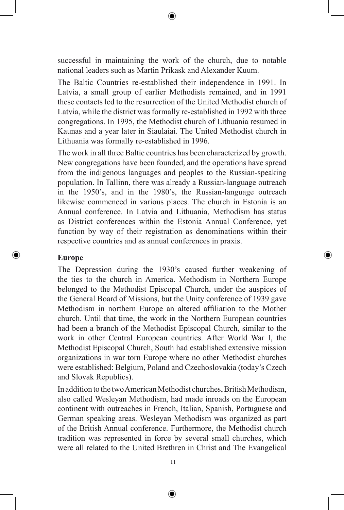successful in maintaining the work of the church, due to notable national leaders such as Martin Prikask and Alexander Kuum.

The Baltic Countries re-established their independence in 1991. In Latvia, a small group of earlier Methodists remained, and in 1991 these contacts led to the resurrection of the United Methodist church of Latvia, while the district was formally re-established in 1992 with three congregations. In 1995, the Methodist church of Lithuania resumed in Kaunas and a year later in Siaulaiai. The United Methodist church in Lithuania was formally re-established in 1996.

The work in all three Baltic countries has been characterized by growth. New congregations have been founded, and the operations have spread from the indigenous languages and peoples to the Russian-speaking population. In Tallinn, there was already a Russian-language outreach in the 1950's, and in the 1980's, the Russian-language outreach likewise commenced in various places. The church in Estonia is an Annual conference. In Latvia and Lithuania, Methodism has status as District conferences within the Estonia Annual Conference, yet function by way of their registration as denominations within their respective countries and as annual conferences in praxis.

#### **Europe**

The Depression during the 1930's caused further weakening of the ties to the church in America. Methodism in Northern Europe belonged to the Methodist Episcopal Church, under the auspices of the General Board of Missions, but the Unity conference of 1939 gave Methodism in northern Europe an altered affiliation to the Mother church. Until that time, the work in the Northern European countries had been a branch of the Methodist Episcopal Church, similar to the work in other Central European countries. After World War I, the Methodist Episcopal Church, South had established extensive mission organizations in war torn Europe where no other Methodist churches were established: Belgium, Poland and Czechoslovakia (today's Czech and Slovak Republics).

In addition to the two American Methodist churches, British Methodism, also called Wesleyan Methodism, had made inroads on the European continent with outreaches in French, Italian, Spanish, Portuguese and German speaking areas. Wesleyan Methodism was organized as part of the British Annual conference. Furthermore, the Methodist church tradition was represented in force by several small churches, which were all related to the United Brethren in Christ and The Evangelical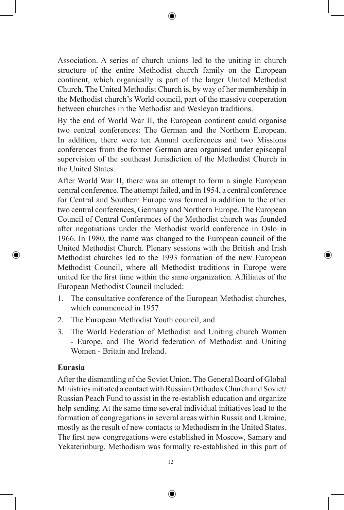Association. A series of church unions led to the uniting in church structure of the entire Methodist church family on the European continent, which organically is part of the larger United Methodist Church. The United Methodist Church is, by way of her membership in the Methodist church's World council, part of the massive cooperation between churches in the Methodist and Wesleyan traditions.

By the end of World War II, the European continent could organise two central conferences: The German and the Northern European. In addition, there were ten Annual conferences and two Missions conferences from the former German area organised under episcopal supervision of the southeast Jurisdiction of the Methodist Church in the United States.

After World War II, there was an attempt to form a single European central conference. The attempt failed, and in 1954, a central conference for Central and Southern Europe was formed in addition to the other two central conferences, Germany and Northern Europe. The European Council of Central Conferences of the Methodist church was founded after negotiations under the Methodist world conference in Oslo in 1966. In 1980, the name was changed to the European council of the United Methodist Church. Plenary sessions with the British and Irish Methodist churches led to the 1993 formation of the new European Methodist Council, where all Methodist traditions in Europe were united for the first time within the same organization. Affiliates of the European Methodist Council included:

- 1. The consultative conference of the European Methodist churches, which commenced in 1957
- 2. The European Methodist Youth council, and
- 3. The World Federation of Methodist and Uniting church Women - Europe, and The World federation of Methodist and Uniting Women - Britain and Ireland.

#### **Eurasia**

After the dismantling of the Soviet Union, The General Board of Global Ministries initiated a contact with Russian Orthodox Church and Soviet/ Russian Peach Fund to assist in the re-establish education and organize help sending. At the same time several individual initiatives lead to the formation of congregations in several areas within Russia and Ukraine, mostly as the result of new contacts to Methodism in the United States. The first new congregations were established in Moscow, Samary and Yekaterinburg. Methodism was formally re-established in this part of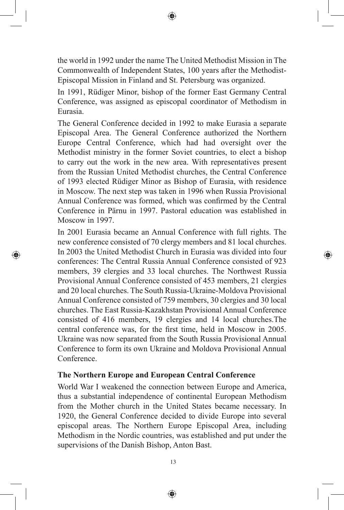the world in 1992 under the name The United Methodist Mission in The Commonwealth of Independent States, 100 years after the Methodist-Episcopal Mission in Finland and St. Petersburg was organized.

In 1991, Rüdiger Minor, bishop of the former East Germany Central Conference, was assigned as episcopal coordinator of Methodism in Eurasia.

The General Conference decided in 1992 to make Eurasia a separate Episcopal Area. The General Conference authorized the Northern Europe Central Conference, which had had oversight over the Methodist ministry in the former Soviet countries, to elect a bishop to carry out the work in the new area. With representatives present from the Russian United Methodist churches, the Central Conference of 1993 elected Rüdiger Minor as Bishop of Eurasia, with residence in Moscow. The next step was taken in 1996 when Russia Provisional Annual Conference was formed, which was confirmed by the Central Conference in Pärnu in 1997. Pastoral education was established in Moscow in 1997.

In 2001 Eurasia became an Annual Conference with full rights. The new conference consisted of 70 clergy members and 81 local churches. In 2003 the United Methodist Church in Eurasia was divided into four conferences: The Central Russia Annual Conference consisted of 923 members, 39 clergies and 33 local churches. The Northwest Russia Provisional Annual Conference consisted of 453 members, 21 clergies and 20 local churches. The South Russia-Ukraine-Moldova Provisional Annual Conference consisted of 759 members, 30 clergies and 30 local churches. The East Russia-Kazakhstan Provisional Annual Conference consisted of 416 members, 19 clergies and 14 local churches.The central conference was, for the first time, held in Moscow in 2005. Ukraine was now separated from the South Russia Provisional Annual Conference to form its own Ukraine and Moldova Provisional Annual Conference.

#### **The Northern Europe and European Central Conference**

World War I weakened the connection between Europe and America, thus a substantial independence of continental European Methodism from the Mother church in the United States became necessary. In 1920, the General Conference decided to divide Europe into several episcopal areas. The Northern Europe Episcopal Area, including Methodism in the Nordic countries, was established and put under the supervisions of the Danish Bishop, Anton Bast.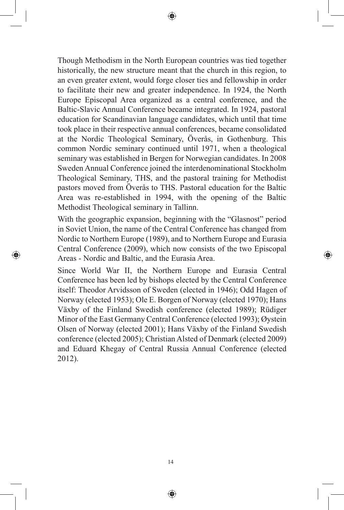Though Methodism in the North European countries was tied together historically, the new structure meant that the church in this region, to an even greater extent, would forge closer ties and fellowship in order to facilitate their new and greater independence. In 1924, the North Europe Episcopal Area organized as a central conference, and the Baltic-Slavic Annual Conference became integrated. In 1924, pastoral education for Scandinavian language candidates, which until that time took place in their respective annual conferences, became consolidated at the Nordic Theological Seminary, Överås, in Gothenburg. This common Nordic seminary continued until 1971, when a theological seminary was established in Bergen for Norwegian candidates. In 2008 Sweden Annual Conference joined the interdenominational Stockholm Theological Seminary, THS, and the pastoral training for Methodist pastors moved from Överås to THS. Pastoral education for the Baltic Area was re-established in 1994, with the opening of the Baltic Methodist Theological seminary in Tallinn.

With the geographic expansion, beginning with the "Glasnost" period in Soviet Union, the name of the Central Conference has changed from Nordic to Northern Europe (1989), and to Northern Europe and Eurasia Central Conference (2009), which now consists of the two Episcopal Areas - Nordic and Baltic, and the Eurasia Area.

Since World War II, the Northern Europe and Eurasia Central Conference has been led by bishops elected by the Central Conference itself: Theodor Arvidsson of Sweden (elected in 1946); Odd Hagen of Norway (elected 1953); Ole E. Borgen of Norway (elected 1970); Hans Växby of the Finland Swedish conference (elected 1989); Rüdiger Minor of the East Germany Central Conference (elected 1993); Øystein Olsen of Norway (elected 2001); Hans Växby of the Finland Swedish conference (elected 2005); Christian Alsted of Denmark (elected 2009) and Eduard Khegay of Central Russia Annual Conference (elected 2012).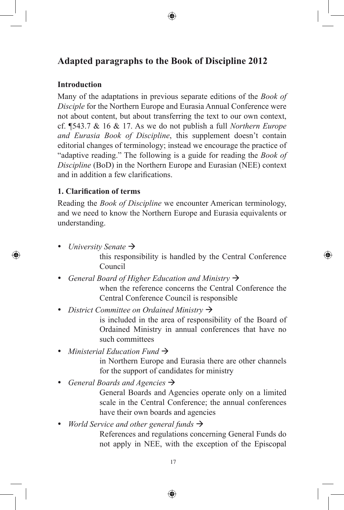## **Adapted paragraphs to the Book of Discipline 2012**

#### **Introduction**

Many of the adaptations in previous separate editions of the *Book of Disciple* for the Northern Europe and Eurasia Annual Conference were not about content, but about transferring the text to our own context, cf. ¶543.7 & 16 & 17. As we do not publish a full *Northern Europe and Eurasia Book of Discipline*, this supplement doesn't contain editorial changes of terminology; instead we encourage the practice of "adaptive reading." The following is a guide for reading the *Book of Discipline* (BoD) in the Northern Europe and Eurasian (NEE) context and in addition a few clarifications.

#### **1. Clarification of terms**

Reading the *Book of Discipline* we encounter American terminology, and we need to know the Northern Europe and Eurasia equivalents or understanding.

• *University Senate*  $\rightarrow$ 

this responsibility is handled by the Central Conference Council

- *General Board of Higher Education and Ministry*  $\rightarrow$ when the reference concerns the Central Conference the Central Conference Council is responsible
- District Committee on Ordained Ministry  $\rightarrow$

is included in the area of responsibility of the Board of Ordained Ministry in annual conferences that have no such committees

• *Ministerial Education Fund*  $\rightarrow$ 

in Northern Europe and Eurasia there are other channels for the support of candidates for ministry

• *General Boards and Agencies*  $\rightarrow$ 

General Boards and Agencies operate only on a limited scale in the Central Conference; the annual conferences have their own boards and agencies

• *World Service and other general funds*  $\rightarrow$ 

References and regulations concerning General Funds do not apply in NEE, with the exception of the Episcopal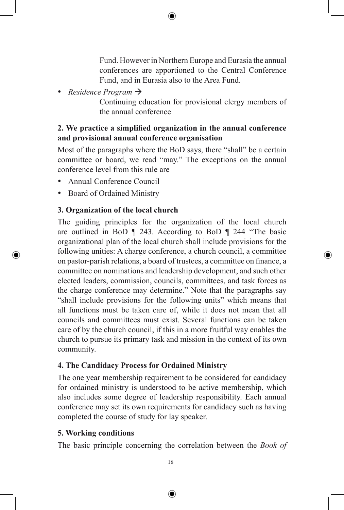Fund. However in Northern Europe and Eurasia the annual conferences are apportioned to the Central Conference Fund, and in Eurasia also to the Area Fund.

• *Residence Program*  $\rightarrow$ 

Continuing education for provisional clergy members of the annual conference

#### **2. We practice a simplified organization in the annual conference and provisional annual conference organisation**

Most of the paragraphs where the BoD says, there "shall" be a certain committee or board, we read "may." The exceptions on the annual conference level from this rule are

- Annual Conference Council
- Board of Ordained Ministry

#### **3. Organization of the local church**

The guiding principles for the organization of the local church are outlined in BoD ¶ 243. According to BoD ¶ 244 "The basic organizational plan of the local church shall include provisions for the following unities: A charge conference, a church council, a committee on pastor-parish relations, a board of trustees, a committee on finance, a committee on nominations and leadership development, and such other elected leaders, commission, councils, committees, and task forces as the charge conference may determine." Note that the paragraphs say "shall include provisions for the following units" which means that all functions must be taken care of, while it does not mean that all councils and committees must exist. Several functions can be taken care of by the church council, if this in a more fruitful way enables the church to pursue its primary task and mission in the context of its own community.

#### **4. The Candidacy Process for Ordained Ministry**

The one year membership requirement to be considered for candidacy for ordained ministry is understood to be active membership, which also includes some degree of leadership responsibility. Each annual conference may set its own requirements for candidacy such as having completed the course of study for lay speaker.

#### **5. Working conditions**

The basic principle concerning the correlation between the *Book of*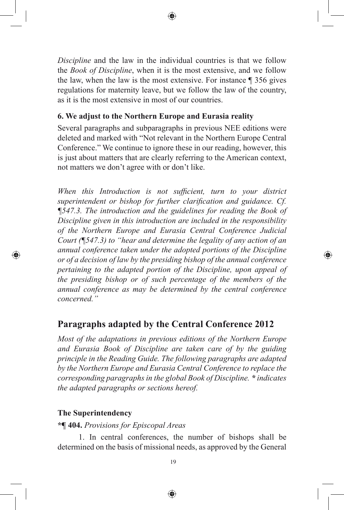*Discipline* and the law in the individual countries is that we follow the *Book of Discipline*, when it is the most extensive, and we follow the law, when the law is the most extensive. For instance ¶ 356 gives regulations for maternity leave, but we follow the law of the country, as it is the most extensive in most of our countries.

#### **6. We adjust to the Northern Europe and Eurasia reality**

Several paragraphs and subparagraphs in previous NEE editions were deleted and marked with "Not relevant in the Northern Europe Central Conference." We continue to ignore these in our reading, however, this is just about matters that are clearly referring to the American context, not matters we don't agree with or don't like.

*When this Introduction is not sufficient, turn to your district superintendent or bishop for further clarification and guidance. Cf. ¶547.3. The introduction and the guidelines for reading the Book of Discipline given in this introduction are included in the responsibility of the Northern Europe and Eurasia Central Conference Judicial Court (¶547.3) to "hear and determine the legality of any action of an annual conference taken under the adopted portions of the Discipline or of a decision of law by the presiding bishop of the annual conference pertaining to the adapted portion of the Discipline, upon appeal of the presiding bishop or of such percentage of the members of the annual conference as may be determined by the central conference concerned."*

### **Paragraphs adapted by the Central Conference 2012**

*Most of the adaptations in previous editions of the Northern Europe and Eurasia Book of Discipline are taken care of by the guiding principle in the Reading Guide. The following paragraphs are adapted by the Northern Europe and Eurasia Central Conference to replace the corresponding paragraphs in the global Book of Discipline. \* indicates the adapted paragraphs or sections hereof.*

#### **The Superintendency**

#### **\*¶ 404.** *Provisions for Episcopal Areas*

1. In central conferences, the number of bishops shall be determined on the basis of missional needs, as approved by the General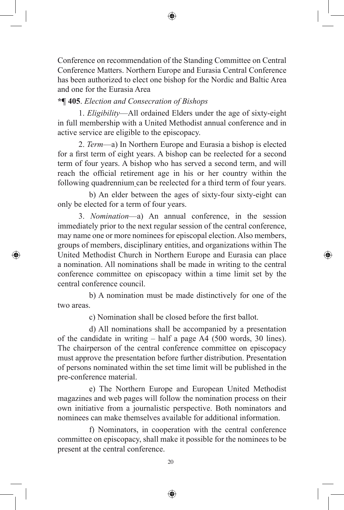Conference on recommendation of the Standing Committee on Central Conference Matters. Northern Europe and Eurasia Central Conference has been authorized to elect one bishop for the Nordic and Baltic Area and one for the Eurasia Area

#### **\*¶ 405**. *Election and Consecration of Bishops*

1. *Eligibility*—All ordained Elders under the age of sixty-eight in full membership with a United Methodist annual conference and in active service are eligible to the episcopacy.

2. *Term*—a) In Northern Europe and Eurasia a bishop is elected for a first term of eight years. A bishop can be reelected for a second term of four years. A bishop who has served a second term, and will reach the official retirement age in his or her country within the following quadrennium can be reelected for a third term of four years.

b) An elder between the ages of sixty-four sixty-eight can only be elected for a term of four years.

3. *Nomination*—a) An annual conference, in the session immediately prior to the next regular session of the central conference, may name one or more nominees for episcopal election. Also members, groups of members, disciplinary entities, and organizations within The United Methodist Church in Northern Europe and Eurasia can place a nomination. All nominations shall be made in writing to the central conference committee on episcopacy within a time limit set by the central conference council.

b) A nomination must be made distinctively for one of the two areas.

c) Nomination shall be closed before the first ballot.

d) All nominations shall be accompanied by a presentation of the candidate in writing – half a page A4 (500 words, 30 lines). The chairperson of the central conference committee on episcopacy must approve the presentation before further distribution. Presentation of persons nominated within the set time limit will be published in the pre-conference material.

e) The Northern Europe and European United Methodist magazines and web pages will follow the nomination process on their own initiative from a journalistic perspective. Both nominators and nominees can make themselves available for additional information.

f) Nominators, in cooperation with the central conference committee on episcopacy, shall make it possible for the nominees to be present at the central conference.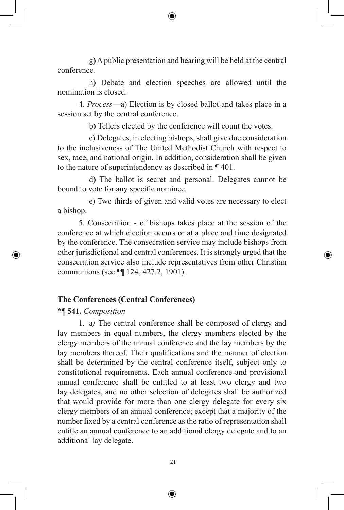g) A public presentation and hearing will be held at the central conference.

h) Debate and election speeches are allowed until the nomination is closed.

4. *Process*—a) Election is by closed ballot and takes place in a session set by the central conference.

b) Tellers elected by the conference will count the votes.

c) Delegates, in electing bishops, shall give due consideration to the inclusiveness of The United Methodist Church with respect to sex, race, and national origin. In addition, consideration shall be given to the nature of superintendency as described in ¶ 401.

d) The ballot is secret and personal. Delegates cannot be bound to vote for any specific nominee.

e) Two thirds of given and valid votes are necessary to elect a bishop.

5. Consecration - of bishops takes place at the session of the conference at which election occurs or at a place and time designated by the conference. The consecration service may include bishops from other jurisdictional and central conferences. It is strongly urged that the consecration service also include representatives from other Christian communions (see ¶¶ 124, 427.2, 1901).

#### **The Conferences (Central Conferences)**

#### **\***¶ **541.** *Composition*

1. a*)* The central conference shall be composed of clergy and lay members in equal numbers, the clergy members elected by the clergy members of the annual conference and the lay members by the lay members thereof. Their qualifications and the manner of election shall be determined by the central conference itself, subject only to constitutional requirements. Each annual conference and provisional annual conference shall be entitled to at least two clergy and two lay delegates, and no other selection of delegates shall be authorized that would provide for more than one clergy delegate for every six clergy members of an annual conference; except that a majority of the number fixed by a central conference as the ratio of representation shall entitle an annual conference to an additional clergy delegate and to an additional lay delegate.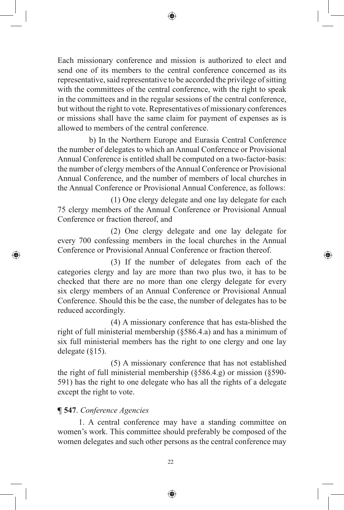Each missionary conference and mission is authorized to elect and send one of its members to the central conference concerned as its representative, said representative to be accorded the privilege of sitting with the committees of the central conference, with the right to speak in the committees and in the regular sessions of the central conference, but without the right to vote. Representatives of missionary conferences or missions shall have the same claim for payment of expenses as is allowed to members of the central conference.

b) In the Northern Europe and Eurasia Central Conference the number of delegates to which an Annual Conference or Provisional Annual Conference is entitled shall be computed on a two-factor-basis: the number of clergy members of the Annual Conference or Provisional Annual Conference, and the number of members of local churches in the Annual Conference or Provisional Annual Conference, as follows:

(1) One clergy delegate and one lay delegate for each 75 clergy members of the Annual Conference or Provisional Annual Conference or fraction thereof, and

(2) One clergy delegate and one lay delegate for every 700 confessing members in the local churches in the Annual Conference or Provisional Annual Conference or fraction thereof.

(3) If the number of delegates from each of the categories clergy and lay are more than two plus two, it has to be checked that there are no more than one clergy delegate for every six clergy members of an Annual Conference or Provisional Annual Conference. Should this be the case, the number of delegates has to be reduced accordingly.

(4) A missionary conference that has esta-blished the right of full ministerial membership (§586.4.a) and has a minimum of six full ministerial members has the right to one clergy and one lay delegate (§15).

(5) A missionary conference that has not established the right of full ministerial membership (§586.4.g) or mission (§590- 591) has the right to one delegate who has all the rights of a delegate except the right to vote.

#### **¶ 547**. *Conference Agencies*

1. A central conference may have a standing committee on women's work. This committee should preferably be composed of the women delegates and such other persons as the central conference may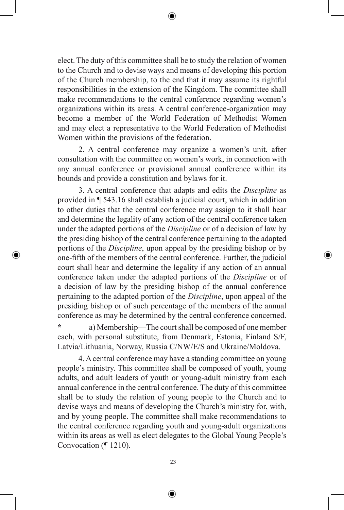elect. The duty of this committee shall be to study the relation of women to the Church and to devise ways and means of developing this portion of the Church membership, to the end that it may assume its rightful responsibilities in the extension of the Kingdom. The committee shall make recommendations to the central conference regarding women's organizations within its areas. A central conference-organization may become a member of the World Federation of Methodist Women and may elect a representative to the World Federation of Methodist Women within the provisions of the federation.

2. A central conference may organize a women's unit, after consultation with the committee on women's work, in connection with any annual conference or provisional annual conference within its bounds and provide a constitution and bylaws for it.

3. A central conference that adapts and edits the *Discipline* as provided in ¶ 543.16 shall establish a judicial court, which in addition to other duties that the central conference may assign to it shall hear and determine the legality of any action of the central conference taken under the adapted portions of the *Discipline* or of a decision of law by the presiding bishop of the central conference pertaining to the adapted portions of the *Discipline*, upon appeal by the presiding bishop or by one-fifth of the members of the central conference. Further, the judicial court shall hear and determine the legality if any action of an annual conference taken under the adapted portions of the *Discipline* or of a decision of law by the presiding bishop of the annual conference pertaining to the adapted portion of the *Discipline*, upon appeal of the presiding bishop or of such percentage of the members of the annual conference as may be determined by the central conference concerned.

**\*** a) Membership—The court shall be composed of one member each, with personal substitute, from Denmark, Estonia, Finland S/F, Latvia/Lithuania, Norway, Russia C/NW/E/S and Ukraine/Moldova.

4. A central conference may have a standing committee on young people's ministry. This committee shall be composed of youth, young adults, and adult leaders of youth or young-adult ministry from each annual conference in the central conference. The duty of this committee shall be to study the relation of young people to the Church and to devise ways and means of developing the Church's ministry for, with, and by young people. The committee shall make recommendations to the central conference regarding youth and young-adult organizations within its areas as well as elect delegates to the Global Young People's Convocation (¶ 1210).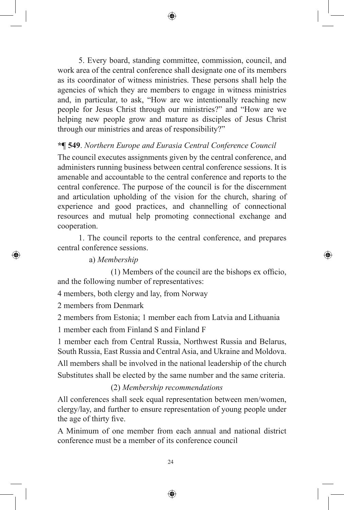5. Every board, standing committee, commission, council, and work area of the central conference shall designate one of its members as its coordinator of witness ministries. These persons shall help the agencies of which they are members to engage in witness ministries and, in particular, to ask, "How are we intentionally reaching new people for Jesus Christ through our ministries?" and "How are we helping new people grow and mature as disciples of Jesus Christ through our ministries and areas of responsibility?"

#### **\*¶ 549**. *Northern Europe and Eurasia Central Conference Council*

The council executes assignments given by the central conference, and administers running business between central conference sessions. It is amenable and accountable to the central conference and reports to the central conference. The purpose of the council is for the discernment and articulation upholding of the vision for the church, sharing of experience and good practices, and channelling of connectional resources and mutual help promoting connectional exchange and cooperation.

1. The council reports to the central conference, and prepares central conference sessions.

a) *Membership*

(1) Members of the council are the bishops ex officio, and the following number of representatives:

4 members, both clergy and lay, from Norway

2 members from Denmark

2 members from Estonia; 1 member each from Latvia and Lithuania

1 member each from Finland S and Finland F

1 member each from Central Russia, Northwest Russia and Belarus, South Russia, East Russia and Central Asia, and Ukraine and Moldova. All members shall be involved in the national leadership of the church Substitutes shall be elected by the same number and the same criteria.

#### (2) *Membership recommendations*

All conferences shall seek equal representation between men/women, clergy/lay, and further to ensure representation of young people under the age of thirty five.

A Minimum of one member from each annual and national district conference must be a member of its conference council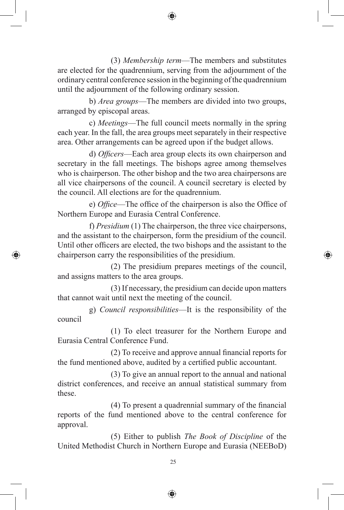(3) *Membership term*—The members and substitutes are elected for the quadrennium, serving from the adjournment of the ordinary central conference session in the beginning of the quadrennium until the adjournment of the following ordinary session.

b) *Area groups*—The members are divided into two groups, arranged by episcopal areas.

c) *Meetings*—The full council meets normally in the spring each year. In the fall, the area groups meet separately in their respective area. Other arrangements can be agreed upon if the budget allows.

d) *Officers*—Each area group elects its own chairperson and secretary in the fall meetings. The bishops agree among themselves who is chairperson. The other bishop and the two area chairpersons are all vice chairpersons of the council. A council secretary is elected by the council. All elections are for the quadrennium.

e) *Office*—The office of the chairperson is also the Office of Northern Europe and Eurasia Central Conference.

f) *Presidium* (1) The chairperson, the three vice chairpersons, and the assistant to the chairperson, form the presidium of the council. Until other officers are elected, the two bishops and the assistant to the chairperson carry the responsibilities of the presidium.

(2) The presidium prepares meetings of the council, and assigns matters to the area groups.

(3) If necessary, the presidium can decide upon matters that cannot wait until next the meeting of the council.

g) *Council responsibilities*—It is the responsibility of the council

(1) To elect treasurer for the Northern Europe and Eurasia Central Conference Fund.

(2) To receive and approve annual financial reports for the fund mentioned above, audited by a certified public accountant.

(3) To give an annual report to the annual and national district conferences, and receive an annual statistical summary from these.

(4) To present a quadrennial summary of the financial reports of the fund mentioned above to the central conference for approval.

(5) Either to publish *The Book of Discipline* of the United Methodist Church in Northern Europe and Eurasia (NEEBoD)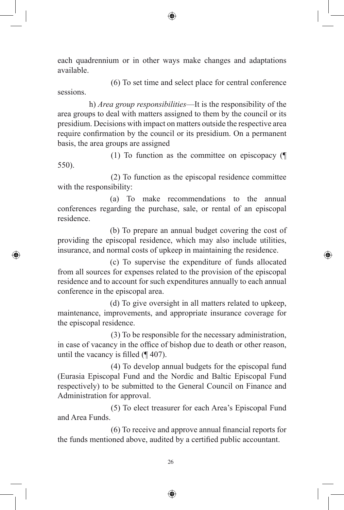each quadrennium or in other ways make changes and adaptations available.

(6) To set time and select place for central conference sessions.

h) *Area group responsibilities*—It is the responsibility of the area groups to deal with matters assigned to them by the council or its presidium. Decisions with impact on matters outside the respective area require confirmation by the council or its presidium. On a permanent basis, the area groups are assigned

(1) To function as the committee on episcopacy  $($ 550).

(2) To function as the episcopal residence committee with the responsibility:

(a) To make recommendations to the annual conferences regarding the purchase, sale, or rental of an episcopal residence.

(b) To prepare an annual budget covering the cost of providing the episcopal residence, which may also include utilities, insurance, and normal costs of upkeep in maintaining the residence.

(c) To supervise the expenditure of funds allocated from all sources for expenses related to the provision of the episcopal residence and to account for such expenditures annually to each annual conference in the episcopal area.

(d) To give oversight in all matters related to upkeep, maintenance, improvements, and appropriate insurance coverage for the episcopal residence.

(3) To be responsible for the necessary administration, in case of vacancy in the office of bishop due to death or other reason, until the vacancy is filled (¶ 407).

(4) To develop annual budgets for the episcopal fund (Eurasia Episcopal Fund and the Nordic and Baltic Episcopal Fund respectively) to be submitted to the General Council on Finance and Administration for approval.

(5) To elect treasurer for each Area's Episcopal Fund and Area Funds.

(6) To receive and approve annual financial reports for the funds mentioned above, audited by a certified public accountant.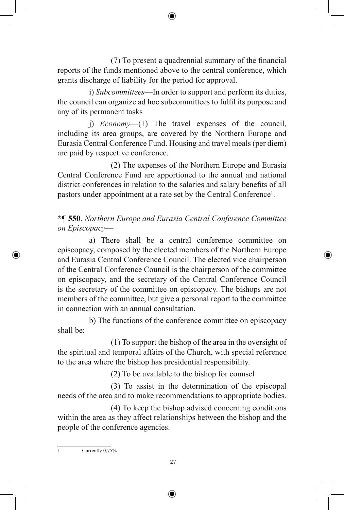(7) To present a quadrennial summary of the financial reports of the funds mentioned above to the central conference, which grants discharge of liability for the period for approval.

i) *Subcommittees*—In order to support and perform its duties, the council can organize ad hoc subcommittees to fulfil its purpose and any of its permanent tasks

j) *Economy*—(1) The travel expenses of the council, including its area groups, are covered by the Northern Europe and Eurasia Central Conference Fund. Housing and travel meals (per diem) are paid by respective conference.

(2) The expenses of the Northern Europe and Eurasia Central Conference Fund are apportioned to the annual and national district conferences in relation to the salaries and salary benefits of all pastors under appointment at a rate set by the Central Conference<sup>1</sup>.

**\*¶ 550**. *Northern Europe and Eurasia Central Conference Committee on Episcopacy*—

a) There shall be a central conference committee on episcopacy, composed by the elected members of the Northern Europe and Eurasia Central Conference Council. The elected vice chairperson of the Central Conference Council is the chairperson of the committee on episcopacy, and the secretary of the Central Conference Council is the secretary of the committee on episcopacy. The bishops are not members of the committee, but give a personal report to the committee in connection with an annual consultation.

b) The functions of the conference committee on episcopacy shall be:

(1) To support the bishop of the area in the oversight of the spiritual and temporal affairs of the Church, with special reference to the area where the bishop has presidential responsibility.

(2) To be available to the bishop for counsel

(3) To assist in the determination of the episcopal needs of the area and to make recommendations to appropriate bodies.

(4) To keep the bishop advised concerning conditions within the area as they affect relationships between the bishop and the people of the conference agencies.

1 Currently 0,75%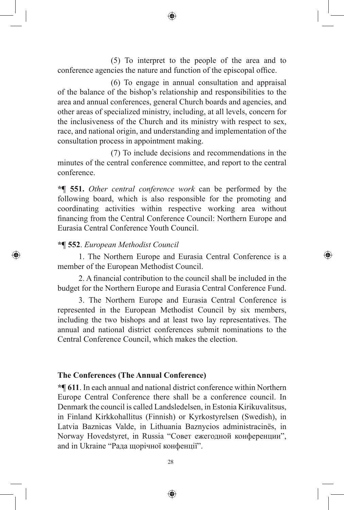(5) To interpret to the people of the area and to conference agencies the nature and function of the episcopal office.

(6) To engage in annual consultation and appraisal of the balance of the bishop's relationship and responsibilities to the area and annual conferences, general Church boards and agencies, and other areas of specialized ministry, including, at all levels, concern for the inclusiveness of the Church and its ministry with respect to sex, race, and national origin, and understanding and implementation of the consultation process in appointment making.

(7) To include decisions and recommendations in the minutes of the central conference committee, and report to the central conference.

**\*¶ 551.** *Other central conference work* can be performed by the following board, which is also responsible for the promoting and coordinating activities within respective working area without financing from the Central Conference Council: Northern Europe and Eurasia Central Conference Youth Council.

#### **\*¶ 552**. *European Methodist Council*

1. The Northern Europe and Eurasia Central Conference is a member of the European Methodist Council.

2. A financial contribution to the council shall be included in the budget for the Northern Europe and Eurasia Central Conference Fund.

3. The Northern Europe and Eurasia Central Conference is represented in the European Methodist Council by six members, including the two bishops and at least two lay representatives. The annual and national district conferences submit nominations to the Central Conference Council, which makes the election.

#### **The Conferences (The Annual Conference)**

**\*¶ 611**. In each annual and national district conference within Northern Europe Central Conference there shall be a conference council. In Denmark the council is called Landsledelsen, in Estonia Kirikuvalitsus, in Finland Kirkkohallitus (Finnish) or Kyrkostyrelsen (Swedish), in Latvia Baznicas Valde, in Lithuania Baznycios administracinës, in Norway Hovedstyret, in Russia "Совет ежегодной конференции", and in Ukraine "Рада щорiчноï конфенцiï".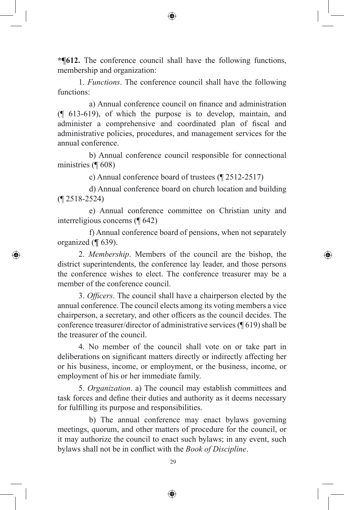**\*¶612.** The conference council shall have the following functions, membership and organization:

1. *Functions*. The conference council shall have the following functions:

a) Annual conference council on finance and administration (¶ 613-619), of which the purpose is to develop, maintain, and administer a comprehensive and coordinated plan of fiscal and administrative policies, procedures, and management services for the annual conference.

b) Annual conference council responsible for connectional ministries (¶ 608)

c) Annual conference board of trustees (¶ 2512-2517)

d) Annual conference board on church location and building (¶ 2518-2524)

e) Annual conference committee on Christian unity and interreligious concerns (¶ 642)

f) Annual conference board of pensions, when not separately organized (¶ 639).

2. *Membership*. Members of the council are the bishop, the district superintendents, the conference lay leader, and those persons the conference wishes to elect. The conference treasurer may be a member of the conference council.

3. *Officers*. The council shall have a chairperson elected by the annual conference. The council elects among its voting members a vice chairperson, a secretary, and other officers as the council decides. The conference treasurer/director of administrative services  $(\P\ 619)$  shall be the treasurer of the council.

4. No member of the council shall vote on or take part in deliberations on significant matters directly or indirectly affecting her or his business, income, or employment, or the business, income, or employment of his or her immediate family.

5. *Organization*. a) The council may establish committees and task forces and define their duties and authority as it deems necessary for fulfilling its purpose and responsibilities.

b) The annual conference may enact bylaws governing meetings, quorum, and other matters of procedure for the council, or it may authorize the council to enact such bylaws; in any event, such bylaws shall not be in conflict with the *Book of Discipline*.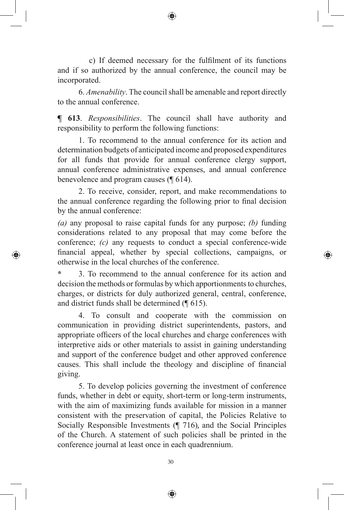c) If deemed necessary for the fulfilment of its functions and if so authorized by the annual conference, the council may be incorporated.

6. *Amenability*. The council shall be amenable and report directly to the annual conference.

**¶ 613**. *Responsibilities*. The council shall have authority and responsibility to perform the following functions:

1. To recommend to the annual conference for its action and determination budgets of anticipated income and proposed expenditures for all funds that provide for annual conference clergy support, annual conference administrative expenses, and annual conference benevolence and program causes (¶ 614).

2. To receive, consider, report, and make recommendations to the annual conference regarding the following prior to final decision by the annual conference:

*(a)* any proposal to raise capital funds for any purpose; *(b)* funding considerations related to any proposal that may come before the conference; *(c)* any requests to conduct a special conference-wide financial appeal, whether by special collections, campaigns, or otherwise in the local churches of the conference.

**\*** 3. To recommend to the annual conference for its action and decision the methods or formulas by which apportionments to churches, charges, or districts for duly authorized general, central, conference, and district funds shall be determined (¶ 615).

4. To consult and cooperate with the commission on communication in providing district superintendents, pastors, and appropriate officers of the local churches and charge conferences with interpretive aids or other materials to assist in gaining understanding and support of the conference budget and other approved conference causes. This shall include the theology and discipline of financial giving.

5. To develop policies governing the investment of conference funds, whether in debt or equity, short-term or long-term instruments, with the aim of maximizing funds available for mission in a manner consistent with the preservation of capital, the Policies Relative to Socially Responsible Investments (¶ 716), and the Social Principles of the Church. A statement of such policies shall be printed in the conference journal at least once in each quadrennium.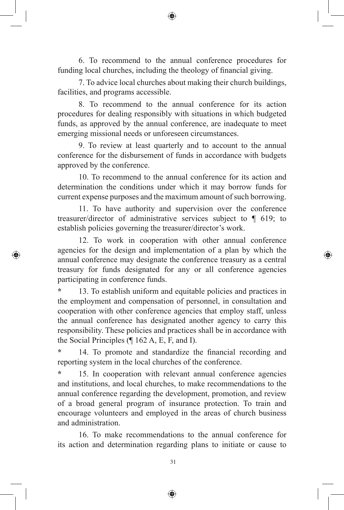6. To recommend to the annual conference procedures for funding local churches, including the theology of financial giving.

7. To advice local churches about making their church buildings, facilities, and programs accessible.

8. To recommend to the annual conference for its action procedures for dealing responsibly with situations in which budgeted funds, as approved by the annual conference, are inadequate to meet emerging missional needs or unforeseen circumstances.

9. To review at least quarterly and to account to the annual conference for the disbursement of funds in accordance with budgets approved by the conference.

10. To recommend to the annual conference for its action and determination the conditions under which it may borrow funds for current expense purposes and the maximum amount of such borrowing.

11. To have authority and supervision over the conference treasurer/director of administrative services subject to ¶ 619; to establish policies governing the treasurer/director's work.

12. To work in cooperation with other annual conference agencies for the design and implementation of a plan by which the annual conference may designate the conference treasury as a central treasury for funds designated for any or all conference agencies participating in conference funds.

**\*** 13. To establish uniform and equitable policies and practices in the employment and compensation of personnel, in consultation and cooperation with other conference agencies that employ staff, unless the annual conference has designated another agency to carry this responsibility. These policies and practices shall be in accordance with the Social Principles (¶ 162 A, E, F, and I).

**\*** 14. To promote and standardize the financial recording and reporting system in the local churches of the conference.

**\*** 15. In cooperation with relevant annual conference agencies and institutions, and local churches, to make recommendations to the annual conference regarding the development, promotion, and review of a broad general program of insurance protection. To train and encourage volunteers and employed in the areas of church business and administration.

16. To make recommendations to the annual conference for its action and determination regarding plans to initiate or cause to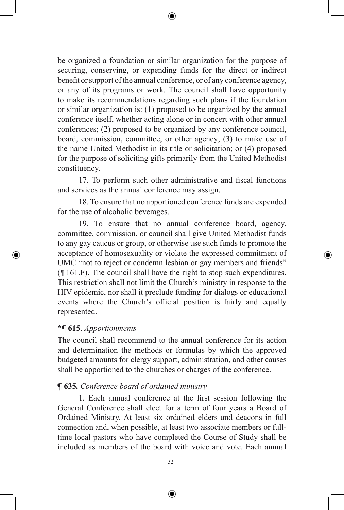be organized a foundation or similar organization for the purpose of securing, conserving, or expending funds for the direct or indirect benefit or support of the annual conference, or of any conference agency, or any of its programs or work. The council shall have opportunity to make its recommendations regarding such plans if the foundation or similar organization is: (1) proposed to be organized by the annual conference itself, whether acting alone or in concert with other annual conferences; (2) proposed to be organized by any conference council, board, commission, committee, or other agency; (3) to make use of the name United Methodist in its title or solicitation; or (4) proposed for the purpose of soliciting gifts primarily from the United Methodist constituency.

17. To perform such other administrative and fiscal functions and services as the annual conference may assign.

18. To ensure that no apportioned conference funds are expended for the use of alcoholic beverages.

19. To ensure that no annual conference board, agency, committee, commission, or council shall give United Methodist funds to any gay caucus or group, or otherwise use such funds to promote the acceptance of homosexuality or violate the expressed commitment of UMC "not to reject or condemn lesbian or gay members and friends" (¶ 161.F). The council shall have the right to stop such expenditures. This restriction shall not limit the Church's ministry in response to the HIV epidemic, nor shall it preclude funding for dialogs or educational events where the Church's official position is fairly and equally represented.

#### **\*¶ 615**. *Apportionments*

The council shall recommend to the annual conference for its action and determination the methods or formulas by which the approved budgeted amounts for clergy support, administration, and other causes shall be apportioned to the churches or charges of the conference.

#### **¶ 635***. Conference board of ordained ministry*

1. Each annual conference at the first session following the General Conference shall elect for a term of four years a Board of Ordained Ministry. At least six ordained elders and deacons in full connection and, when possible, at least two associate members or fulltime local pastors who have completed the Course of Study shall be included as members of the board with voice and vote. Each annual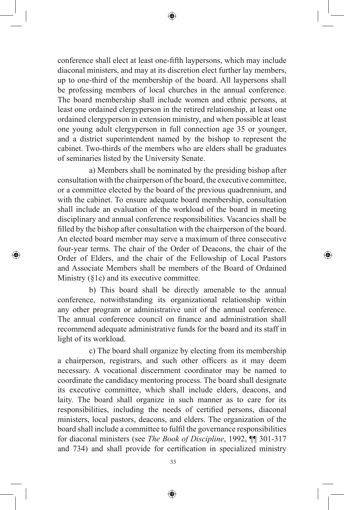conference shall elect at least one-fifth laypersons, which may include diaconal ministers, and may at its discretion elect further lay members, up to one-third of the membership of the board. All laypersons shall be professing members of local churches in the annual conference. The board membership shall include women and ethnic persons, at least one ordained clergyperson in the retired relationship, at least one ordained clergyperson in extension ministry, and when possible at least one young adult clergyperson in full connection age 35 or younger, and a district superintendent named by the bishop to represent the cabinet. Two-thirds of the members who are elders shall be graduates of seminaries listed by the University Senate.

a) Members shall be nominated by the presiding bishop after consultation with the chairperson of the board, the executive committee, or a committee elected by the board of the previous quadrennium, and with the cabinet. To ensure adequate board membership, consultation shall include an evaluation of the workload of the board in meeting disciplinary and annual conference responsibilities. Vacancies shall be filled by the bishop after consultation with the chairperson of the board. An elected board member may serve a maximum of three consecutive four-year terms. The chair of the Order of Deacons, the chair of the Order of Elders, and the chair of the Fellowship of Local Pastors and Associate Members shall be members of the Board of Ordained Ministry (§1c) and its executive committee.

b) This board shall be directly amenable to the annual conference, notwithstanding its organizational relationship within any other program or administrative unit of the annual conference. The annual conference council on finance and administration shall recommend adequate administrative funds for the board and its staff in light of its workload.

c) The board shall organize by electing from its membership a chairperson, registrars, and such other officers as it may deem necessary. A vocational discernment coordinator may be named to coordinate the candidacy mentoring process. The board shall designate its executive committee, which shall include elders, deacons, and laity. The board shall organize in such manner as to care for its responsibilities, including the needs of certified persons, diaconal ministers, local pastors, deacons, and elders. The organization of the board shall include a committee to fulfil the governance responsibilities for diaconal ministers (see *The Book of Discipline*, 1992, ¶¶ 301-317 and 734) and shall provide for certification in specialized ministry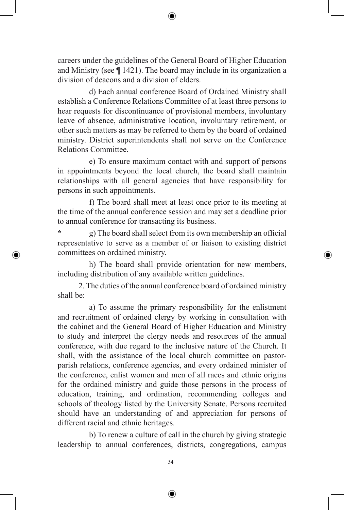careers under the guidelines of the General Board of Higher Education and Ministry (see ¶ 1421). The board may include in its organization a division of deacons and a division of elders.

d) Each annual conference Board of Ordained Ministry shall establish a Conference Relations Committee of at least three persons to hear requests for discontinuance of provisional members, involuntary leave of absence, administrative location, involuntary retirement, or other such matters as may be referred to them by the board of ordained ministry. District superintendents shall not serve on the Conference Relations Committee.

e) To ensure maximum contact with and support of persons in appointments beyond the local church, the board shall maintain relationships with all general agencies that have responsibility for persons in such appointments.

f) The board shall meet at least once prior to its meeting at the time of the annual conference session and may set a deadline prior to annual conference for transacting its business.

**\*** g) The board shall select from its own membership an official representative to serve as a member of or liaison to existing district committees on ordained ministry.

h) The board shall provide orientation for new members, including distribution of any available written guidelines.

2. The duties of the annual conference board of ordained ministry shall be:

a) To assume the primary responsibility for the enlistment and recruitment of ordained clergy by working in consultation with the cabinet and the General Board of Higher Education and Ministry to study and interpret the clergy needs and resources of the annual conference, with due regard to the inclusive nature of the Church. It shall, with the assistance of the local church committee on pastorparish relations, conference agencies, and every ordained minister of the conference, enlist women and men of all races and ethnic origins for the ordained ministry and guide those persons in the process of education, training, and ordination, recommending colleges and schools of theology listed by the University Senate. Persons recruited should have an understanding of and appreciation for persons of different racial and ethnic heritages.

b) To renew a culture of call in the church by giving strategic leadership to annual conferences, districts, congregations, campus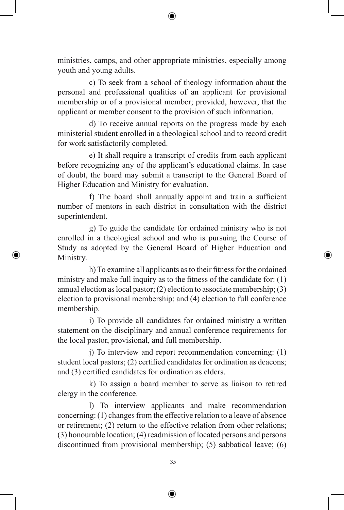ministries, camps, and other appropriate ministries, especially among youth and young adults.

c) To seek from a school of theology information about the personal and professional qualities of an applicant for provisional membership or of a provisional member; provided, however, that the applicant or member consent to the provision of such information.

d) To receive annual reports on the progress made by each ministerial student enrolled in a theological school and to record credit for work satisfactorily completed.

e) It shall require a transcript of credits from each applicant before recognizing any of the applicant's educational claims. In case of doubt, the board may submit a transcript to the General Board of Higher Education and Ministry for evaluation.

f) The board shall annually appoint and train a sufficient number of mentors in each district in consultation with the district superintendent.

g) To guide the candidate for ordained ministry who is not enrolled in a theological school and who is pursuing the Course of Study as adopted by the General Board of Higher Education and Ministry.

h) To examine all applicants as to their fitness for the ordained ministry and make full inquiry as to the fitness of the candidate for: (1) annual election as local pastor; (2) election to associate membership; (3) election to provisional membership; and (4) election to full conference membership.

i) To provide all candidates for ordained ministry a written statement on the disciplinary and annual conference requirements for the local pastor, provisional, and full membership.

j) To interview and report recommendation concerning: (1) student local pastors; (2) certified candidates for ordination as deacons; and (3) certified candidates for ordination as elders.

k) To assign a board member to serve as liaison to retired clergy in the conference.

l) To interview applicants and make recommendation concerning: (1) changes from the effective relation to a leave of absence or retirement; (2) return to the effective relation from other relations; (3) honourable location; (4) readmission of located persons and persons discontinued from provisional membership; (5) sabbatical leave; (6)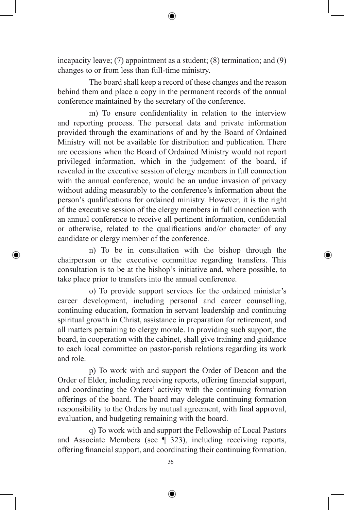incapacity leave; (7) appointment as a student; (8) termination; and (9) changes to or from less than full-time ministry.

The board shall keep a record of these changes and the reason behind them and place a copy in the permanent records of the annual conference maintained by the secretary of the conference.

m) To ensure confidentiality in relation to the interview and reporting process. The personal data and private information provided through the examinations of and by the Board of Ordained Ministry will not be available for distribution and publication. There are occasions when the Board of Ordained Ministry would not report privileged information, which in the judgement of the board, if revealed in the executive session of clergy members in full connection with the annual conference, would be an undue invasion of privacy without adding measurably to the conference's information about the person's qualifications for ordained ministry. However, it is the right of the executive session of the clergy members in full connection with an annual conference to receive all pertinent information, confidential or otherwise, related to the qualifications and/or character of any candidate or clergy member of the conference.

n) To be in consultation with the bishop through the chairperson or the executive committee regarding transfers. This consultation is to be at the bishop's initiative and, where possible, to take place prior to transfers into the annual conference.

o) To provide support services for the ordained minister's career development, including personal and career counselling, continuing education, formation in servant leadership and continuing spiritual growth in Christ, assistance in preparation for retirement, and all matters pertaining to clergy morale. In providing such support, the board, in cooperation with the cabinet, shall give training and guidance to each local committee on pastor-parish relations regarding its work and role.

p) To work with and support the Order of Deacon and the Order of Elder, including receiving reports, offering financial support, and coordinating the Orders' activity with the continuing formation offerings of the board. The board may delegate continuing formation responsibility to the Orders by mutual agreement, with final approval, evaluation, and budgeting remaining with the board.

q) To work with and support the Fellowship of Local Pastors and Associate Members (see ¶ 323), including receiving reports, offering financial support, and coordinating their continuing formation.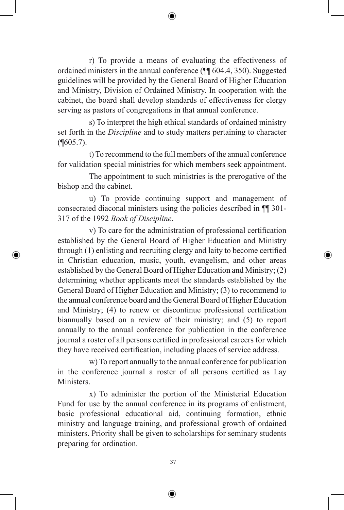r) To provide a means of evaluating the effectiveness of ordained ministers in the annual conference (¶¶ 604.4, 350). Suggested guidelines will be provided by the General Board of Higher Education and Ministry, Division of Ordained Ministry. In cooperation with the cabinet, the board shall develop standards of effectiveness for clergy serving as pastors of congregations in that annual conference.

s) To interpret the high ethical standards of ordained ministry set forth in the *Discipline* and to study matters pertaining to character  $($ ¶605.7).

t) To recommend to the full members of the annual conference for validation special ministries for which members seek appointment.

The appointment to such ministries is the prerogative of the bishop and the cabinet.

u) To provide continuing support and management of consecrated diaconal ministers using the policies described in ¶¶ 301- 317 of the 1992 *Book of Discipline*.

v) To care for the administration of professional certification established by the General Board of Higher Education and Ministry through (1) enlisting and recruiting clergy and laity to become certified in Christian education, music, youth, evangelism, and other areas established by the General Board of Higher Education and Ministry; (2) determining whether applicants meet the standards established by the General Board of Higher Education and Ministry; (3) to recommend to the annual conference board and the General Board of Higher Education and Ministry; (4) to renew or discontinue professional certification biannually based on a review of their ministry; and (5) to report annually to the annual conference for publication in the conference journal a roster of all persons certified in professional careers for which they have received certification, including places of service address.

w) To report annually to the annual conference for publication in the conference journal a roster of all persons certified as Lay **Ministers** 

x) To administer the portion of the Ministerial Education Fund for use by the annual conference in its programs of enlistment, basic professional educational aid, continuing formation, ethnic ministry and language training, and professional growth of ordained ministers. Priority shall be given to scholarships for seminary students preparing for ordination.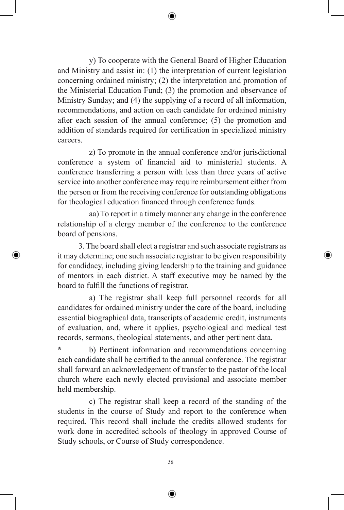y) To cooperate with the General Board of Higher Education and Ministry and assist in: (1) the interpretation of current legislation concerning ordained ministry; (2) the interpretation and promotion of the Ministerial Education Fund; (3) the promotion and observance of Ministry Sunday; and (4) the supplying of a record of all information, recommendations, and action on each candidate for ordained ministry after each session of the annual conference; (5) the promotion and addition of standards required for certification in specialized ministry careers.

z) To promote in the annual conference and/or jurisdictional conference a system of financial aid to ministerial students. A conference transferring a person with less than three years of active service into another conference may require reimbursement either from the person or from the receiving conference for outstanding obligations for theological education financed through conference funds.

aa) To report in a timely manner any change in the conference relationship of a clergy member of the conference to the conference board of pensions.

3. The board shall elect a registrar and such associate registrars as it may determine; one such associate registrar to be given responsibility for candidacy, including giving leadership to the training and guidance of mentors in each district. A staff executive may be named by the board to fulfill the functions of registrar.

a) The registrar shall keep full personnel records for all candidates for ordained ministry under the care of the board, including essential biographical data, transcripts of academic credit, instruments of evaluation, and, where it applies, psychological and medical test records, sermons, theological statements, and other pertinent data.

**\*** b) Pertinent information and recommendations concerning each candidate shall be certified to the annual conference. The registrar shall forward an acknowledgement of transfer to the pastor of the local church where each newly elected provisional and associate member held membership.

c) The registrar shall keep a record of the standing of the students in the course of Study and report to the conference when required. This record shall include the credits allowed students for work done in accredited schools of theology in approved Course of Study schools, or Course of Study correspondence.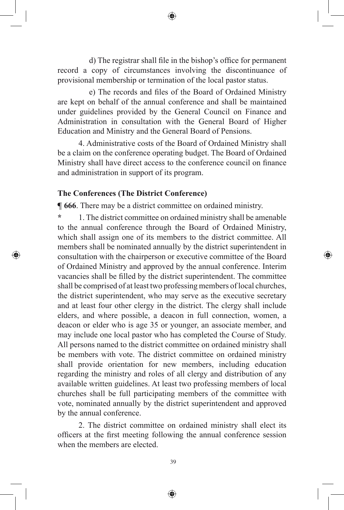d) The registrar shall file in the bishop's office for permanent record a copy of circumstances involving the discontinuance of provisional membership or termination of the local pastor status.

e) The records and files of the Board of Ordained Ministry are kept on behalf of the annual conference and shall be maintained under guidelines provided by the General Council on Finance and Administration in consultation with the General Board of Higher Education and Ministry and the General Board of Pensions.

4. Administrative costs of the Board of Ordained Ministry shall be a claim on the conference operating budget. The Board of Ordained Ministry shall have direct access to the conference council on finance and administration in support of its program.

## **The Conferences (The District Conference)**

**¶ 666**. There may be a district committee on ordained ministry.

**\*** 1. The district committee on ordained ministry shall be amenable to the annual conference through the Board of Ordained Ministry, which shall assign one of its members to the district committee. All members shall be nominated annually by the district superintendent in consultation with the chairperson or executive committee of the Board of Ordained Ministry and approved by the annual conference. Interim vacancies shall be filled by the district superintendent. The committee shall be comprised of at least two professing members of local churches, the district superintendent, who may serve as the executive secretary and at least four other clergy in the district. The clergy shall include elders, and where possible, a deacon in full connection, women, a deacon or elder who is age 35 or younger, an associate member, and may include one local pastor who has completed the Course of Study. All persons named to the district committee on ordained ministry shall be members with vote. The district committee on ordained ministry shall provide orientation for new members, including education regarding the ministry and roles of all clergy and distribution of any available written guidelines. At least two professing members of local churches shall be full participating members of the committee with vote, nominated annually by the district superintendent and approved by the annual conference.

2. The district committee on ordained ministry shall elect its officers at the first meeting following the annual conference session when the members are elected.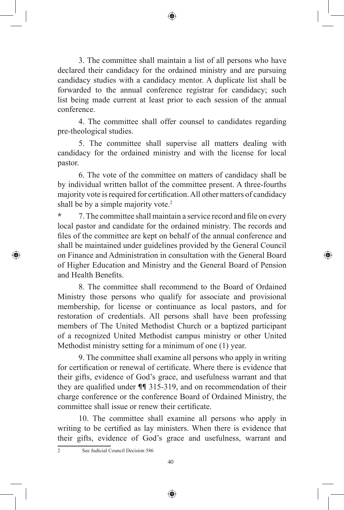3. The committee shall maintain a list of all persons who have declared their candidacy for the ordained ministry and are pursuing candidacy studies with a candidacy mentor. A duplicate list shall be forwarded to the annual conference registrar for candidacy; such list being made current at least prior to each session of the annual conference.

4. The committee shall offer counsel to candidates regarding pre-theological studies.

5. The committee shall supervise all matters dealing with candidacy for the ordained ministry and with the license for local pastor.

6. The vote of the committee on matters of candidacy shall be by individual written ballot of the committee present. A three-fourths majority vote is required for certification. All other matters of candidacy shall be by a simple majority vote.<sup>2</sup>

**\*** 7. The committee shall maintain a service record and file on every local pastor and candidate for the ordained ministry. The records and files of the committee are kept on behalf of the annual conference and shall be maintained under guidelines provided by the General Council on Finance and Administration in consultation with the General Board of Higher Education and Ministry and the General Board of Pension and Health Benefits.

8. The committee shall recommend to the Board of Ordained Ministry those persons who qualify for associate and provisional membership, for license or continuance as local pastors, and for restoration of credentials. All persons shall have been professing members of The United Methodist Church or a baptized participant of a recognized United Methodist campus ministry or other United Methodist ministry setting for a minimum of one (1) year.

9. The committee shall examine all persons who apply in writing for certification or renewal of certificate. Where there is evidence that their gifts, evidence of God's grace, and usefulness warrant and that they are qualified under ¶¶ 315-319, and on recommendation of their charge conference or the conference Board of Ordained Ministry, the committee shall issue or renew their certificate.

10. The committee shall examine all persons who apply in writing to be certified as lay ministers. When there is evidence that their gifts, evidence of God's grace and usefulness, warrant and

2 See Judicial Council Decision 586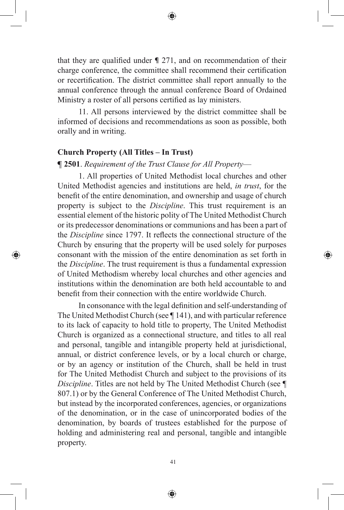that they are qualified under ¶ 271, and on recommendation of their charge conference, the committee shall recommend their certification or recertification. The district committee shall report annually to the annual conference through the annual conference Board of Ordained Ministry a roster of all persons certified as lay ministers.

11. All persons interviewed by the district committee shall be informed of decisions and recommendations as soon as possible, both orally and in writing.

#### **Church Property (All Titles – In Trust)**

#### **¶ 2501**. *Requirement of the Trust Clause for All Property*—

1. All properties of United Methodist local churches and other United Methodist agencies and institutions are held, *in trust*, for the benefit of the entire denomination, and ownership and usage of church property is subject to the *Discipline*. This trust requirement is an essential element of the historic polity of The United Methodist Church or its predecessor denominations or communions and has been a part of the *Discipline* since 1797. It reflects the connectional structure of the Church by ensuring that the property will be used solely for purposes consonant with the mission of the entire denomination as set forth in the *Discipline*. The trust requirement is thus a fundamental expression of United Methodism whereby local churches and other agencies and institutions within the denomination are both held accountable to and benefit from their connection with the entire worldwide Church.

In consonance with the legal definition and self-understanding of The United Methodist Church (see ¶ 141), and with particular reference to its lack of capacity to hold title to property, The United Methodist Church is organized as a connectional structure, and titles to all real and personal, tangible and intangible property held at jurisdictional, annual, or district conference levels, or by a local church or charge, or by an agency or institution of the Church, shall be held in trust for The United Methodist Church and subject to the provisions of its *Discipline*. Titles are not held by The United Methodist Church (see  $\P$ 807.1) or by the General Conference of The United Methodist Church, but instead by the incorporated conferences, agencies, or organizations of the denomination, or in the case of unincorporated bodies of the denomination, by boards of trustees established for the purpose of holding and administering real and personal, tangible and intangible property.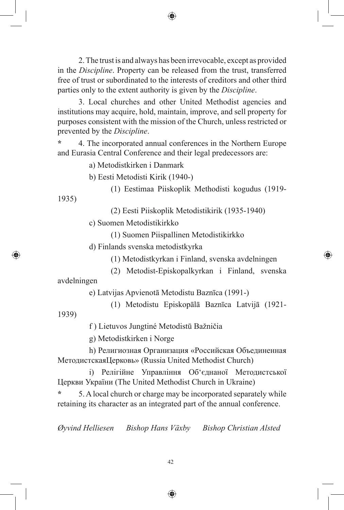2. The trust is and always has been irrevocable, except as provided in the *Discipline*. Property can be released from the trust, transferred free of trust or subordinated to the interests of creditors and other third parties only to the extent authority is given by the *Discipline*.

3. Local churches and other United Methodist agencies and institutions may acquire, hold, maintain, improve, and sell property for purposes consistent with the mission of the Church, unless restricted or prevented by the *Discipline*.

**\*** 4. The incorporated annual conferences in the Northern Europe and Eurasia Central Conference and their legal predecessors are:

a) Metodistkirken i Danmark

b) Eesti Metodisti Kirik (1940-)

(1) Eestimaa Piiskoplik Methodisti kogudus (1919-

1935)

(2) Eesti Piiskoplik Metodistikirik (1935-1940)

c) Suomen Metodistikirkko

(1) Suomen Piispallinen Metodistikirkko

d) Finlands svenska metodistkyrka

(1) Metodistkyrkan i Finland, svenska avdelningen

(2) Metodist-Episkopalkyrkan i Finland, svenska avdelningen

e) Latvijas Apvienotā Metodistu Baznīca (1991-)

(1) Metodistu Episkopālā Baznīca Latvijā (1921- 1939)

f ) Lietuvos Jungtiné Metodistū Bažničia

g) Metodistkirken i Norge

h) Религиозная Организация «Российская Объединенная МетодистскаяЦерковь» (Russia United Methodist Church)

i) Релігійне Управління Об'єднаної Методистської Церкви України (The United Methodist Church in Ukraine)

**\*** 5. A local church or charge may be incorporated separately while retaining its character as an integrated part of the annual conference.

*Øyvind Helliesen Bishop Hans Växby Bishop Christian Alsted*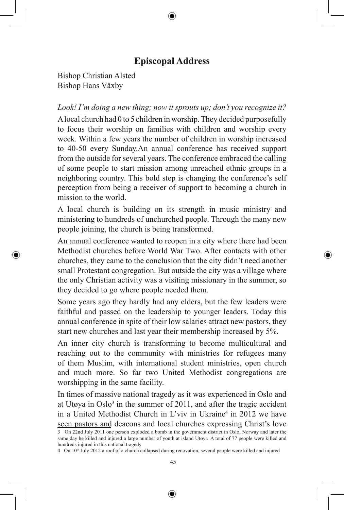# **Episcopal Address**

Bishop Christian Alsted Bishop Hans Växby

#### *Look! I'm doing a new thing; now it sprouts up; don't you recognize it?*

A local church had 0 to 5 children in worship. They decided purposefully to focus their worship on families with children and worship every week. Within a few years the number of children in worship increased to 40-50 every Sunday.An annual conference has received support from the outside for several years. The conference embraced the calling of some people to start mission among unreached ethnic groups in a neighboring country. This bold step is changing the conference's self perception from being a receiver of support to becoming a church in mission to the world.

A local church is building on its strength in music ministry and ministering to hundreds of unchurched people. Through the many new people joining, the church is being transformed.

An annual conference wanted to reopen in a city where there had been Methodist churches before World War Two. After contacts with other churches, they came to the conclusion that the city didn't need another small Protestant congregation. But outside the city was a village where the only Christian activity was a visiting missionary in the summer, so they decided to go where people needed them.

Some years ago they hardly had any elders, but the few leaders were faithful and passed on the leadership to younger leaders. Today this annual conference in spite of their low salaries attract new pastors, they start new churches and last year their membership increased by 5%.

An inner city church is transforming to become multicultural and reaching out to the community with ministries for refugees many of them Muslim, with international student ministries, open church and much more. So far two United Methodist congregations are worshipping in the same facility.

In times of massive national tragedy as it was experienced in Oslo and at Utøya in Oslo<sup>3</sup> in the summer of 2011, and after the tragic accident in a United Methodist Church in L'viv in Ukraine<sup>4</sup> in 2012 we have seen pastors and deacons and local churches expressing Christ's love

<sup>3</sup> On 22nd July 2011 one person exploded a bomb in the government district in Oslo, Norway and later the same day he killed and injured a large number of youth at island Utøya A total of 77 people were killed and hundreds injured in this national tragedy

<sup>4</sup> On  $10<sup>th</sup>$  July 2012 a roof of a church collapsed during renovation, several people were killed and injured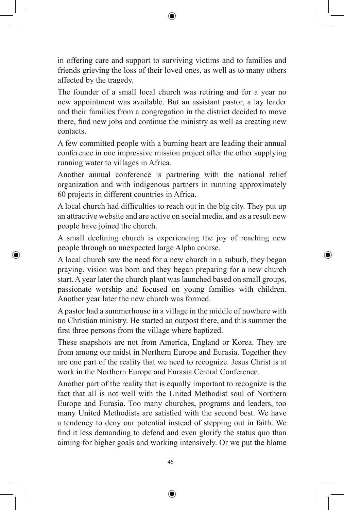in offering care and support to surviving victims and to families and friends grieving the loss of their loved ones, as well as to many others affected by the tragedy.

The founder of a small local church was retiring and for a year no new appointment was available. But an assistant pastor, a lay leader and their families from a congregation in the district decided to move there, find new jobs and continue the ministry as well as creating new contacts.

A few committed people with a burning heart are leading their annual conference in one impressive mission project after the other supplying running water to villages in Africa.

Another annual conference is partnering with the national relief organization and with indigenous partners in running approximately 60 projects in different countries in Africa.

A local church had difficulties to reach out in the big city. They put up an attractive website and are active on social media, and as a result new people have joined the church.

A small declining church is experiencing the joy of reaching new people through an unexpected large Alpha course.

A local church saw the need for a new church in a suburb, they began praying, vision was born and they began preparing for a new church start. A year later the church plant was launched based on small groups, passionate worship and focused on young families with children. Another year later the new church was formed.

A pastor had a summerhouse in a village in the middle of nowhere with no Christian ministry. He started an outpost there, and this summer the first three persons from the village where baptized.

These snapshots are not from America, England or Korea. They are from among our midst in Northern Europe and Eurasia. Together they are one part of the reality that we need to recognize. Jesus Christ is at work in the Northern Europe and Eurasia Central Conference.

Another part of the reality that is equally important to recognize is the fact that all is not well with the United Methodist soul of Northern Europe and Eurasia. Too many churches, programs and leaders, too many United Methodists are satisfied with the second best. We have a tendency to deny our potential instead of stepping out in faith. We find it less demanding to defend and even glorify the status quo than aiming for higher goals and working intensively. Or we put the blame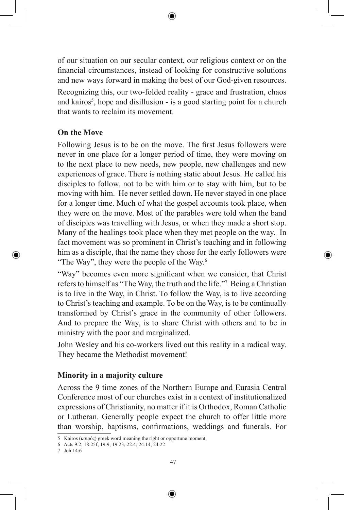of our situation on our secular context, our religious context or on the financial circumstances, instead of looking for constructive solutions and new ways forward in making the best of our God-given resources.

Recognizing this, our two-folded reality - grace and frustration, chaos and kairos<sup>5</sup>, hope and disillusion - is a good starting point for a church that wants to reclaim its movement.

#### **On the Move**

Following Jesus is to be on the move. The first Jesus followers were never in one place for a longer period of time, they were moving on to the next place to new needs, new people, new challenges and new experiences of grace. There is nothing static about Jesus. He called his disciples to follow, not to be with him or to stay with him, but to be moving with him. He never settled down. He never stayed in one place for a longer time. Much of what the gospel accounts took place, when they were on the move. Most of the parables were told when the band of disciples was travelling with Jesus, or when they made a short stop. Many of the healings took place when they met people on the way. In fact movement was so prominent in Christ's teaching and in following him as a disciple, that the name they chose for the early followers were "The Way", they were the people of the Way.<sup>6</sup>

"Way" becomes even more significant when we consider, that Christ refers to himself as "The Way, the truth and the life."7 Being a Christian is to live in the Way, in Christ. To follow the Way, is to live according to Christ's teaching and example. To be on the Way, is to be continually transformed by Christ's grace in the community of other followers. And to prepare the Way, is to share Christ with others and to be in ministry with the poor and marginalized.

John Wesley and his co-workers lived out this reality in a radical way. They became the Methodist movement!

## **Minority in a majority culture**

Across the 9 time zones of the Northern Europe and Eurasia Central Conference most of our churches exist in a context of institutionalized expressions of Christianity, no matter if it is Orthodox, Roman Catholic or Lutheran. Generally people expect the church to offer little more than worship, baptisms, confirmations, weddings and funerals. For

<sup>5</sup> Kairos (καιρός) greek word meaning the right or opportune moment

<sup>6</sup> Acts 9:2; 18:25f; 19:9; 19:23; 22:4; 24:14; 24:22

<sup>7</sup> Joh 14:6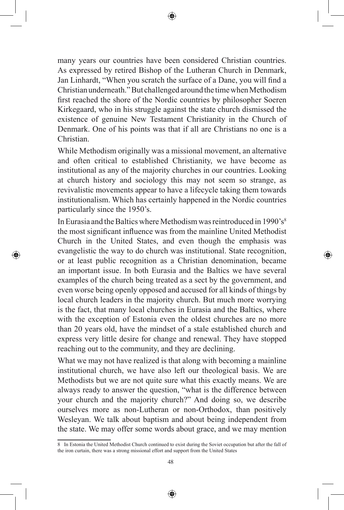many years our countries have been considered Christian countries. As expressed by retired Bishop of the Lutheran Church in Denmark, Jan Linhardt, "When you scratch the surface of a Dane, you will find a Christian underneath." But challenged around the time when Methodism first reached the shore of the Nordic countries by philosopher Soeren Kirkegaard, who in his struggle against the state church dismissed the existence of genuine New Testament Christianity in the Church of Denmark. One of his points was that if all are Christians no one is a Christian.

While Methodism originally was a missional movement, an alternative and often critical to established Christianity, we have become as institutional as any of the majority churches in our countries. Looking at church history and sociology this may not seem so strange, as revivalistic movements appear to have a lifecycle taking them towards institutionalism. Which has certainly happened in the Nordic countries particularly since the 1950's.

In Eurasia and the Baltics where Methodism was reintroduced in 1990's<sup>8</sup> the most significant influence was from the mainline United Methodist Church in the United States, and even though the emphasis was evangelistic the way to do church was institutional. State recognition, or at least public recognition as a Christian denomination, became an important issue. In both Eurasia and the Baltics we have several examples of the church being treated as a sect by the government, and even worse being openly opposed and accused for all kinds of things by local church leaders in the majority church. But much more worrying is the fact, that many local churches in Eurasia and the Baltics, where with the exception of Estonia even the oldest churches are no more than 20 years old, have the mindset of a stale established church and express very little desire for change and renewal. They have stopped reaching out to the community, and they are declining.

What we may not have realized is that along with becoming a mainline institutional church, we have also left our theological basis. We are Methodists but we are not quite sure what this exactly means. We are always ready to answer the question, "what is the difference between your church and the majority church?" And doing so, we describe ourselves more as non-Lutheran or non-Orthodox, than positively Wesleyan. We talk about baptism and about being independent from the state. We may offer some words about grace, and we may mention

<sup>8</sup> In Estonia the United Methodist Church continued to exist during the Soviet occupation but after the fall of the iron curtain, there was a strong missional effort and support from the United States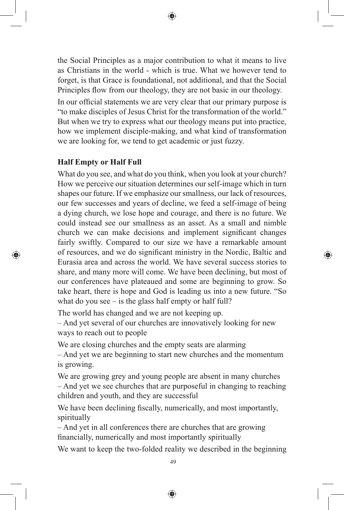the Social Principles as a major contribution to what it means to live as Christians in the world - which is true. What we however tend to forget, is that Grace is foundational, not additional, and that the Social Principles flow from our theology, they are not basic in our theology.

In our official statements we are very clear that our primary purpose is "to make disciples of Jesus Christ for the transformation of the world." But when we try to express what our theology means put into practice, how we implement disciple-making, and what kind of transformation we are looking for, we tend to get academic or just fuzzy.

## **Half Empty or Half Full**

What do you see, and what do you think, when you look at your church? How we perceive our situation determines our self-image which in turn shapes our future. If we emphasize our smallness, our lack of resources, our few successes and years of decline, we feed a self-image of being a dying church, we lose hope and courage, and there is no future. We could instead see our smallness as an asset. As a small and nimble church we can make decisions and implement significant changes fairly swiftly. Compared to our size we have a remarkable amount of resources, and we do significant ministry in the Nordic, Baltic and Eurasia area and across the world. We have several success stories to share, and many more will come. We have been declining, but most of our conferences have plateaued and some are beginning to grow. So take heart, there is hope and God is leading us into a new future. "So what do you see  $-$  is the glass half empty or half full?

The world has changed and we are not keeping up.

– And yet several of our churches are innovatively looking for new ways to reach out to people

We are closing churches and the empty seats are alarming

– And yet we are beginning to start new churches and the momentum is growing.

We are growing grey and young people are absent in many churches – And yet we see churches that are purposeful in changing to reaching children and youth, and they are successful

We have been declining fiscally, numerically, and most importantly, spiritually

– And yet in all conferences there are churches that are growing financially, numerically and most importantly spiritually

We want to keep the two-folded reality we described in the beginning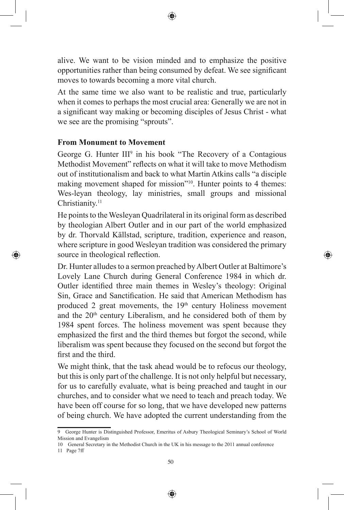alive. We want to be vision minded and to emphasize the positive opportunities rather than being consumed by defeat. We see significant moves to towards becoming a more vital church.

At the same time we also want to be realistic and true, particularly when it comes to perhaps the most crucial area: Generally we are not in a significant way making or becoming disciples of Jesus Christ - what we see are the promising "sprouts".

#### **From Monument to Movement**

George G. Hunter III<sup>9</sup> in his book "The Recovery of a Contagious Methodist Movement" reflects on what it will take to move Methodism out of institutionalism and back to what Martin Atkins calls "a disciple making movement shaped for mission"<sup>10</sup>. Hunter points to 4 themes: Wes-leyan theology, lay ministries, small groups and missional Christianity.<sup>11</sup>

He points to the Wesleyan Quadrilateral in its original form as described by theologian Albert Outler and in our part of the world emphasized by dr. Thorvald Källstad, scripture, tradition, experience and reason, where scripture in good Wesleyan tradition was considered the primary source in theological reflection.

Dr. Hunter alludes to a sermon preached by Albert Outler at Baltimore's Lovely Lane Church during General Conference 1984 in which dr. Outler identified three main themes in Wesley's theology: Original Sin, Grace and Sanctification. He said that American Methodism has produced 2 great movements, the 19<sup>th</sup> century Holiness movement and the  $20<sup>th</sup>$  century Liberalism, and he considered both of them by 1984 spent forces. The holiness movement was spent because they emphasized the first and the third themes but forgot the second, while liberalism was spent because they focused on the second but forgot the first and the third.

We might think, that the task ahead would be to refocus our theology, but this is only part of the challenge. It is not only helpful but necessary, for us to carefully evaluate, what is being preached and taught in our churches, and to consider what we need to teach and preach today. We have been off course for so long, that we have developed new patterns of being church. We have adopted the current understanding from the

<sup>9</sup> George Hunter is Distinguished Professor, Emeritus of Asbury Theological Seminary's School of World Mission and Evangelism

<sup>10</sup> General Secretary in the Methodist Church in the UK in his message to the 2011 annual conference 11 Page 7ff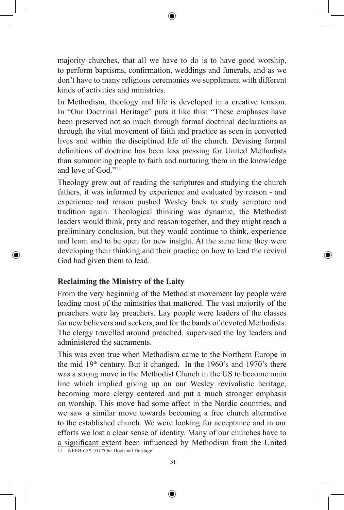majority churches, that all we have to do is to have good worship, to perform baptisms, confirmation, weddings and funerals, and as we don't have to many religious ceremonies we supplement with different kinds of activities and ministries.

In Methodism, theology and life is developed in a creative tension. In "Our Doctrinal Heritage" puts it like this: "These emphases have been preserved not so much through formal doctrinal declarations as through the vital movement of faith and practice as seen in converted lives and within the disciplined life of the church. Devising formal definitions of doctrine has been less pressing for United Methodists than summoning people to faith and nurturing them in the knowledge and love of God<sup>"12</sup>

Theology grew out of reading the scriptures and studying the church fathers, it was informed by experience and evaluated by reason - and experience and reason pushed Wesley back to study scripture and tradition again. Theological thinking was dynamic, the Methodist leaders would think, pray and reason together, and they might reach a preliminary conclusion, but they would continue to think, experience and learn and to be open for new insight. At the same time they were developing their thinking and their practice on how to lead the revival God had given them to lead.

#### **Reclaiming the Ministry of the Laity**

From the very beginning of the Methodist movement lay people were leading most of the ministries that mattered. The vast majority of the preachers were lay preachers. Lay people were leaders of the classes for new believers and seekers, and for the bands of devoted Methodists. The clergy travelled around preached, supervised the lay leaders and administered the sacraments.

This was even true when Methodism came to the Northern Europe in the mid  $19<sup>th</sup>$  century. But it changed. In the  $1960$ 's and  $1970$ 's there was a strong move in the Methodist Church in the US to become main line which implied giving up on our Wesley revivalistic heritage, becoming more clergy centered and put a much stronger emphasis on worship. This move had some affect in the Nordic countries, and we saw a similar move towards becoming a free church alternative to the established church. We were looking for acceptance and in our efforts we lost a clear sense of identity. Many of our churches have to a significant extent been influenced by Methodism from the United 12 NEEBoD ¶ 101 "Our Doctrinal Heritage"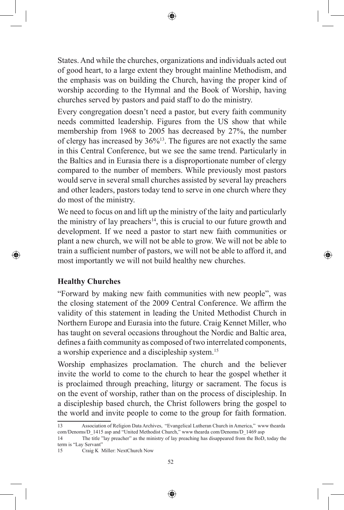States. And while the churches, organizations and individuals acted out of good heart, to a large extent they brought mainline Methodism, and the emphasis was on building the Church, having the proper kind of worship according to the Hymnal and the Book of Worship, having churches served by pastors and paid staff to do the ministry.

Every congregation doesn't need a pastor, but every faith community needs committed leadership. Figures from the US show that while membership from 1968 to 2005 has decreased by 27%, the number of clergy has increased by  $36\frac{13}{13}$ . The figures are not exactly the same in this Central Conference, but we see the same trend. Particularly in the Baltics and in Eurasia there is a disproportionate number of clergy compared to the number of members. While previously most pastors would serve in several small churches assisted by several lay preachers and other leaders, pastors today tend to serve in one church where they do most of the ministry.

We need to focus on and lift up the ministry of the laity and particularly the ministry of lay preachers<sup>14</sup>, this is crucial to our future growth and development. If we need a pastor to start new faith communities or plant a new church, we will not be able to grow. We will not be able to train a sufficient number of pastors, we will not be able to afford it, and most importantly we will not build healthy new churches.

## **Healthy Churches**

"Forward by making new faith communities with new people", was the closing statement of the 2009 Central Conference. We affirm the validity of this statement in leading the United Methodist Church in Northern Europe and Eurasia into the future. Craig Kennet Miller, who has taught on several occasions throughout the Nordic and Baltic area, defines a faith community as composed of two interrelated components, a worship experience and a discipleship system.15

Worship emphasizes proclamation. The church and the believer invite the world to come to the church to hear the gospel whether it is proclaimed through preaching, liturgy or sacrament. The focus is on the event of worship, rather than on the process of discipleship. In a discipleship based church, the Christ followers bring the gospel to the world and invite people to come to the group for faith formation.

<sup>13</sup> Association of Religion Data Archives, "Evangelical Lutheran Church in America," www thearda com/Denoms/D\_1415 asp and "United Methodist Church," www thearda com/Denoms/D\_1469 asp

<sup>14</sup> The title "lay preacher" as the ministry of lay preaching has disappeared from the BoD, today the term is "Lay Servant"

<sup>15</sup> Craig K Miller: NextChurch Now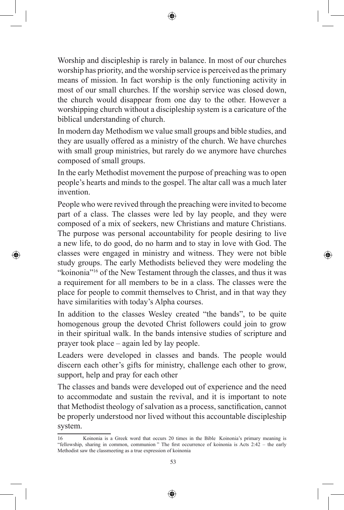Worship and discipleship is rarely in balance. In most of our churches worship has priority, and the worship service is perceived as the primary means of mission. In fact worship is the only functioning activity in most of our small churches. If the worship service was closed down, the church would disappear from one day to the other. However a worshipping church without a discipleship system is a caricature of the biblical understanding of church.

In modern day Methodism we value small groups and bible studies, and they are usually offered as a ministry of the church. We have churches with small group ministries, but rarely do we anymore have churches composed of small groups.

In the early Methodist movement the purpose of preaching was to open people's hearts and minds to the gospel. The altar call was a much later invention.

People who were revived through the preaching were invited to become part of a class. The classes were led by lay people, and they were composed of a mix of seekers, new Christians and mature Christians. The purpose was personal accountability for people desiring to live a new life, to do good, do no harm and to stay in love with God. The classes were engaged in ministry and witness. They were not bible study groups. The early Methodists believed they were modeling the "koinonia"16 of the New Testament through the classes, and thus it was a requirement for all members to be in a class. The classes were the place for people to commit themselves to Christ, and in that way they have similarities with today's Alpha courses.

In addition to the classes Wesley created "the bands", to be quite homogenous group the devoted Christ followers could join to grow in their spiritual walk. In the bands intensive studies of scripture and prayer took place – again led by lay people.

Leaders were developed in classes and bands. The people would discern each other's gifts for ministry, challenge each other to grow, support, help and pray for each other

The classes and bands were developed out of experience and the need to accommodate and sustain the revival, and it is important to note that Methodist theology of salvation as a process, sanctification, cannot be properly understood nor lived without this accountable discipleship system.

<sup>16</sup> Koinonia is a Greek word that occurs 20 times in the Bible Koinonia's primary meaning is "fellowship, sharing in common, communion " The first occurrence of koinonia is Acts 2:42 – the early Methodist saw the classmeeting as a true expression of koinonia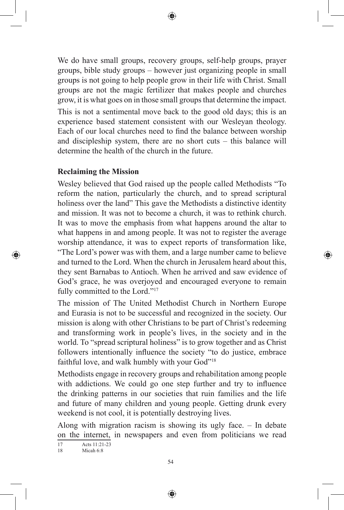We do have small groups, recovery groups, self-help groups, prayer groups, bible study groups – however just organizing people in small groups is not going to help people grow in their life with Christ. Small groups are not the magic fertilizer that makes people and churches grow, it is what goes on in those small groups that determine the impact. This is not a sentimental move back to the good old days; this is an experience based statement consistent with our Wesleyan theology. Each of our local churches need to find the balance between worship and discipleship system, there are no short cuts – this balance will determine the health of the church in the future.

## **Reclaiming the Mission**

Wesley believed that God raised up the people called Methodists "To reform the nation, particularly the church, and to spread scriptural holiness over the land" This gave the Methodists a distinctive identity and mission. It was not to become a church, it was to rethink church. It was to move the emphasis from what happens around the altar to what happens in and among people. It was not to register the average worship attendance, it was to expect reports of transformation like, "The Lord's power was with them, and a large number came to believe and turned to the Lord. When the church in Jerusalem heard about this, they sent Barnabas to Antioch. When he arrived and saw evidence of God's grace, he was overjoyed and encouraged everyone to remain fully committed to the Lord."<sup>17</sup>

The mission of The United Methodist Church in Northern Europe and Eurasia is not to be successful and recognized in the society. Our mission is along with other Christians to be part of Christ's redeeming and transforming work in people's lives, in the society and in the world. To "spread scriptural holiness" is to grow together and as Christ followers intentionally influence the society "to do justice, embrace faithful love, and walk humbly with your God"<sup>18</sup>

Methodists engage in recovery groups and rehabilitation among people with addictions. We could go one step further and try to influence the drinking patterns in our societies that ruin families and the life and future of many children and young people. Getting drunk every weekend is not cool, it is potentially destroying lives.

Along with migration racism is showing its ugly face. – In debate on the internet, in newspapers and even from politicians we read

17 Acts 11:21-23

18 Micah 6:8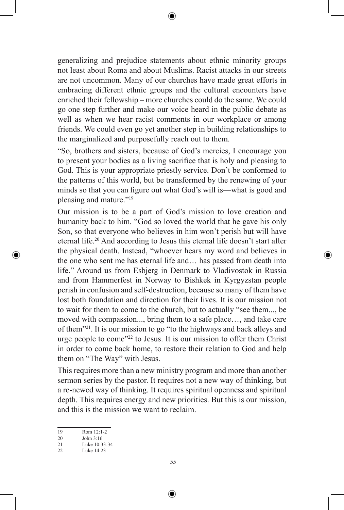generalizing and prejudice statements about ethnic minority groups not least about Roma and about Muslims. Racist attacks in our streets are not uncommon. Many of our churches have made great efforts in embracing different ethnic groups and the cultural encounters have enriched their fellowship – more churches could do the same. We could go one step further and make our voice heard in the public debate as well as when we hear racist comments in our workplace or among friends. We could even go yet another step in building relationships to the marginalized and purposefully reach out to them.

"So, brothers and sisters, because of God's mercies, I encourage you to present your bodies as a living sacrifice that is holy and pleasing to God. This is your appropriate priestly service. Don't be conformed to the patterns of this world, but be transformed by the renewing of your minds so that you can figure out what God's will is—what is good and pleasing and mature."19

Our mission is to be a part of God's mission to love creation and humanity back to him. "God so loved the world that he gave his only Son, so that everyone who believes in him won't perish but will have eternal life.20 And according to Jesus this eternal life doesn't start after the physical death. Instead, "whoever hears my word and believes in the one who sent me has eternal life and… has passed from death into life." Around us from Esbjerg in Denmark to Vladivostok in Russia and from Hammerfest in Norway to Bishkek in Kyrgyzstan people perish in confusion and self-destruction, because so many of them have lost both foundation and direction for their lives. It is our mission not to wait for them to come to the church, but to actually "see them..., be moved with compassion..., bring them to a safe place…, and take care of them"21. It is our mission to go "to the highways and back alleys and urge people to come"22 to Jesus. It is our mission to offer them Christ in order to come back home, to restore their relation to God and help them on "The Way" with Jesus.

This requires more than a new ministry program and more than another sermon series by the pastor. It requires not a new way of thinking, but a re-newed way of thinking. It requires spiritual openness and spiritual depth. This requires energy and new priorities. But this is our mission, and this is the mission we want to reclaim.

<sup>19</sup> Rom 12:1-2

<sup>20</sup> John 3:16

<sup>21</sup> Luke 10:33-34

<sup>22</sup> Luke 14:23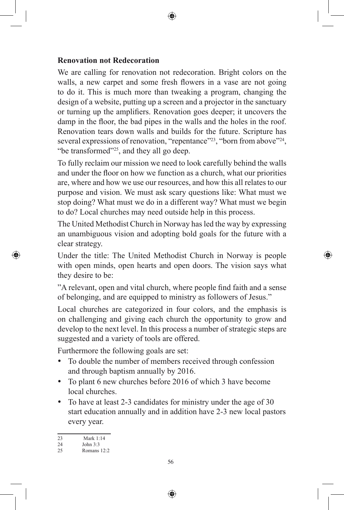#### **Renovation not Redecoration**

We are calling for renovation not redecoration. Bright colors on the walls, a new carpet and some fresh flowers in a vase are not going to do it. This is much more than tweaking a program, changing the design of a website, putting up a screen and a projector in the sanctuary or turning up the amplifiers. Renovation goes deeper; it uncovers the damp in the floor, the bad pipes in the walls and the holes in the roof. Renovation tears down walls and builds for the future. Scripture has several expressions of renovation, "repentance"<sup>23</sup>, "born from above"<sup>24</sup>, "be transformed"<sup>25</sup>, and they all go deep.

To fully reclaim our mission we need to look carefully behind the walls and under the floor on how we function as a church, what our priorities are, where and how we use our resources, and how this all relates to our purpose and vision. We must ask scary questions like: What must we stop doing? What must we do in a different way? What must we begin to do? Local churches may need outside help in this process.

The United Methodist Church in Norway has led the way by expressing an unambiguous vision and adopting bold goals for the future with a clear strategy.

Under the title: The United Methodist Church in Norway is people with open minds, open hearts and open doors. The vision says what they desire to be:

"A relevant, open and vital church, where people find faith and a sense of belonging, and are equipped to ministry as followers of Jesus."

Local churches are categorized in four colors, and the emphasis is on challenging and giving each church the opportunity to grow and develop to the next level. In this process a number of strategic steps are suggested and a variety of tools are offered.

Furthermore the following goals are set:

- To double the number of members received through confession and through baptism annually by 2016.
- To plant 6 new churches before 2016 of which 3 have become local churches.
- To have at least 2-3 candidates for ministry under the age of 30 start education annually and in addition have 2-3 new local pastors every year.

<sup>23</sup> Mark 1:14

<sup>24</sup> John 3:3

<sup>25</sup> Romans 12:2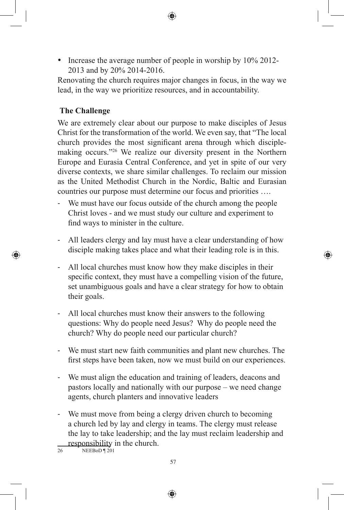• Increase the average number of people in worship by 10% 2012-2013 and by 20% 2014-2016.

Renovating the church requires major changes in focus, in the way we lead, in the way we prioritize resources, and in accountability.

# **The Challenge**

We are extremely clear about our purpose to make disciples of Jesus Christ for the transformation of the world. We even say, that "The local church provides the most significant arena through which disciplemaking occurs."26 We realize our diversity present in the Northern Europe and Eurasia Central Conference, and yet in spite of our very diverse contexts, we share similar challenges. To reclaim our mission as the United Methodist Church in the Nordic, Baltic and Eurasian countries our purpose must determine our focus and priorities ….

- We must have our focus outside of the church among the people Christ loves - and we must study our culture and experiment to find ways to minister in the culture.
- All leaders clergy and lay must have a clear understanding of how disciple making takes place and what their leading role is in this.
- All local churches must know how they make disciples in their specific context, they must have a compelling vision of the future, set unambiguous goals and have a clear strategy for how to obtain their goals.
- All local churches must know their answers to the following questions: Why do people need Jesus? Why do people need the church? Why do people need our particular church?
- We must start new faith communities and plant new churches. The first steps have been taken, now we must build on our experiences.
- We must align the education and training of leaders, deacons and pastors locally and nationally with our purpose – we need change agents, church planters and innovative leaders
- We must move from being a clergy driven church to becoming a church led by lay and clergy in teams. The clergy must release the lay to take leadership; and the lay must reclaim leadership and responsibility in the church.

<sup>26</sup> NEEBoD ¶ 201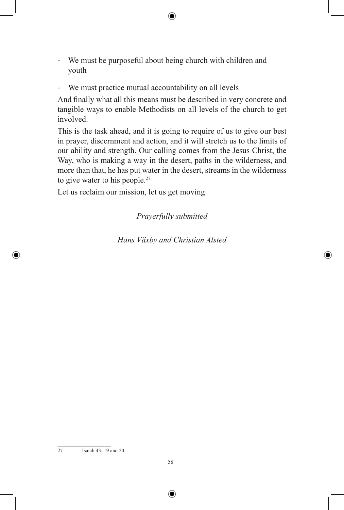- We must be purposeful about being church with children and youth
- We must practice mutual accountability on all levels

And finally what all this means must be described in very concrete and tangible ways to enable Methodists on all levels of the church to get involved.

This is the task ahead, and it is going to require of us to give our best in prayer, discernment and action, and it will stretch us to the limits of our ability and strength. Our calling comes from the Jesus Christ, the Way, who is making a way in the desert, paths in the wilderness, and more than that, he has put water in the desert, streams in the wilderness to give water to his people. $27$ 

Let us reclaim our mission, let us get moving

*Prayerfully submitted*

*Hans Växby and Christian Alsted*

<sup>27</sup> Isaiah 43: 19 and 20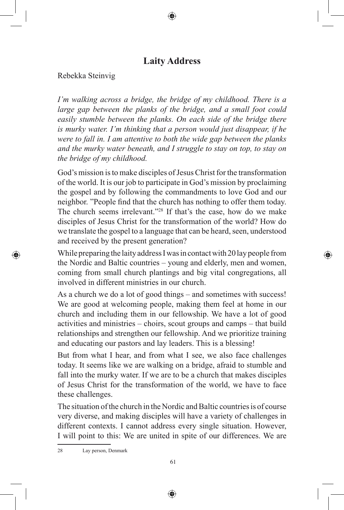# **Laity Address**

Rebekka Steinvig

*I'm walking across a bridge, the bridge of my childhood. There is a*  large gap between the planks of the bridge, and a small foot could *easily stumble between the planks. On each side of the bridge there is murky water. I'm thinking that a person would just disappear, if he were to fall in. I am attentive to both the wide gap between the planks and the murky water beneath, and I struggle to stay on top, to stay on the bridge of my childhood.*

God's mission is to make disciples of Jesus Christ for the transformation of the world. It is our job to participate in God's mission by proclaiming the gospel and by following the commandments to love God and our neighbor. "People find that the church has nothing to offer them today. The church seems irrelevant."28 If that's the case, how do we make disciples of Jesus Christ for the transformation of the world? How do we translate the gospel to a language that can be heard, seen, understood and received by the present generation?

While preparing the laity address I was in contact with 20 lay people from the Nordic and Baltic countries – young and elderly, men and women, coming from small church plantings and big vital congregations, all involved in different ministries in our church.

As a church we do a lot of good things – and sometimes with success! We are good at welcoming people, making them feel at home in our church and including them in our fellowship. We have a lot of good activities and ministries – choirs, scout groups and camps – that build relationships and strengthen our fellowship. And we prioritize training and educating our pastors and lay leaders. This is a blessing!

But from what I hear, and from what I see, we also face challenges today. It seems like we are walking on a bridge, afraid to stumble and fall into the murky water. If we are to be a church that makes disciples of Jesus Christ for the transformation of the world, we have to face these challenges.

The situation of the church in the Nordic and Baltic countries is of course very diverse, and making disciples will have a variety of challenges in different contexts. I cannot address every single situation. However, I will point to this: We are united in spite of our differences. We are

28 Lay person, Denmark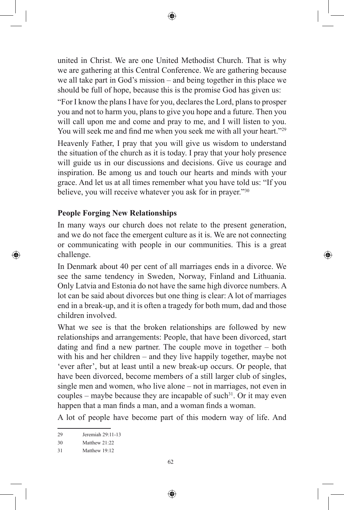united in Christ. We are one United Methodist Church. That is why we are gathering at this Central Conference. We are gathering because we all take part in God's mission – and being together in this place we should be full of hope, because this is the promise God has given us:

"For I know the plans I have for you, declares the Lord, plans to prosper you and not to harm you, plans to give you hope and a future. Then you will call upon me and come and pray to me, and I will listen to you. You will seek me and find me when you seek me with all your heart."<sup>29</sup>

Heavenly Father, I pray that you will give us wisdom to understand the situation of the church as it is today. I pray that your holy presence will guide us in our discussions and decisions. Give us courage and inspiration. Be among us and touch our hearts and minds with your grace. And let us at all times remember what you have told us: "If you believe, you will receive whatever you ask for in prayer."30

#### **People Forging New Relationships**

In many ways our church does not relate to the present generation, and we do not face the emergent culture as it is. We are not connecting or communicating with people in our communities. This is a great challenge.

In Denmark about 40 per cent of all marriages ends in a divorce. We see the same tendency in Sweden, Norway, Finland and Lithuania. Only Latvia and Estonia do not have the same high divorce numbers. A lot can be said about divorces but one thing is clear: A lot of marriages end in a break-up, and it is often a tragedy for both mum, dad and those children involved.

What we see is that the broken relationships are followed by new relationships and arrangements: People, that have been divorced, start dating and find a new partner. The couple move in together – both with his and her children – and they live happily together, maybe not 'ever after', but at least until a new break-up occurs. Or people, that have been divorced, become members of a still larger club of singles, single men and women, who live alone – not in marriages, not even in couples – maybe because they are incapable of such  $31$ . Or it may even happen that a man finds a man, and a woman finds a woman.

A lot of people have become part of this modern way of life. And

<sup>29</sup> Jeremiah 29:11-13

<sup>30</sup> Matthew 21:22

<sup>31</sup> Matthew 19:12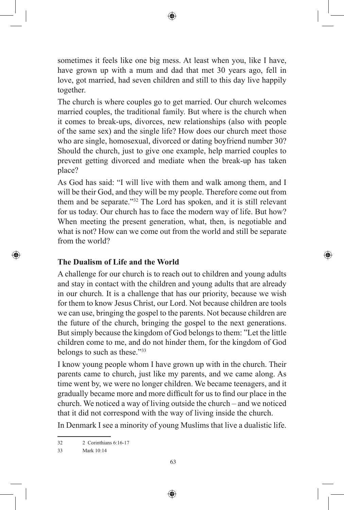sometimes it feels like one big mess. At least when you, like I have, have grown up with a mum and dad that met 30 years ago, fell in love, got married, had seven children and still to this day live happily together.

The church is where couples go to get married. Our church welcomes married couples, the traditional family. But where is the church when it comes to break-ups, divorces, new relationships (also with people of the same sex) and the single life? How does our church meet those who are single, homosexual, divorced or dating boyfriend number 30? Should the church, just to give one example, help married couples to prevent getting divorced and mediate when the break-up has taken place?

As God has said: "I will live with them and walk among them, and I will be their God, and they will be my people. Therefore come out from them and be separate."32 The Lord has spoken, and it is still relevant for us today. Our church has to face the modern way of life. But how? When meeting the present generation, what, then, is negotiable and what is not? How can we come out from the world and still be separate from the world?

## **The Dualism of Life and the World**

A challenge for our church is to reach out to children and young adults and stay in contact with the children and young adults that are already in our church. It is a challenge that has our priority, because we wish for them to know Jesus Christ, our Lord. Not because children are tools we can use, bringing the gospel to the parents. Not because children are the future of the church, bringing the gospel to the next generations. But simply because the kingdom of God belongs to them: "Let the little children come to me, and do not hinder them, for the kingdom of God belongs to such as these."33

I know young people whom I have grown up with in the church. Their parents came to church, just like my parents, and we came along. As time went by, we were no longer children. We became teenagers, and it gradually became more and more difficult for us to find our place in the church. We noticed a way of living outside the church – and we noticed that it did not correspond with the way of living inside the church.

In Denmark I see a minority of young Muslims that live a dualistic life.

<sup>32</sup> 2 Corinthians 6:16-17

<sup>33</sup> Mark 10:14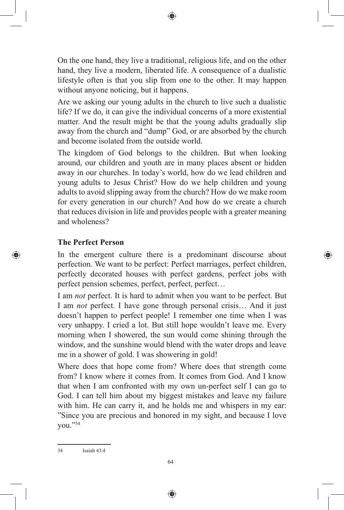On the one hand, they live a traditional, religious life, and on the other hand, they live a modern, liberated life. A consequence of a dualistic lifestyle often is that you slip from one to the other. It may happen without anyone noticing, but it happens.

Are we asking our young adults in the church to live such a dualistic life? If we do, it can give the individual concerns of a more existential matter. And the result might be that the young adults gradually slip away from the church and "dump" God, or are absorbed by the church and become isolated from the outside world.

The kingdom of God belongs to the children. But when looking around, our children and youth are in many places absent or hidden away in our churches. In today's world, how do we lead children and young adults to Jesus Christ? How do we help children and young adults to avoid slipping away from the church? How do we make room for every generation in our church? And how do we create a church that reduces division in life and provides people with a greater meaning and wholeness?

## **The Perfect Person**

In the emergent culture there is a predominant discourse about perfection. We want to be perfect: Perfect marriages, perfect children, perfectly decorated houses with perfect gardens, perfect jobs with perfect pension schemes, perfect, perfect, perfect…

I am *not* perfect. It is hard to admit when you want to be perfect. But I am *not* perfect. I have gone through personal crisis… And it just doesn't happen to perfect people! I remember one time when I was very unhappy. I cried a lot. But still hope wouldn't leave me. Every morning when I showered, the sun would come shining through the window, and the sunshine would blend with the water drops and leave me in a shower of gold. I was showering in gold!

Where does that hope come from? Where does that strength come from? I know where it comes from. It comes from God. And I know that when I am confronted with my own un-perfect self I can go to God. I can tell him about my biggest mistakes and leave my failure with him. He can carry it, and he holds me and whispers in my ear: "Since you are precious and honored in my sight, and because I love you."34

<sup>34</sup> Isaiah 43:4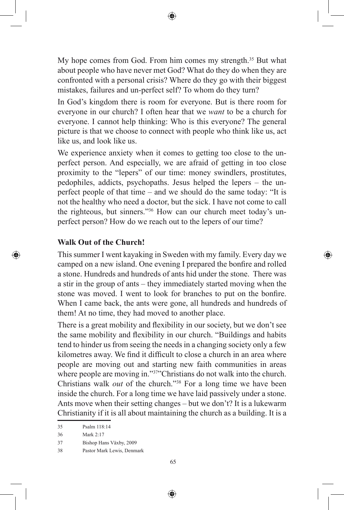My hope comes from God. From him comes my strength.<sup>35</sup> But what about people who have never met God? What do they do when they are confronted with a personal crisis? Where do they go with their biggest mistakes, failures and un-perfect self? To whom do they turn?

In God's kingdom there is room for everyone. But is there room for everyone in our church? I often hear that we *want* to be a church for everyone. I cannot help thinking: Who is this everyone? The general picture is that we choose to connect with people who think like us, act like us, and look like us.

We experience anxiety when it comes to getting too close to the unperfect person. And especially, we are afraid of getting in too close proximity to the "lepers" of our time: money swindlers, prostitutes, pedophiles, addicts, psychopaths. Jesus helped the lepers – the unperfect people of that time – and we should do the same today: "It is not the healthy who need a doctor, but the sick. I have not come to call the righteous, but sinners."36 How can our church meet today's unperfect person? How do we reach out to the lepers of our time?

#### **Walk Out of the Church!**

This summer I went kayaking in Sweden with my family. Every day we camped on a new island. One evening I prepared the bonfire and rolled a stone. Hundreds and hundreds of ants hid under the stone. There was a stir in the group of ants – they immediately started moving when the stone was moved. I went to look for branches to put on the bonfire. When I came back, the ants were gone, all hundreds and hundreds of them! At no time, they had moved to another place.

There is a great mobility and flexibility in our society, but we don't see the same mobility and flexibility in our church. "Buildings and habits tend to hinder us from seeing the needs in a changing society only a few kilometres away. We find it difficult to close a church in an area where people are moving out and starting new faith communities in areas where people are moving in."<sup>37"</sup>Christians do not walk into the church. Christians walk *out* of the church."38 For a long time we have been inside the church. For a long time we have laid passively under a stone. Ants move when their setting changes – but we don't? It is a lukewarm Christianity if it is all about maintaining the church as a building. It is a

<sup>35</sup> Psalm 118:14

<sup>36</sup> Mark 2:17

<sup>37</sup> Bishop Hans Växby, 2009

<sup>38</sup> Pastor Mark Lewis, Denmark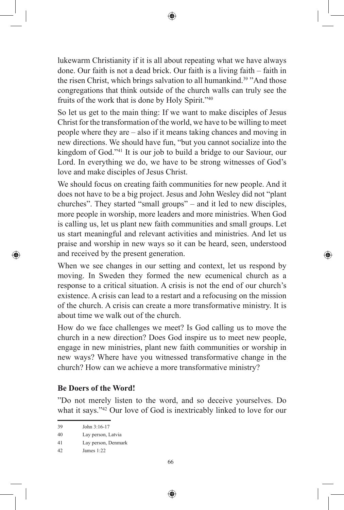lukewarm Christianity if it is all about repeating what we have always done. Our faith is not a dead brick. Our faith is a living faith – faith in the risen Christ, which brings salvation to all humankind.<sup>39</sup> "And those" congregations that think outside of the church walls can truly see the fruits of the work that is done by Holy Spirit."40

So let us get to the main thing: If we want to make disciples of Jesus Christ for the transformation of the world, we have to be willing to meet people where they are – also if it means taking chances and moving in new directions. We should have fun, "but you cannot socialize into the kingdom of God."41 It is our job to build a bridge to our Saviour, our Lord. In everything we do, we have to be strong witnesses of God's love and make disciples of Jesus Christ.

We should focus on creating faith communities for new people. And it does not have to be a big project. Jesus and John Wesley did not "plant churches". They started "small groups" – and it led to new disciples, more people in worship, more leaders and more ministries. When God is calling us, let us plant new faith communities and small groups. Let us start meaningful and relevant activities and ministries. And let us praise and worship in new ways so it can be heard, seen, understood and received by the present generation.

When we see changes in our setting and context, let us respond by moving. In Sweden they formed the new ecumenical church as a response to a critical situation. A crisis is not the end of our church's existence. A crisis can lead to a restart and a refocusing on the mission of the church. A crisis can create a more transformative ministry. It is about time we walk out of the church.

How do we face challenges we meet? Is God calling us to move the church in a new direction? Does God inspire us to meet new people, engage in new ministries, plant new faith communities or worship in new ways? Where have you witnessed transformative change in the church? How can we achieve a more transformative ministry?

## **Be Doers of the Word!**

"Do not merely listen to the word, and so deceive yourselves. Do what it says."42 Our love of God is inextricably linked to love for our

<sup>39</sup> John 3:16-17

<sup>40</sup> Lay person, Latvia

<sup>41</sup> Lay person, Denmark

<sup>42</sup> James 1:22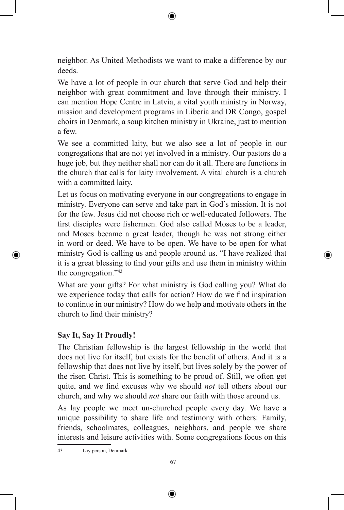neighbor. As United Methodists we want to make a difference by our deeds.

We have a lot of people in our church that serve God and help their neighbor with great commitment and love through their ministry. I can mention Hope Centre in Latvia, a vital youth ministry in Norway, mission and development programs in Liberia and DR Congo, gospel choirs in Denmark, a soup kitchen ministry in Ukraine, just to mention a few.

We see a committed laity, but we also see a lot of people in our congregations that are not yet involved in a ministry. Our pastors do a huge job, but they neither shall nor can do it all. There are functions in the church that calls for laity involvement. A vital church is a church with a committed laity.

Let us focus on motivating everyone in our congregations to engage in ministry. Everyone can serve and take part in God's mission. It is not for the few. Jesus did not choose rich or well-educated followers. The first disciples were fishermen. God also called Moses to be a leader, and Moses became a great leader, though he was not strong either in word or deed. We have to be open. We have to be open for what ministry God is calling us and people around us. "I have realized that it is a great blessing to find your gifts and use them in ministry within the congregation."43

What are your gifts? For what ministry is God calling you? What do we experience today that calls for action? How do we find inspiration to continue in our ministry? How do we help and motivate others in the church to find their ministry?

# **Say It, Say It Proudly!**

The Christian fellowship is the largest fellowship in the world that does not live for itself, but exists for the benefit of others. And it is a fellowship that does not live by itself, but lives solely by the power of the risen Christ. This is something to be proud of. Still, we often get quite, and we find excuses why we should *not* tell others about our church, and why we should *not* share our faith with those around us.

As lay people we meet un-churched people every day. We have a unique possibility to share life and testimony with others: Family, friends, schoolmates, colleagues, neighbors, and people we share interests and leisure activities with. Some congregations focus on this

<sup>43</sup> Lay person, Denmark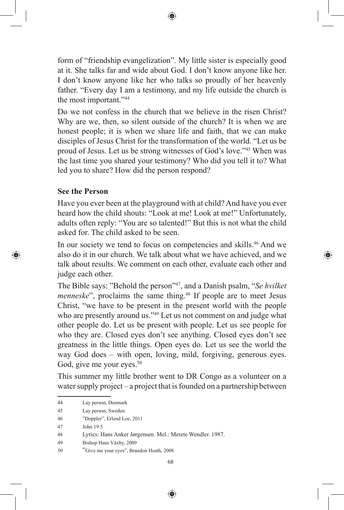form of "friendship evangelization". My little sister is especially good at it. She talks far and wide about God. I don't know anyone like her. I don't know anyone like her who talks so proudly of her heavenly father. "Every day I am a testimony, and my life outside the church is the most important."44

Do we not confess in the church that we believe in the risen Christ? Why are we, then, so silent outside of the church? It is when we are honest people; it is when we share life and faith, that we can make disciples of Jesus Christ for the transformation of the world. "Let us be proud of Jesus. Let us be strong witnesses of God's love."45 When was the last time you shared your testimony? Who did you tell it to? What led you to share? How did the person respond?

#### **See the Person**

Have you ever been at the playground with at child? And have you ever heard how the child shouts: "Look at me! Look at me!" Unfortunately, adults often reply: "You are so talented!" But this is not what the child asked for. The child asked to be seen.

In our society we tend to focus on competencies and skills.46 And we also do it in our church. We talk about what we have achieved, and we talk about results. We comment on each other, evaluate each other and judge each other.

The Bible says: "Behold the person"47, and a Danish psalm, "*Se hvilket menneske*", proclaims the same thing.<sup>48</sup> If people are to meet Jesus Christ, "we have to be present in the present world with the people who are presently around us."<sup>49</sup> Let us not comment on and judge what other people do. Let us be present with people. Let us see people for who they are. Closed eyes don't see anything. Closed eyes don't see greatness in the little things. Open eyes do. Let us see the world the way God does – with open, loving, mild, forgiving, generous eyes. God, give me your eyes.<sup>50</sup>

This summer my little brother went to DR Congo as a volunteer on a water supply project – a project that is founded on a partnership between

<sup>44</sup> Lay person, Denmark

<sup>45</sup> Lay person, Sweden

<sup>46</sup> "Doppler", Erlend Loe, 2011

<sup>47</sup> John 19:5

<sup>48</sup> Lyrics: Hans Anker Jørgensen. Mel.: Merete Wendler. 1987.

<sup>49</sup> Bishop Hans Växby, 2009

<sup>50 &</sup>quot;Give me your eyes", Brandon Heath, 2008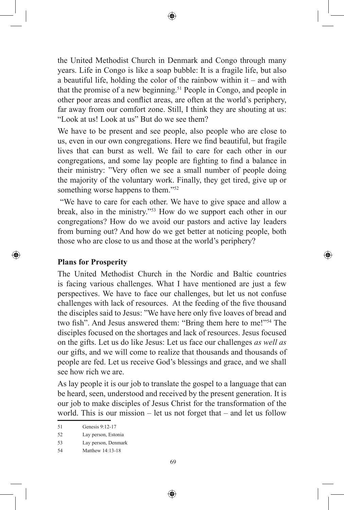the United Methodist Church in Denmark and Congo through many years. Life in Congo is like a soap bubble: It is a fragile life, but also a beautiful life, holding the color of the rainbow within it – and with that the promise of a new beginning.51 People in Congo, and people in other poor areas and conflict areas, are often at the world's periphery, far away from our comfort zone. Still, I think they are shouting at us: "Look at us! Look at us" But do we see them?

We have to be present and see people, also people who are close to us, even in our own congregations. Here we find beautiful, but fragile lives that can burst as well. We fail to care for each other in our congregations, and some lay people are fighting to find a balance in their ministry: "Very often we see a small number of people doing the majority of the voluntary work. Finally, they get tired, give up or something worse happens to them."<sup>52</sup>

 "We have to care for each other. We have to give space and allow a break, also in the ministry."53 How do we support each other in our congregations? How do we avoid our pastors and active lay leaders from burning out? And how do we get better at noticing people, both those who are close to us and those at the world's periphery?

#### **Plans for Prosperity**

The United Methodist Church in the Nordic and Baltic countries is facing various challenges. What I have mentioned are just a few perspectives. We have to face our challenges, but let us not confuse challenges with lack of resources. At the feeding of the five thousand the disciples said to Jesus: "We have here only five loaves of bread and two fish". And Jesus answered them: "Bring them here to me!"<sup>54</sup> The disciples focused on the shortages and lack of resources. Jesus focused on the gifts. Let us do like Jesus: Let us face our challenges *as well as* our gifts, and we will come to realize that thousands and thousands of people are fed. Let us receive God's blessings and grace, and we shall see how rich we are.

As lay people it is our job to translate the gospel to a language that can be heard, seen, understood and received by the present generation. It is our job to make disciples of Jesus Christ for the transformation of the world. This is our mission – let us not forget that – and let us follow

<sup>51</sup> Genesis 9:12-17

<sup>52</sup> Lay person, Estonia

<sup>53</sup> Lay person, Denmark

<sup>54</sup> Matthew 14:13-18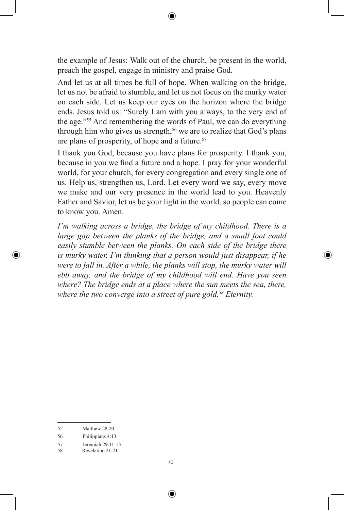the example of Jesus: Walk out of the church, be present in the world, preach the gospel, engage in ministry and praise God.

And let us at all times be full of hope. When walking on the bridge, let us not be afraid to stumble, and let us not focus on the murky water on each side. Let us keep our eyes on the horizon where the bridge ends. Jesus told us: "Surely I am with you always, to the very end of the age."55 And remembering the words of Paul, we can do everything through him who gives us strength, $56$  we are to realize that God's plans are plans of prosperity, of hope and a future.<sup>57</sup>

I thank you God, because you have plans for prosperity. I thank you, because in you we find a future and a hope. I pray for your wonderful world, for your church, for every congregation and every single one of us. Help us, strengthen us, Lord. Let every word we say, every move we make and our very presence in the world lead to you. Heavenly Father and Savior, let us be your light in the world, so people can come to know you. Amen.

*I'm walking across a bridge, the bridge of my childhood. There is a*  large gap between the planks of the bridge, and a small foot could *easily stumble between the planks. On each side of the bridge there is murky water. I'm thinking that a person would just disappear, if he were to fall in. After a while, the planks will stop, the murky water will ebb away, and the bridge of my childhood will end. Have you seen where? The bridge ends at a place where the sun meets the sea, there, where the two converge into a street of pure gold.58 Eternity.*

<sup>55</sup> Matthew 28:20

<sup>56</sup> Philippians 4:13

<sup>57</sup> Jeremiah 29:11-13

<sup>58</sup> Revelation 21:21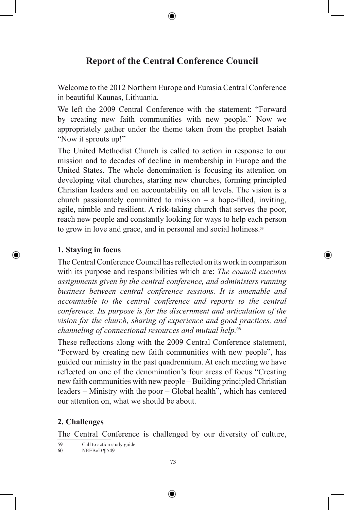# **Report of the Central Conference Council**

Welcome to the 2012 Northern Europe and Eurasia Central Conference in beautiful Kaunas, Lithuania.

We left the 2009 Central Conference with the statement: "Forward by creating new faith communities with new people." Now we appropriately gather under the theme taken from the prophet Isaiah "Now it sprouts up!"

The United Methodist Church is called to action in response to our mission and to decades of decline in membership in Europe and the United States. The whole denomination is focusing its attention on developing vital churches, starting new churches, forming principled Christian leaders and on accountability on all levels. The vision is a church passionately committed to mission – a hope-filled, inviting, agile, nimble and resilient. A risk-taking church that serves the poor, reach new people and constantly looking for ways to help each person to grow in love and grace, and in personal and social holiness.<sup>59</sup>

# **1. Staying in focus**

The Central Conference Council has reflected on its work in comparison with its purpose and responsibilities which are: *The council executes assignments given by the central conference, and administers running business between central conference sessions. It is amenable and accountable to the central conference and reports to the central conference. Its purpose is for the discernment and articulation of the vision for the church, sharing of experience and good practices, and channeling of connectional resources and mutual help.60*

These reflections along with the 2009 Central Conference statement, "Forward by creating new faith communities with new people", has guided our ministry in the past quadrennium. At each meeting we have reflected on one of the denomination's four areas of focus "Creating new faith communities with new people – Building principled Christian leaders – Ministry with the poor – Global health", which has centered our attention on, what we should be about.

# **2. Challenges**

The Central Conference is challenged by our diversity of culture,

59 Call to action study guide

60 NEEBoD ¶ 549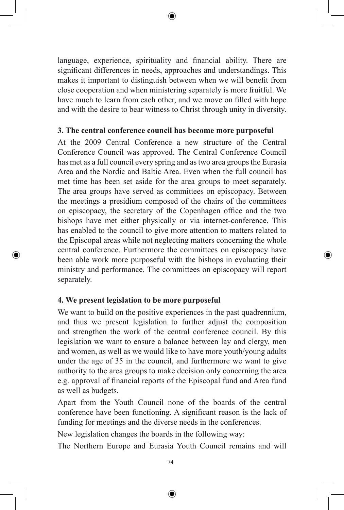language, experience, spirituality and financial ability. There are significant differences in needs, approaches and understandings. This makes it important to distinguish between when we will benefit from close cooperation and when ministering separately is more fruitful. We have much to learn from each other, and we move on filled with hope and with the desire to bear witness to Christ through unity in diversity.

#### **3. The central conference council has become more purposeful**

At the 2009 Central Conference a new structure of the Central Conference Council was approved. The Central Conference Council has met as a full council every spring and as two area groups the Eurasia Area and the Nordic and Baltic Area. Even when the full council has met time has been set aside for the area groups to meet separately. The area groups have served as committees on episcopacy. Between the meetings a presidium composed of the chairs of the committees on episcopacy, the secretary of the Copenhagen office and the two bishops have met either physically or via internet-conference. This has enabled to the council to give more attention to matters related to the Episcopal areas while not neglecting matters concerning the whole central conference. Furthermore the committees on episcopacy have been able work more purposeful with the bishops in evaluating their ministry and performance. The committees on episcopacy will report separately.

# **4. We present legislation to be more purposeful**

We want to build on the positive experiences in the past quadrennium, and thus we present legislation to further adjust the composition and strengthen the work of the central conference council. By this legislation we want to ensure a balance between lay and clergy, men and women, as well as we would like to have more youth/young adults under the age of 35 in the council, and furthermore we want to give authority to the area groups to make decision only concerning the area e.g. approval of financial reports of the Episcopal fund and Area fund as well as budgets.

Apart from the Youth Council none of the boards of the central conference have been functioning. A significant reason is the lack of funding for meetings and the diverse needs in the conferences.

New legislation changes the boards in the following way:

The Northern Europe and Eurasia Youth Council remains and will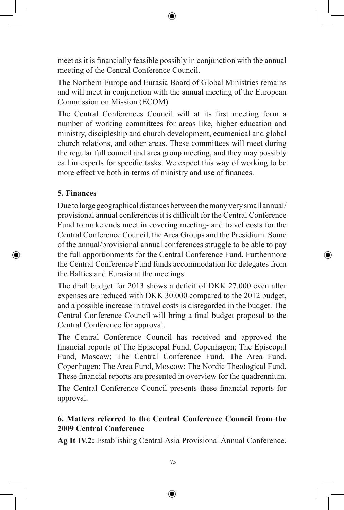meet as it is financially feasible possibly in conjunction with the annual meeting of the Central Conference Council.

The Northern Europe and Eurasia Board of Global Ministries remains and will meet in conjunction with the annual meeting of the European Commission on Mission (ECOM)

The Central Conferences Council will at its first meeting form a number of working committees for areas like, higher education and ministry, discipleship and church development, ecumenical and global church relations, and other areas. These committees will meet during the regular full council and area group meeting, and they may possibly call in experts for specific tasks. We expect this way of working to be more effective both in terms of ministry and use of finances.

# **5. Finances**

Due to large geographical distances between the many very small annual/ provisional annual conferences it is difficult for the Central Conference Fund to make ends meet in covering meeting- and travel costs for the Central Conference Council, the Area Groups and the Presidium. Some of the annual/provisional annual conferences struggle to be able to pay the full apportionments for the Central Conference Fund. Furthermore the Central Conference Fund funds accommodation for delegates from the Baltics and Eurasia at the meetings.

The draft budget for 2013 shows a deficit of DKK 27.000 even after expenses are reduced with DKK 30.000 compared to the 2012 budget, and a possible increase in travel costs is disregarded in the budget. The Central Conference Council will bring a final budget proposal to the Central Conference for approval.

The Central Conference Council has received and approved the financial reports of The Episcopal Fund, Copenhagen; The Episcopal Fund, Moscow; The Central Conference Fund, The Area Fund, Copenhagen; The Area Fund, Moscow; The Nordic Theological Fund. These financial reports are presented in overview for the quadrennium.

The Central Conference Council presents these financial reports for approval.

# **6. Matters referred to the Central Conference Council from the 2009 Central Conference**

**Ag It IV.2:** Establishing Central Asia Provisional Annual Conference.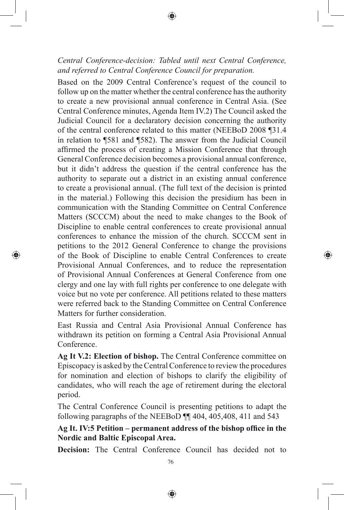## *Central Conference-decision: Tabled until next Central Conference, and referred to Central Conference Council for preparation.*

Based on the 2009 Central Conference's request of the council to follow up on the matter whether the central conference has the authority to create a new provisional annual conference in Central Asia. (See Central Conference minutes, Agenda Item IV.2) The Council asked the Judicial Council for a declaratory decision concerning the authority of the central conference related to this matter (NEEBoD 2008 ¶31.4 in relation to ¶581 and ¶582). The answer from the Judicial Council affirmed the process of creating a Mission Conference that through General Conference decision becomes a provisional annual conference, but it didn't address the question if the central conference has the authority to separate out a district in an existing annual conference to create a provisional annual. (The full text of the decision is printed in the material.) Following this decision the presidium has been in communication with the Standing Committee on Central Conference Matters (SCCCM) about the need to make changes to the Book of Discipline to enable central conferences to create provisional annual conferences to enhance the mission of the church. SCCCM sent in petitions to the 2012 General Conference to change the provisions of the Book of Discipline to enable Central Conferences to create Provisional Annual Conferences, and to reduce the representation of Provisional Annual Conferences at General Conference from one clergy and one lay with full rights per conference to one delegate with voice but no vote per conference. All petitions related to these matters were referred back to the Standing Committee on Central Conference Matters for further consideration.

East Russia and Central Asia Provisional Annual Conference has withdrawn its petition on forming a Central Asia Provisional Annual Conference.

**Ag It V.2: Election of bishop.** The Central Conference committee on Episcopacy is asked by the Central Conference to review the procedures for nomination and election of bishops to clarify the eligibility of candidates, who will reach the age of retirement during the electoral period.

The Central Conference Council is presenting petitions to adapt the following paragraphs of the NEEBoD ¶¶ 404, 405,408, 411 and 543

#### **Ag It. IV:5 Petition – permanent address of the bishop office in the Nordic and Baltic Episcopal Area.**

**Decision:** The Central Conference Council has decided not to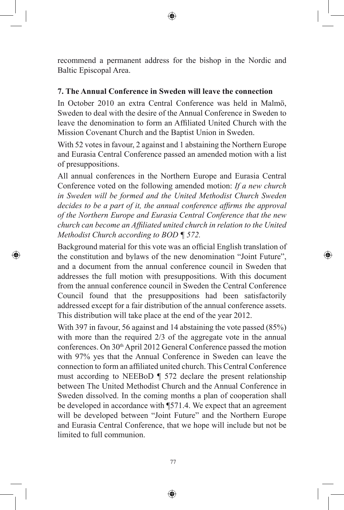recommend a permanent address for the bishop in the Nordic and Baltic Episcopal Area.

## **7. The Annual Conference in Sweden will leave the connection**

In October 2010 an extra Central Conference was held in Malmö, Sweden to deal with the desire of the Annual Conference in Sweden to leave the denomination to form an Affiliated United Church with the Mission Covenant Church and the Baptist Union in Sweden.

With 52 votes in favour, 2 against and 1 abstaining the Northern Europe and Eurasia Central Conference passed an amended motion with a list of presuppositions.

All annual conferences in the Northern Europe and Eurasia Central Conference voted on the following amended motion: *If a new church in Sweden will be formed and the United Methodist Church Sweden decides to be a part of it, the annual conference affirms the approval of the Northern Europe and Eurasia Central Conference that the new church can become an Affiliated united church in relation to the United Methodist Church according to BOD ¶ 572.* 

Background material for this vote was an official English translation of the constitution and bylaws of the new denomination "Joint Future", and a document from the annual conference council in Sweden that addresses the full motion with presuppositions. With this document from the annual conference council in Sweden the Central Conference Council found that the presuppositions had been satisfactorily addressed except for a fair distribution of the annual conference assets. This distribution will take place at the end of the year 2012.

With 397 in favour, 56 against and 14 abstaining the vote passed (85%) with more than the required 2/3 of the aggregate vote in the annual conferences. On 30th April 2012 General Conference passed the motion with 97% yes that the Annual Conference in Sweden can leave the connection to form an affiliated united church. This Central Conference must according to NEEBoD ¶ 572 declare the present relationship between The United Methodist Church and the Annual Conference in Sweden dissolved. In the coming months a plan of cooperation shall be developed in accordance with ¶571.4. We expect that an agreement will be developed between "Joint Future" and the Northern Europe and Eurasia Central Conference, that we hope will include but not be limited to full communion.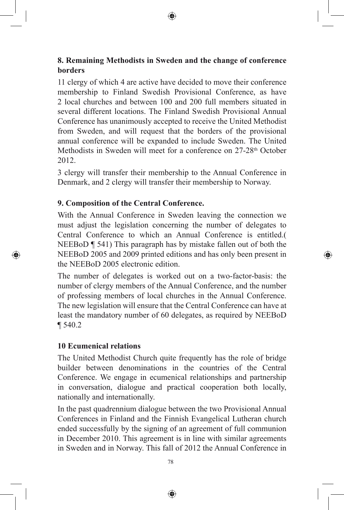# **8. Remaining Methodists in Sweden and the change of conference borders**

11 clergy of which 4 are active have decided to move their conference membership to Finland Swedish Provisional Conference, as have 2 local churches and between 100 and 200 full members situated in several different locations. The Finland Swedish Provisional Annual Conference has unanimously accepted to receive the United Methodist from Sweden, and will request that the borders of the provisional annual conference will be expanded to include Sweden. The United Methodists in Sweden will meet for a conference on 27-28<sup>th</sup> October 2012.

3 clergy will transfer their membership to the Annual Conference in Denmark, and 2 clergy will transfer their membership to Norway.

# **9. Composition of the Central Conference.**

With the Annual Conference in Sweden leaving the connection we must adjust the legislation concerning the number of delegates to Central Conference to which an Annual Conference is entitled.( NEEBoD ¶ 541) This paragraph has by mistake fallen out of both the NEEBoD 2005 and 2009 printed editions and has only been present in the NEEBoD 2005 electronic edition.

The number of delegates is worked out on a two-factor-basis: the number of clergy members of the Annual Conference, and the number of professing members of local churches in the Annual Conference. The new legislation will ensure that the Central Conference can have at least the mandatory number of 60 delegates, as required by NEEBoD ¶ 540.2

# **10 Ecumenical relations**

The United Methodist Church quite frequently has the role of bridge builder between denominations in the countries of the Central Conference. We engage in ecumenical relationships and partnership in conversation, dialogue and practical cooperation both locally, nationally and internationally.

In the past quadrennium dialogue between the two Provisional Annual Conferences in Finland and the Finnish Evangelical Lutheran church ended successfully by the signing of an agreement of full communion in December 2010. This agreement is in line with similar agreements in Sweden and in Norway. This fall of 2012 the Annual Conference in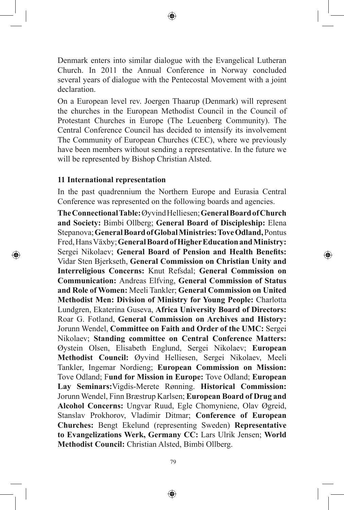Denmark enters into similar dialogue with the Evangelical Lutheran Church. In 2011 the Annual Conference in Norway concluded several years of dialogue with the Pentecostal Movement with a joint declaration.

On a European level rev. Joergen Thaarup (Denmark) will represent the churches in the European Methodist Council in the Council of Protestant Churches in Europe (The Leuenberg Community). The Central Conference Council has decided to intensify its involvement The Community of European Churches (CEC), where we previously have been members without sending a representative. In the future we will be represented by Bishop Christian Alsted.

#### **11 International representation**

In the past quadrennium the Northern Europe and Eurasia Central Conference was represented on the following boards and agencies.

**The Connectional Table:** Øyvind Helliesen; **General Board of Church and Society:** Bimbi Ollberg; **General Board of Discipleship:** Elena Stepanova; **General Board of Global Ministries: Tove Odland,** Pontus Fred, Hans Växby; **General Board of Higher Education and Ministry:**  Sergei Nikolaev; **General Board of Pension and Health Benefits:**  Vidar Sten Bjerkseth, **General Commission on Christian Unity and Interreligious Concerns:** Knut Refsdal; **General Commission on Communication:** Andreas Elfving, **General Commission of Status and Role of Women:** Meeli Tankler; **General Commission on United Methodist Men: Division of Ministry for Young People:** Charlotta Lundgren, Ekaterina Guseva, **Africa University Board of Directors:**  Roar G. Fotland, **General Commission on Archives and History:**  Jorunn Wendel, **Committee on Faith and Order of the UMC:** Sergei Nikolaev; **Standing committee on Central Conference Matters:**  Øystein Olsen, Elisabeth Englund, Sergei Nikolaev; **European Methodist Council:** Øyvind Helliesen, Sergei Nikolaev, Meeli Tankler, Ingemar Nordieng; **European Commission on Mission:**  Tove Odland; F**und for Mission in Europe:** Tove Odland; **European Lay Seminars:**Vigdis-Merete Rønning. **Historical Commission:**  Jorunn Wendel, Finn Bræstrup Karlsen; **European Board of Drug and Alcohol Concerns:** Ungvar Ruud, Egle Chomyniene, Olav Øgreid, Stanslav Prokhorov, Vladimir Ditmar; **Conference of European Churches:** Bengt Ekelund (representing Sweden) **Representative to Evangelizations Werk, Germany CC:** Lars Ulrik Jensen; **World Methodist Council:** Christian Alsted, Bimbi Ollberg.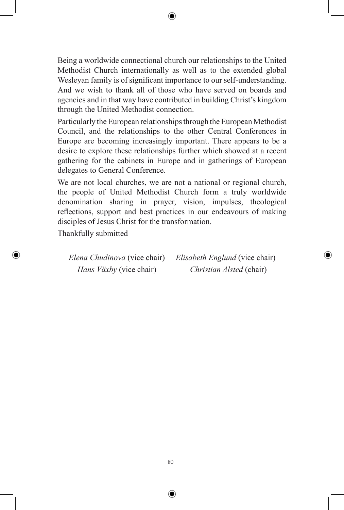Being a worldwide connectional church our relationships to the United Methodist Church internationally as well as to the extended global Wesleyan family is of significant importance to our self-understanding. And we wish to thank all of those who have served on boards and agencies and in that way have contributed in building Christ's kingdom through the United Methodist connection.

Particularly the European relationships through the European Methodist Council, and the relationships to the other Central Conferences in Europe are becoming increasingly important. There appears to be a desire to explore these relationships further which showed at a recent gathering for the cabinets in Europe and in gatherings of European delegates to General Conference.

We are not local churches, we are not a national or regional church, the people of United Methodist Church form a truly worldwide denomination sharing in prayer, vision, impulses, theological reflections, support and best practices in our endeavours of making disciples of Jesus Christ for the transformation.

Thankfully submitted

*Elena Chudinova* (vice chair) *Elisabeth Englund* (vice chair) *Hans Växby* (vice chair) *Christian Alsted* (chair)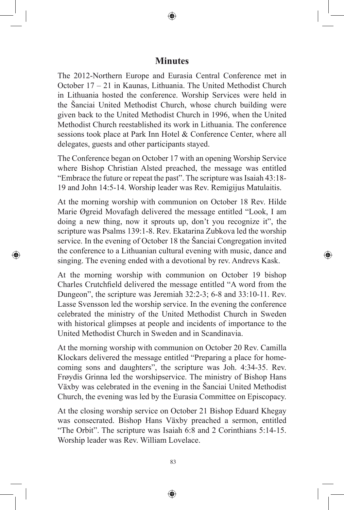# **Minutes**

The 2012-Northern Europe and Eurasia Central Conference met in October 17 – 21 in Kaunas, Lithuania. The United Methodist Church in Lithuania hosted the conference. Worship Services were held in the Šanciai United Methodist Church, whose church building were given back to the United Methodist Church in 1996, when the United Methodist Church reestablished its work in Lithuania. The conference sessions took place at Park Inn Hotel & Conference Center, where all delegates, guests and other participants stayed.

The Conference began on October 17 with an opening Worship Service where Bishop Christian Alsted preached, the message was entitled "Embrace the future or repeat the past". The scripture was Isaiah 43:18- 19 and John 14:5-14. Worship leader was Rev. Remigijus Matulaitis.

At the morning worship with communion on October 18 Rev. Hilde Marie Øgreid Movafagh delivered the message entitled "Look, I am doing a new thing, now it sprouts up, don't you recognize it", the scripture was Psalms 139:1-8. Rev. Ekatarina Zubkova led the worship service. In the evening of October 18 the Šanciai Congregation invited the conference to a Lithuanian cultural evening with music, dance and singing. The evening ended with a devotional by rev. Andrevs Kask.

At the morning worship with communion on October 19 bishop Charles Crutchfield delivered the message entitled "A word from the Dungeon", the scripture was Jeremiah 32:2-3; 6-8 and 33:10-11. Rev. Lasse Svensson led the worship service. In the evening the conference celebrated the ministry of the United Methodist Church in Sweden with historical glimpses at people and incidents of importance to the United Methodist Church in Sweden and in Scandinavia.

At the morning worship with communion on October 20 Rev. Camilla Klockars delivered the message entitled "Preparing a place for homecoming sons and daughters", the scripture was Joh. 4:34-35. Rev. Frøydis Grinna led the worshipservice. The ministry of Bishop Hans Växby was celebrated in the evening in the Šanciai United Methodist Church, the evening was led by the Eurasia Committee on Episcopacy.

At the closing worship service on October 21 Bishop Eduard Khegay was consecrated. Bishop Hans Växby preached a sermon, entitled "The Orbit". The scripture was Isaiah 6:8 and 2 Corinthians 5:14-15. Worship leader was Rev. William Lovelace.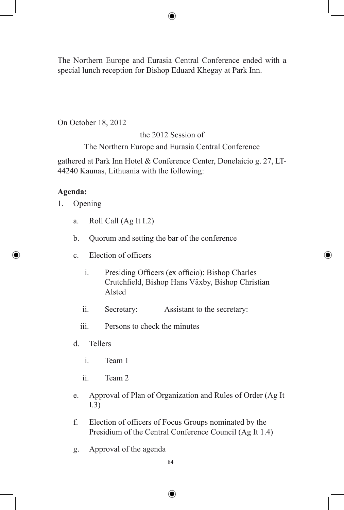The Northern Europe and Eurasia Central Conference ended with a special lunch reception for Bishop Eduard Khegay at Park Inn.

On October 18, 2012

## the 2012 Session of

# The Northern Europe and Eurasia Central Conference

gathered at Park Inn Hotel & Conference Center, Donelaicio g. 27, LT-44240 Kaunas, Lithuania with the following:

## **Agenda:**

- 1. Opening
	- a. Roll Call (Ag It I.2)
	- b. Quorum and setting the bar of the conference
	- c. Election of officers
		- i. Presiding Officers (ex officio): Bishop Charles Crutchfield, Bishop Hans Växby, Bishop Christian Alsted
		- ii. Secretary: Assistant to the secretary:
		- iii. Persons to check the minutes
	- d. Tellers
		- i. Team 1
		- ii. Team 2
	- e. Approval of Plan of Organization and Rules of Order (Ag It I.3)
	- f. Election of officers of Focus Groups nominated by the Presidium of the Central Conference Council (Ag It 1.4)
	- g. Approval of the agenda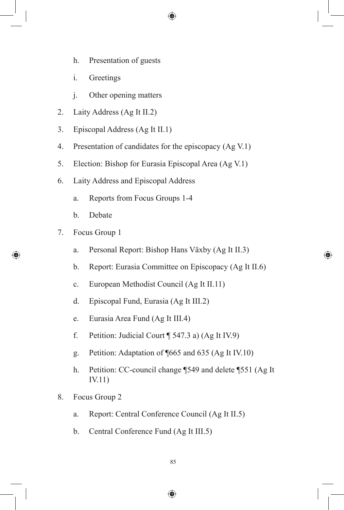- h. Presentation of guests
- i. Greetings
- j. Other opening matters
- 2. Laity Address (Ag It II.2)
- 3. Episcopal Address (Ag It II.1)
- 4. Presentation of candidates for the episcopacy (Ag V.1)
- 5. Election: Bishop for Eurasia Episcopal Area (Ag V.1)
- 6. Laity Address and Episcopal Address
	- a. Reports from Focus Groups 1-4
	- b. Debate
- 7. Focus Group 1
	- a. Personal Report: Bishop Hans Växby (Ag It II.3)
	- b. Report: Eurasia Committee on Episcopacy (Ag It II.6)
	- c. European Methodist Council (Ag It II.11)
	- d. Episcopal Fund, Eurasia (Ag It III.2)
	- e. Eurasia Area Fund (Ag It III.4)
	- f. Petition: Judicial Court  $\P$  547.3 a) (Ag It IV.9)
	- g. Petition: Adaptation of ¶665 and 635 (Ag It IV.10)
	- h. Petition: CC-council change ¶549 and delete ¶551 (Ag It IV.11)
- 8. Focus Group 2
	- a. Report: Central Conference Council (Ag It II.5)
	- b. Central Conference Fund (Ag It III.5)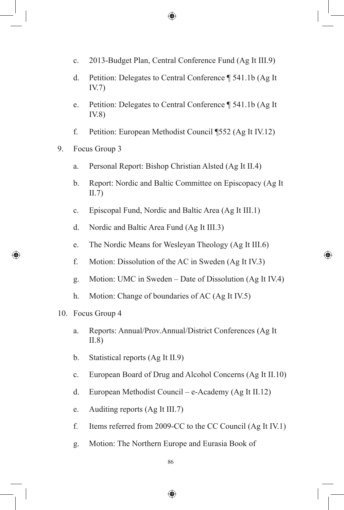- c. 2013-Budget Plan, Central Conference Fund (Ag It III.9)
- d. Petition: Delegates to Central Conference ¶ 541.1b (Ag It IV.7)
- e. Petition: Delegates to Central Conference ¶ 541.1b (Ag It IV.8)
- f. Petition: European Methodist Council ¶552 (Ag It IV.12)
- 9. Focus Group 3
	- a. Personal Report: Bishop Christian Alsted (Ag It II.4)
	- b. Report: Nordic and Baltic Committee on Episcopacy (Ag It II.7)
	- c. Episcopal Fund, Nordic and Baltic Area (Ag It III.1)
	- d. Nordic and Baltic Area Fund (Ag It III.3)
	- e. The Nordic Means for Wesleyan Theology (Ag It III.6)
	- f. Motion: Dissolution of the AC in Sweden (Ag It IV.3)
	- g. Motion: UMC in Sweden Date of Dissolution (Ag It IV.4)
	- h. Motion: Change of boundaries of AC (Ag It IV.5)
- 10. Focus Group 4
	- a. Reports: Annual/Prov.Annual/District Conferences (Ag It II.8)
	- b. Statistical reports (Ag It II.9)
	- c. European Board of Drug and Alcohol Concerns (Ag It II.10)
	- d. European Methodist Council e-Academy (Ag It II.12)
	- e. Auditing reports (Ag It III.7)
	- f. Items referred from 2009-CC to the CC Council (Ag It IV.1)
	- g. Motion: The Northern Europe and Eurasia Book of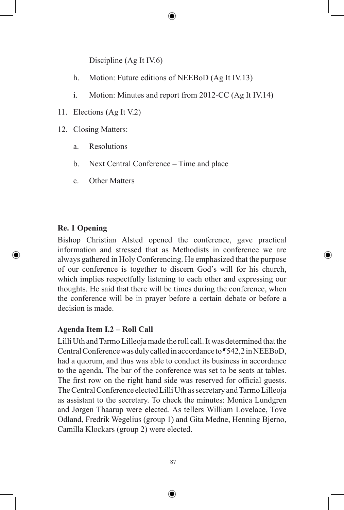Discipline (Ag It IV.6)

- h. Motion: Future editions of NEEBoD (Ag It IV.13)
- i. Motion: Minutes and report from 2012-CC (Ag It IV.14)
- 11. Elections (Ag It V.2)
- 12. Closing Matters:
	- a. Resolutions
	- b. Next Central Conference Time and place
	- c. Other Matters

# **Re. 1 Opening**

Bishop Christian Alsted opened the conference, gave practical information and stressed that as Methodists in conference we are always gathered in Holy Conferencing. He emphasized that the purpose of our conference is together to discern God's will for his church, which implies respectfully listening to each other and expressing our thoughts. He said that there will be times during the conference, when the conference will be in prayer before a certain debate or before a decision is made

# **Agenda Item I.2 – Roll Call**

Lilli Uth and Tarmo Lilleoja made the roll call. It was determined that the Central Conference was duly called in accordance to ¶542,2 in NEEBoD, had a quorum, and thus was able to conduct its business in accordance to the agenda. The bar of the conference was set to be seats at tables. The first row on the right hand side was reserved for official guests. The Central Conference elected Lilli Uth as secretary and Tarmo Lilleoja as assistant to the secretary. To check the minutes: Monica Lundgren and Jørgen Thaarup were elected. As tellers William Lovelace, Tove Odland, Fredrik Wegelius (group 1) and Gita Medne, Henning Bjerno, Camilla Klockars (group 2) were elected.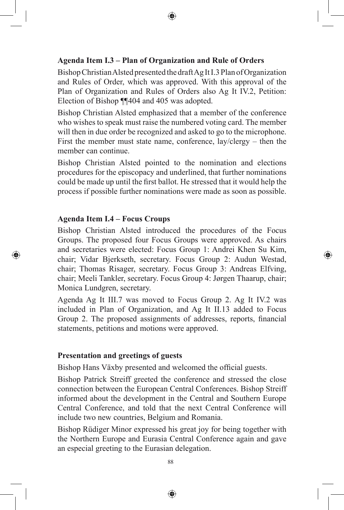## **Agenda Item I.3 – Plan of Organization and Rule of Orders**

Bishop Christian Alsted presented the draft Ag It I.3 Plan of Organization and Rules of Order, which was approved. With this approval of the Plan of Organization and Rules of Orders also Ag It IV.2, Petition: Election of Bishop ¶¶404 and 405 was adopted.

Bishop Christian Alsted emphasized that a member of the conference who wishes to speak must raise the numbered voting card. The member will then in due order be recognized and asked to go to the microphone. First the member must state name, conference, lay/clergy – then the member can continue.

Bishop Christian Alsted pointed to the nomination and elections procedures for the episcopacy and underlined, that further nominations could be made up until the first ballot. He stressed that it would help the process if possible further nominations were made as soon as possible.

#### **Agenda Item I.4 – Focus Croups**

Bishop Christian Alsted introduced the procedures of the Focus Groups. The proposed four Focus Groups were approved. As chairs and secretaries were elected: Focus Group 1: Andrei Khen Su Kim, chair; Vidar Bjerkseth, secretary. Focus Group 2: Audun Westad, chair; Thomas Risager, secretary. Focus Group 3: Andreas Elfving, chair; Meeli Tankler, secretary. Focus Group 4: Jørgen Thaarup, chair; Monica Lundgren, secretary.

Agenda Ag It III.7 was moved to Focus Group 2. Ag It IV.2 was included in Plan of Organization, and Ag It II.13 added to Focus Group 2. The proposed assignments of addresses, reports, financial statements, petitions and motions were approved.

#### **Presentation and greetings of guests**

Bishop Hans Växby presented and welcomed the official guests.

Bishop Patrick Streiff greeted the conference and stressed the close connection between the European Central Conferences. Bishop Streiff informed about the development in the Central and Southern Europe Central Conference, and told that the next Central Conference will include two new countries, Belgium and Romania.

Bishop Rüdiger Minor expressed his great joy for being together with the Northern Europe and Eurasia Central Conference again and gave an especial greeting to the Eurasian delegation.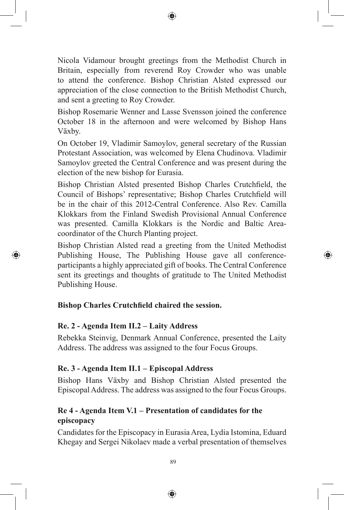Nicola Vidamour brought greetings from the Methodist Church in Britain, especially from reverend Roy Crowder who was unable to attend the conference. Bishop Christian Alsted expressed our appreciation of the close connection to the British Methodist Church, and sent a greeting to Roy Crowder.

Bishop Rosemarie Wenner and Lasse Svensson joined the conference October 18 in the afternoon and were welcomed by Bishop Hans Växby.

On October 19, Vladimir Samoylov, general secretary of the Russian Protestant Association, was welcomed by Elena Chudinova. Vladimir Samoylov greeted the Central Conference and was present during the election of the new bishop for Eurasia.

Bishop Christian Alsted presented Bishop Charles Crutchfield, the Council of Bishops' representative; Bishop Charles Crutchfield will be in the chair of this 2012-Central Conference. Also Rev. Camilla Klokkars from the Finland Swedish Provisional Annual Conference was presented. Camilla Klokkars is the Nordic and Baltic Areacoordinator of the Church Planting project.

Bishop Christian Alsted read a greeting from the United Methodist Publishing House, The Publishing House gave all conferenceparticipants a highly appreciated gift of books. The Central Conference sent its greetings and thoughts of gratitude to The United Methodist Publishing House.

#### **Bishop Charles Crutchfield chaired the session.**

# **Re. 2 - Agenda Item II.2 – Laity Address**

Rebekka Steinvig, Denmark Annual Conference, presented the Laity Address. The address was assigned to the four Focus Groups.

# **Re. 3 - Agenda Item II.1 – Episcopal Address**

Bishop Hans Växby and Bishop Christian Alsted presented the Episcopal Address. The address was assigned to the four Focus Groups.

# **Re 4 - Agenda Item V.1 – Presentation of candidates for the episcopacy**

Candidates for the Episcopacy in Eurasia Area, Lydia Istomina, Eduard Khegay and Sergei Nikolaev made a verbal presentation of themselves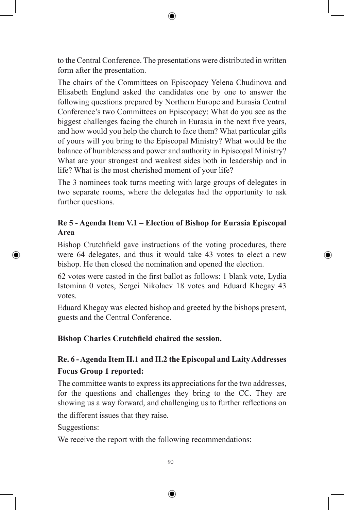to the Central Conference. The presentations were distributed in written form after the presentation.

The chairs of the Committees on Episcopacy Yelena Chudinova and Elisabeth Englund asked the candidates one by one to answer the following questions prepared by Northern Europe and Eurasia Central Conference's two Committees on Episcopacy: What do you see as the biggest challenges facing the church in Eurasia in the next five years, and how would you help the church to face them? What particular gifts of yours will you bring to the Episcopal Ministry? What would be the balance of humbleness and power and authority in Episcopal Ministry? What are your strongest and weakest sides both in leadership and in life? What is the most cherished moment of your life?

The 3 nominees took turns meeting with large groups of delegates in two separate rooms, where the delegates had the opportunity to ask further questions.

# **Re 5 - Agenda Item V.1 – Election of Bishop for Eurasia Episcopal Area**

Bishop Crutchfield gave instructions of the voting procedures, there were 64 delegates, and thus it would take 43 votes to elect a new bishop. He then closed the nomination and opened the election.

62 votes were casted in the first ballot as follows: 1 blank vote, Lydia Istomina 0 votes, Sergei Nikolaev 18 votes and Eduard Khegay 43 votes.

Eduard Khegay was elected bishop and greeted by the bishops present, guests and the Central Conference.

# **Bishop Charles Crutchfield chaired the session.**

# **Re. 6 - Agenda Item II.1 and II.2 the Episcopal and Laity Addresses Focus Group 1 reported:**

The committee wants to express its appreciations for the two addresses, for the questions and challenges they bring to the CC. They are showing us a way forward, and challenging us to further reflections on the different issues that they raise.

Suggestions:

We receive the report with the following recommendations: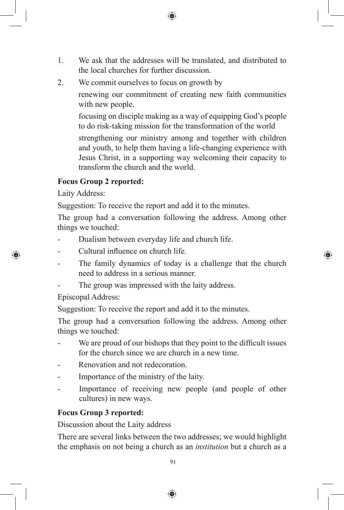- 1. We ask that the addresses will be translated, and distributed to the local churches for further discussion.
- 2. We commit ourselves to focus on growth by

renewing our commitment of creating new faith communities with new people.

focusing on disciple making as a way of equipping God's people to do risk-taking mission for the transformation of the world

strengthening our ministry among and together with children and youth, to help them having a life-changing experience with Jesus Christ, in a supporting way welcoming their capacity to transform the church and the world.

# **Focus Group 2 reported:**

Laity Address:

Suggestion: To receive the report and add it to the minutes.

The group had a conversation following the address. Among other things we touched:

- Dualism between everyday life and church life.
- Cultural influence on church life.
- The family dynamics of today is a challenge that the church need to address in a serious manner.
- The group was impressed with the laity address.

Episcopal Address:

Suggestion: To receive the report and add it to the minutes.

The group had a conversation following the address. Among other things we touched:

- We are proud of our bishops that they point to the difficult issues for the church since we are church in a new time.
- Renovation and not redecoration.
- Importance of the ministry of the laity.
- Importance of receiving new people (and people of other cultures) in new ways.

# **Focus Group 3 reported:**

Discussion about the Laity address

There are several links between the two addresses; we would highlight the emphasis on not being a church as an *institution* but a church as a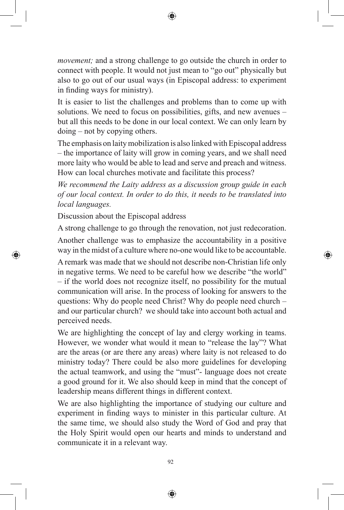*movement;* and a strong challenge to go outside the church in order to connect with people. It would not just mean to "go out" physically but also to go out of our usual ways (in Episcopal address: to experiment in finding ways for ministry).

It is easier to list the challenges and problems than to come up with solutions. We need to focus on possibilities, gifts, and new avenues – but all this needs to be done in our local context. We can only learn by doing – not by copying others.

The emphasis on laity mobilization is also linked with Episcopal address – the importance of laity will grow in coming years, and we shall need more laity who would be able to lead and serve and preach and witness. How can local churches motivate and facilitate this process?

*We recommend the Laity address as a discussion group guide in each of our local context. In order to do this, it needs to be translated into local languages.*

Discussion about the Episcopal address

A strong challenge to go through the renovation, not just redecoration.

Another challenge was to emphasize the accountability in a positive way in the midst of a culture where no-one would like to be accountable.

A remark was made that we should not describe non-Christian life only in negative terms. We need to be careful how we describe "the world" – if the world does not recognize itself, no possibility for the mutual communication will arise. In the process of looking for answers to the questions: Why do people need Christ? Why do people need church – and our particular church? we should take into account both actual and perceived needs.

We are highlighting the concept of lay and clergy working in teams. However, we wonder what would it mean to "release the lay"? What are the areas (or are there any areas) where laity is not released to do ministry today? There could be also more guidelines for developing the actual teamwork, and using the "must"- language does not create a good ground for it. We also should keep in mind that the concept of leadership means different things in different context.

We are also highlighting the importance of studying our culture and experiment in finding ways to minister in this particular culture. At the same time, we should also study the Word of God and pray that the Holy Spirit would open our hearts and minds to understand and communicate it in a relevant way.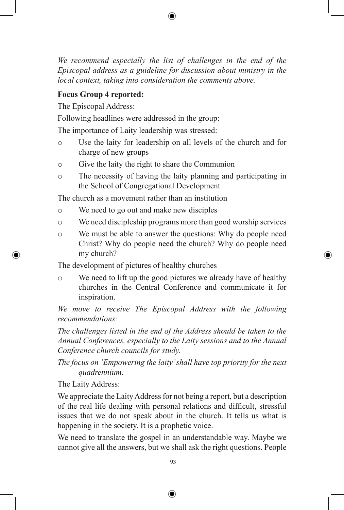*We recommend especially the list of challenges in the end of the Episcopal address as a guideline for discussion about ministry in the local context, taking into consideration the comments above.* 

# **Focus Group 4 reported:**

The Episcopal Address:

Following headlines were addressed in the group:

The importance of Laity leadership was stressed:

- o Use the laity for leadership on all levels of the church and for charge of new groups
- o Give the laity the right to share the Communion
- o The necessity of having the laity planning and participating in the School of Congregational Development

The church as a movement rather than an institution

- o We need to go out and make new disciples
- o We need discipleship programs more than good worship services
- o We must be able to answer the questions: Why do people need Christ? Why do people need the church? Why do people need my church?

The development of pictures of healthy churches

o We need to lift up the good pictures we already have of healthy churches in the Central Conference and communicate it for inspiration.

*We move to receive The Episcopal Address with the following recommendations:*

*The challenges listed in the end of the Address should be taken to the Annual Conferences, especially to the Laity sessions and to the Annual Conference church councils for study.*

*The focus on 'Empowering the laity' shall have top priority for the next quadrennium.* 

The Laity Address:

We appreciate the Laity Address for not being a report, but a description of the real life dealing with personal relations and difficult, stressful issues that we do not speak about in the church. It tells us what is happening in the society. It is a prophetic voice.

We need to translate the gospel in an understandable way. Maybe we cannot give all the answers, but we shall ask the right questions. People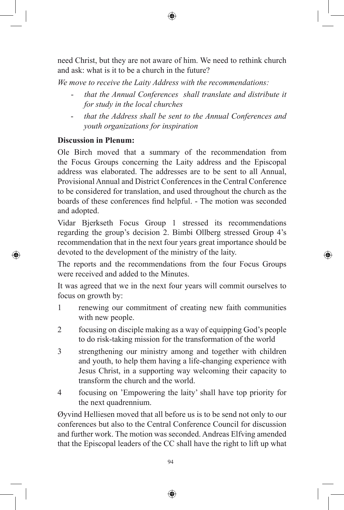need Christ, but they are not aware of him. We need to rethink church and ask: what is it to be a church in the future?

*We move to receive the Laity Address with the recommendations:*

- that the Annual Conferences shall translate and distribute it *for study in the local churches*
- *that the Address shall be sent to the Annual Conferences and youth organizations for inspiration*

# **Discussion in Plenum:**

Ole Birch moved that a summary of the recommendation from the Focus Groups concerning the Laity address and the Episcopal address was elaborated. The addresses are to be sent to all Annual, Provisional Annual and District Conferences in the Central Conference to be considered for translation, and used throughout the church as the boards of these conferences find helpful. - The motion was seconded and adopted.

Vidar Bjerkseth Focus Group 1 stressed its recommendations regarding the group's decision 2. Bimbi Ollberg stressed Group 4's recommendation that in the next four years great importance should be devoted to the development of the ministry of the laity.

The reports and the recommendations from the four Focus Groups were received and added to the Minutes.

It was agreed that we in the next four years will commit ourselves to focus on growth by:

- 1 renewing our commitment of creating new faith communities with new people.
- 2 focusing on disciple making as a way of equipping God's people to do risk-taking mission for the transformation of the world
- 3 strengthening our ministry among and together with children and youth, to help them having a life-changing experience with Jesus Christ, in a supporting way welcoming their capacity to transform the church and the world.
- 4 focusing on 'Empowering the laity' shall have top priority for the next quadrennium.

Øyvind Helliesen moved that all before us is to be send not only to our conferences but also to the Central Conference Council for discussion and further work. The motion was seconded. Andreas Elfving amended that the Episcopal leaders of the CC shall have the right to lift up what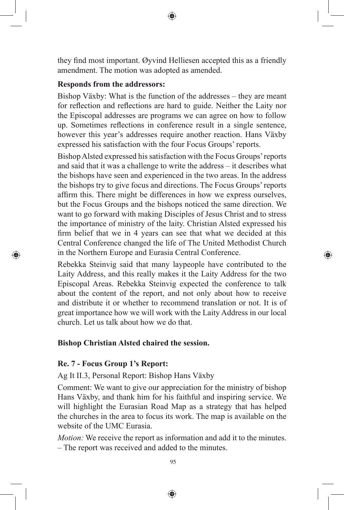they find most important. Øyvind Helliesen accepted this as a friendly amendment. The motion was adopted as amended.

#### **Responds from the addressors:**

Bishop Växby: What is the function of the addresses – they are meant for reflection and reflections are hard to guide. Neither the Laity nor the Episcopal addresses are programs we can agree on how to follow up. Sometimes reflections in conference result in a single sentence, however this year's addresses require another reaction. Hans Växby expressed his satisfaction with the four Focus Groups' reports.

Bishop Alsted expressed his satisfaction with the Focus Groups' reports and said that it was a challenge to write the address – it describes what the bishops have seen and experienced in the two areas. In the address the bishops try to give focus and directions. The Focus Groups' reports affirm this. There might be differences in how we express ourselves, but the Focus Groups and the bishops noticed the same direction. We want to go forward with making Disciples of Jesus Christ and to stress the importance of ministry of the laity. Christian Alsted expressed his firm belief that we in 4 years can see that what we decided at this Central Conference changed the life of The United Methodist Church in the Northern Europe and Eurasia Central Conference.

Rebekka Steinvig said that many laypeople have contributed to the Laity Address, and this really makes it the Laity Address for the two Episcopal Areas. Rebekka Steinvig expected the conference to talk about the content of the report, and not only about how to receive and distribute it or whether to recommend translation or not. It is of great importance how we will work with the Laity Address in our local church. Let us talk about how we do that.

# **Bishop Christian Alsted chaired the session.**

# **Re. 7 - Focus Group 1's Report:**

Ag It II.3, Personal Report: Bishop Hans Växby

Comment: We want to give our appreciation for the ministry of bishop Hans Växby, and thank him for his faithful and inspiring service. We will highlight the Eurasian Road Map as a strategy that has helped the churches in the area to focus its work. The map is available on the website of the UMC Eurasia.

*Motion:* We receive the report as information and add it to the minutes. – The report was received and added to the minutes.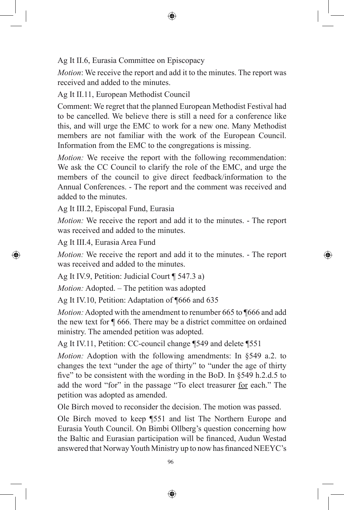Ag It II.6, Eurasia Committee on Episcopacy

*Motion*: We receive the report and add it to the minutes. The report was received and added to the minutes.

Ag It II.11, European Methodist Council

Comment: We regret that the planned European Methodist Festival had to be cancelled. We believe there is still a need for a conference like this, and will urge the EMC to work for a new one. Many Methodist members are not familiar with the work of the European Council. Information from the EMC to the congregations is missing.

*Motion:* We receive the report with the following recommendation: We ask the CC Council to clarify the role of the EMC, and urge the members of the council to give direct feedback/information to the Annual Conferences. - The report and the comment was received and added to the minutes.

Ag It III.2, Episcopal Fund, Eurasia

*Motion:* We receive the report and add it to the minutes. - The report was received and added to the minutes.

Ag It III.4, Eurasia Area Fund

*Motion:* We receive the report and add it to the minutes. - The report was received and added to the minutes.

Ag It IV.9, Petition: Judicial Court ¶ 547.3 a)

*Motion:* Adopted. – The petition was adopted

Ag It IV.10, Petition: Adaptation of ¶666 and 635

*Motion:* Adopted with the amendment to renumber 665 to ¶666 and add the new text for ¶ 666. There may be a district committee on ordained ministry. The amended petition was adopted.

Ag It IV.11, Petition: CC-council change ¶549 and delete ¶551

*Motion:* Adoption with the following amendments: In §549 a.2. to changes the text "under the age of thirty" to "under the age of thirty five" to be consistent with the wording in the BoD. In §549 h.2.d.5 to add the word "for" in the passage "To elect treasurer for each." The petition was adopted as amended.

Ole Birch moved to reconsider the decision. The motion was passed.

Ole Birch moved to keep ¶551 and list The Northern Europe and Eurasia Youth Council. On Bimbi Ollberg's question concerning how the Baltic and Eurasian participation will be financed, Audun Westad answered that Norway Youth Ministry up to now has financed NEEYC's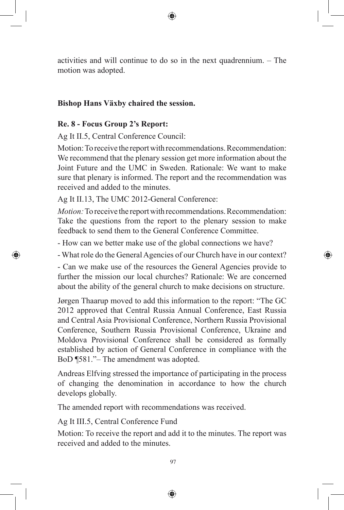activities and will continue to do so in the next quadrennium. – The motion was adopted.

## **Bishop Hans Växby chaired the session.**

#### **Re. 8 - Focus Group 2's Report:**

Ag It II.5, Central Conference Council:

Motion: To receive the report with recommendations. Recommendation: We recommend that the plenary session get more information about the Joint Future and the UMC in Sweden. Rationale: We want to make sure that plenary is informed. The report and the recommendation was received and added to the minutes.

Ag It II.13, The UMC 2012-General Conference:

*Motion:* To receive the report with recommendations. Recommendation: Take the questions from the report to the plenary session to make feedback to send them to the General Conference Committee.

- How can we better make use of the global connections we have?

- What role do the General Agencies of our Church have in our context?

- Can we make use of the resources the General Agencies provide to further the mission our local churches? Rationale: We are concerned about the ability of the general church to make decisions on structure.

Jørgen Thaarup moved to add this information to the report: "The GC 2012 approved that Central Russia Annual Conference, East Russia and Central Asia Provisional Conference, Northern Russia Provisional Conference, Southern Russia Provisional Conference, Ukraine and Moldova Provisional Conference shall be considered as formally established by action of General Conference in compliance with the BoD ¶581."– The amendment was adopted.

Andreas Elfving stressed the importance of participating in the process of changing the denomination in accordance to how the church develops globally.

The amended report with recommendations was received.

Ag It III.5, Central Conference Fund

Motion: To receive the report and add it to the minutes. The report was received and added to the minutes.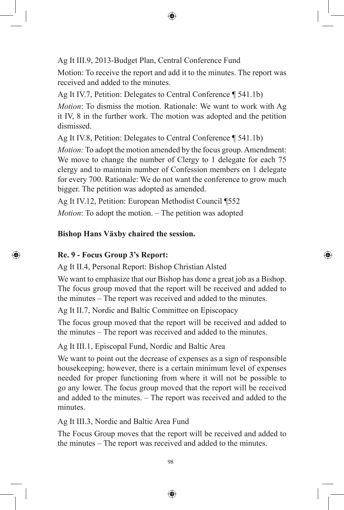Ag It III.9, 2013-Budget Plan, Central Conference Fund

Motion: To receive the report and add it to the minutes. The report was received and added to the minutes.

Ag It IV.7, Petition: Delegates to Central Conference ¶ 541.1b)

*Motion*: To dismiss the motion. Rationale: We want to work with Ag it IV, 8 in the further work. The motion was adopted and the petition dismissed.

Ag It IV.8, Petition: Delegates to Central Conference ¶ 541.1b)

*Motion:* To adopt the motion amended by the focus group. Amendment: We move to change the number of Clergy to 1 delegate for each 75 clergy and to maintain number of Confession members on 1 delegate for every 700. Rationale: We do not want the conference to grow much bigger. The petition was adopted as amended.

Ag It IV.12, Petition: European Methodist Council ¶552

*Motion*: To adopt the motion. – The petition was adopted

# **Bishop Hans Växby chaired the session.**

# **Re. 9 - Focus Group 3's Report:**

Ag It II.4, Personal Report: Bishop Christian Alsted

We want to emphasize that our Bishop has done a great job as a Bishop. The focus group moved that the report will be received and added to the minutes – The report was received and added to the minutes.

Ag It II.7, Nordic and Baltic Committee on Episcopacy

The focus group moved that the report will be received and added to the minutes – The report was received and added to the minutes.

Ag It III.1, Episcopal Fund, Nordic and Baltic Area

We want to point out the decrease of expenses as a sign of responsible housekeeping; however, there is a certain minimum level of expenses needed for proper functioning from where it will not be possible to go any lower. The focus group moved that the report will be received and added to the minutes. – The report was received and added to the minutes.

Ag It III.3, Nordic and Baltic Area Fund

The Focus Group moves that the report will be received and added to the minutes – The report was received and added to the minutes.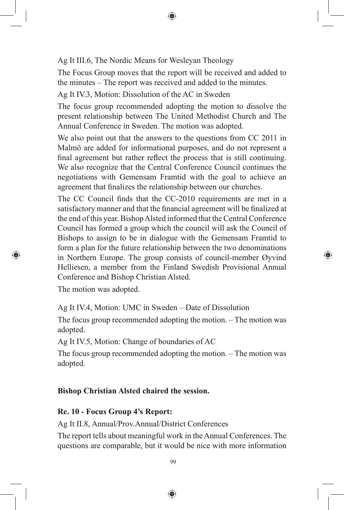Ag It III.6, The Nordic Means for Wesleyan Theology

The Focus Group moves that the report will be received and added to the minutes – The report was received and added to the minutes.

Ag It IV.3, Motion: Dissolution of the AC in Sweden

The focus group recommended adopting the motion to dissolve the present relationship between The United Methodist Church and The Annual Conference in Sweden. The motion was adopted.

We also point out that the answers to the questions from CC 2011 in Malmö are added for informational purposes, and do not represent a final agreement but rather reflect the process that is still continuing. We also recognize that the Central Conference Council continues the negotiations with Gemensam Framtid with the goal to achieve an agreement that finalizes the relationship between our churches.

The CC Council finds that the CC-2010 requirements are met in a satisfactory manner and that the financial agreement will be finalized at the end of this year. Bishop Alsted informed that the Central Conference Council has formed a group which the council will ask the Council of Bishops to assign to be in dialogue with the Gemensam Framtid to form a plan for the future relationship between the two denominations in Northern Europe. The group consists of council-member Øyvind Helliesen, a member from the Finland Swedish Provisional Annual Conference and Bishop Christian Alsted.

The motion was adopted.

Ag It IV.4, Motion: UMC in Sweden – Date of Dissolution

The focus group recommended adopting the motion. – The motion was adopted.

Ag It IV.5, Motion: Change of boundaries of AC

The focus group recommended adopting the motion. – The motion was adopted.

# **Bishop Christian Alsted chaired the session.**

# **Re. 10 - Focus Group 4's Report:**

Ag It II.8, Annual/Prov.Annual/District Conferences

The report tells about meaningful work in the Annual Conferences. The questions are comparable, but it would be nice with more information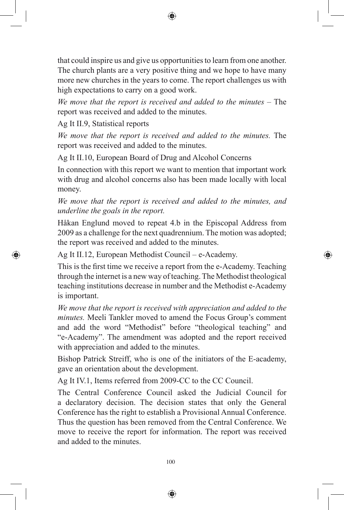that could inspire us and give us opportunities to learn from one another. The church plants are a very positive thing and we hope to have many more new churches in the years to come. The report challenges us with high expectations to carry on a good work.

*We move that the report is received and added to the minutes* – The report was received and added to the minutes.

Ag It II.9, Statistical reports

*We move that the report is received and added to the minutes.* The report was received and added to the minutes.

Ag It II.10, European Board of Drug and Alcohol Concerns

In connection with this report we want to mention that important work with drug and alcohol concerns also has been made locally with local money.

*We move that the report is received and added to the minutes, and underline the goals in the report.*

Håkan Englund moved to repeat 4.b in the Episcopal Address from 2009 as a challenge for the next quadrennium. The motion was adopted; the report was received and added to the minutes.

Ag It II.12, European Methodist Council – e-Academy.

This is the first time we receive a report from the e-Academy. Teaching through the internet is a new way of teaching. The Methodist theological teaching institutions decrease in number and the Methodist e-Academy is important.

*We move that the report is received with appreciation and added to the minutes.* Meeli Tankler moved to amend the Focus Group's comment and add the word "Methodist" before "theological teaching" and "e-Academy". The amendment was adopted and the report received with appreciation and added to the minutes.

Bishop Patrick Streiff, who is one of the initiators of the E-academy, gave an orientation about the development.

Ag It IV.1, Items referred from 2009-CC to the CC Council.

The Central Conference Council asked the Judicial Council for a declaratory decision. The decision states that only the General Conference has the right to establish a Provisional Annual Conference. Thus the question has been removed from the Central Conference. We move to receive the report for information. The report was received and added to the minutes.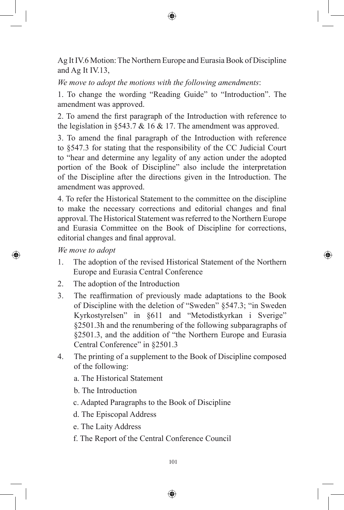Ag It IV.6 Motion: The Northern Europe and Eurasia Book of Discipline and Ag It IV.13,

*We move to adopt the motions with the following amendments*:

1. To change the wording "Reading Guide" to "Introduction". The amendment was approved.

2. To amend the first paragraph of the Introduction with reference to the legislation in  $\S 543.7 \& 16 \& 17$ . The amendment was approved.

3. To amend the final paragraph of the Introduction with reference to §547.3 for stating that the responsibility of the CC Judicial Court to "hear and determine any legality of any action under the adopted portion of the Book of Discipline" also include the interpretation of the Discipline after the directions given in the Introduction. The amendment was approved.

4. To refer the Historical Statement to the committee on the discipline to make the necessary corrections and editorial changes and final approval. The Historical Statement was referred to the Northern Europe and Eurasia Committee on the Book of Discipline for corrections, editorial changes and final approval.

*We move to adopt*

- 1. The adoption of the revised Historical Statement of the Northern Europe and Eurasia Central Conference
- 2. The adoption of the Introduction
- 3. The reaffirmation of previously made adaptations to the Book of Discipline with the deletion of "Sweden" §547.3; "in Sweden Kyrkostyrelsen" in §611 and "Metodistkyrkan i Sverige" §2501.3h and the renumbering of the following subparagraphs of §2501.3, and the addition of "the Northern Europe and Eurasia Central Conference" in §2501.3
- 4. The printing of a supplement to the Book of Discipline composed of the following:
	- a. The Historical Statement
	- b. The Introduction
	- c. Adapted Paragraphs to the Book of Discipline
	- d. The Episcopal Address
	- e. The Laity Address
	- f. The Report of the Central Conference Council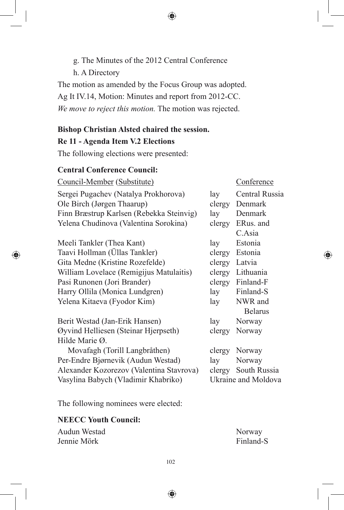g. The Minutes of the 2012 Central Conference h. A Directory The motion as amended by the Focus Group was adopted. Ag It IV.14, Motion: Minutes and report from 2012-CC. *We move to reject this motion.* The motion was rejected.

# **Bishop Christian Alsted chaired the session.**

# **Re 11 - Agenda Item V.2 Elections**

The following elections were presented:

## **Central Conference Council:**

| Council-Member (Substitute)              |                     | Conference          |
|------------------------------------------|---------------------|---------------------|
| Sergei Pugachev (Natalya Prokhorova)     | lay                 | Central Russia      |
| Ole Birch (Jørgen Thaarup)               |                     | clergy Denmark      |
| Finn Bræstrup Karlsen (Rebekka Steinvig) | lay                 | Denmark             |
| Yelena Chudinova (Valentina Sorokina)    | clergy              | ERus. and           |
|                                          |                     | C.Asia              |
| Meeli Tankler (Thea Kant)                | lay                 | Estonia             |
| Taavi Hollman (Üllas Tankler)            | clergy              | Estonia             |
| Gita Medne (Kristine Rozefelde)          | clergy              | Latvia              |
| William Lovelace (Remigijus Matulaitis)  | clergy              | Lithuania           |
| Pasi Runonen (Jori Brander)              | clergy              | Finland-F           |
| Harry Ollila (Monica Lundgren)           | lay                 | Finland-S           |
| Yelena Kitaeva (Fyodor Kim)              | lay                 | NWR and             |
|                                          |                     | <b>Belarus</b>      |
| Berit Westad (Jan-Erik Hansen)           | lay                 | Norway              |
| Øyvind Helliesen (Steinar Hjerpseth)     | clergy              | Norway              |
| Hilde Marie Ø.                           |                     |                     |
| Movafagh (Torill Langbråthen)            | clergy              | Norway              |
| Per-Endre Bjørnevik (Audun Westad)       | lay                 | Norway              |
| Alexander Kozorezov (Valentina Stavrova) |                     | clergy South Russia |
| Vasylina Babych (Vladimir Khabriko)      | Ukraine and Moldova |                     |

The following nominees were elected:

# **NEECC Youth Council:**

Audun Westad Norway Jennie Mörk Finland-S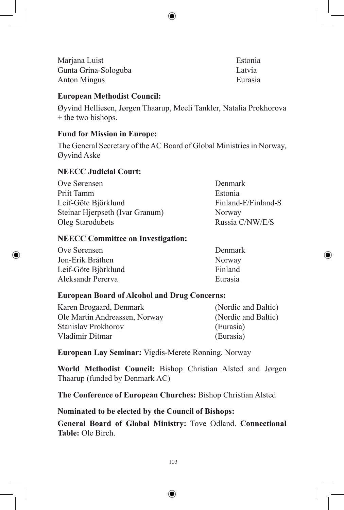Marjana Luist Estonia Gunta Grina-Sologuba Latvia Anton Mingus Eurasia

#### **European Methodist Council:**

Øyvind Helliesen, Jørgen Thaarup, Meeli Tankler, Natalia Prokhorova + the two bishops.

#### **Fund for Mission in Europe:**

The General Secretary of the AC Board of Global Ministries in Norway, Øyvind Aske

#### **NEECC Judicial Court:**

| Ove Sørensen                    | Denmark             |
|---------------------------------|---------------------|
| Prijt Tamm                      | Estonia             |
| Leif-Göte Björklund             | Finland-F/Finland-S |
| Steinar Hjerpseth (Ivar Granum) | Norway              |
| Oleg Starodubets                | Russia C/NW/E/S     |

#### **NEECC Committee on Investigation:**

| Ove Sørensen        | Denmark |
|---------------------|---------|
| Jon-Erik Bråthen    | Norway  |
| Leif-Göte Björklund | Finland |
| Aleksandr Pererva   | Eurasia |

#### **European Board of Alcohol and Drug Concerns:**

| Karen Brogaard, Denmark       | (Nordic and Baltic) |
|-------------------------------|---------------------|
| Ole Martin Andreassen, Norway | (Nordic and Baltic) |
| Stanislav Prokhorov           | (Eurasia)           |
| Vladimir Ditmar               | (Eurasia)           |
|                               |                     |

**European Lay Seminar:** Vigdis-Merete Rønning, Norway

**World Methodist Council:** Bishop Christian Alsted and Jørgen Thaarup (funded by Denmark AC)

**The Conference of European Churches:** Bishop Christian Alsted

#### **Nominated to be elected by the Council of Bishops:**

**General Board of Global Ministry:** Tove Odland. **Connectional Table:** Ole Birch.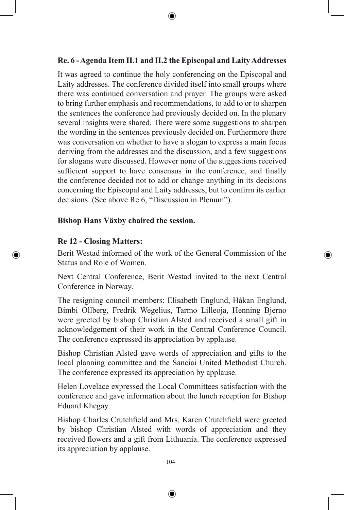## **Re. 6 - Agenda Item II.1 and II.2 the Episcopal and Laity Addresses**

It was agreed to continue the holy conferencing on the Episcopal and Laity addresses. The conference divided itself into small groups where there was continued conversation and prayer. The groups were asked to bring further emphasis and recommendations, to add to or to sharpen the sentences the conference had previously decided on. In the plenary several insights were shared. There were some suggestions to sharpen the wording in the sentences previously decided on. Furthermore there was conversation on whether to have a slogan to express a main focus deriving from the addresses and the discussion, and a few suggestions for slogans were discussed. However none of the suggestions received sufficient support to have consensus in the conference, and finally the conference decided not to add or change anything in its decisions concerning the Episcopal and Laity addresses, but to confirm its earlier decisions. (See above Re.6, "Discussion in Plenum").

#### **Bishop Hans Växby chaired the session.**

#### **Re 12 - Closing Matters:**

Berit Westad informed of the work of the General Commission of the Status and Role of Women.

Next Central Conference, Berit Westad invited to the next Central Conference in Norway.

The resigning council members: Elisabeth Englund, Håkan Englund, Bimbi Ollberg, Fredrik Wegelius, Tarmo Lilleoja, Henning Bjerno were greeted by bishop Christian Alsted and received a small gift in acknowledgement of their work in the Central Conference Council. The conference expressed its appreciation by applause.

Bishop Christian Alsted gave words of appreciation and gifts to the local planning committee and the Šanciai United Methodist Church. The conference expressed its appreciation by applause.

Helen Lovelace expressed the Local Committees satisfaction with the conference and gave information about the lunch reception for Bishop Eduard Khegay.

Bishop Charles Crutchfield and Mrs. Karen Crutchfield were greeted by bishop Christian Alsted with words of appreciation and they received flowers and a gift from Lithuania. The conference expressed its appreciation by applause.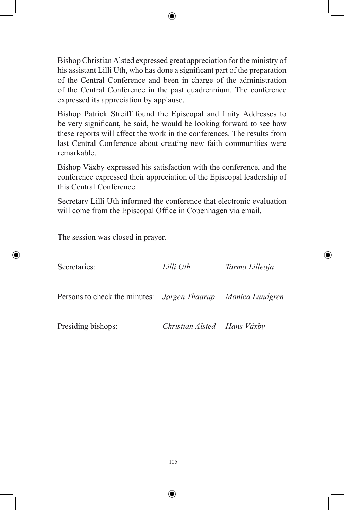Bishop Christian Alsted expressed great appreciation for the ministry of his assistant Lilli Uth, who has done a significant part of the preparation of the Central Conference and been in charge of the administration of the Central Conference in the past quadrennium. The conference expressed its appreciation by applause.

Bishop Patrick Streiff found the Episcopal and Laity Addresses to be very significant, he said, he would be looking forward to see how these reports will affect the work in the conferences. The results from last Central Conference about creating new faith communities were remarkable.

Bishop Växby expressed his satisfaction with the conference, and the conference expressed their appreciation of the Episcopal leadership of this Central Conference.

Secretary Lilli Uth informed the conference that electronic evaluation will come from the Episcopal Office in Copenhagen via email.

The session was closed in prayer.

| Secretaries:                                                 | Lilli Uth                   | Tarmo Lilleoja |
|--------------------------------------------------------------|-----------------------------|----------------|
| Persons to check the minutes: Jørgen Thaarup Monica Lundgren |                             |                |
| Presiding bishops:                                           | Christian Alsted Hans Växby |                |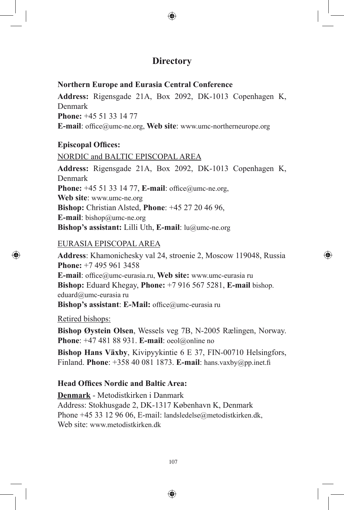# **Directory**

#### **Northern Europe and Eurasia Central Conference**

**Address:** Rigensgade 21A, Box 2092, DK-1013 Copenhagen K, Denmark **Phone:** +45 51 33 14 77

**E-mail**: office@umc-ne.org, **Web site**: www.umc-northerneurope.org

# **Episcopal Offices:**

## NORDIC and BALTIC EPISCOPAL AREA

**Address:** Rigensgade 21A, Box 2092, DK-1013 Copenhagen K, Denmark **Phone:** +45 51 33 14 77, **E-mail**: office@umc-ne.org, **Web site**: www.umc-ne.org **Bishop:** Christian Alsted, **Phone**: +45 27 20 46 96, **E-mail**: bishop@umc-ne.org **Bishop's assistant:** Lilli Uth, **E-mail**: lu@umc-ne.org

#### EURASIA EPISCOPAL AREA

**Address**: Khamonichesky val 24, stroenie 2, Moscow 119048, Russia **Phone:** +7 495 961 3458 **E-mail**: office@umc-eurasia.ru, **Web site:** www.umc-eurasia ru **Bishop:** Eduard Khegay, **Phone:** +7 916 567 5281, **E-mail** bishop. eduard@umc-eurasia ru **Bishop's assistant**: **E-Mail:** office@umc-eurasia ru

Retired bishops:

**Bishop Øystein Olsen**, Wessels veg 7B, N-2005 Rælingen, Norway. **Phone**: +47 481 88 931. **E-mail**: oeol@online no

**Bishop Hans Växby**, Kivipyykintie 6 E 37, FIN-00710 Helsingfors, Finland. **Phone**: +358 40 081 1873. **E-mail**: hans.vaxby@pp.inet.fi

# **Head Offices Nordic and Baltic Area:**

**Denmark** - Metodistkirken i Danmark Address: Stokhusgade 2, DK-1317 København K, Denmark Phone +45 33 12 96 06, E-mail: landsledelse@metodistkirken.dk, Web site: www.metodistkirken.dk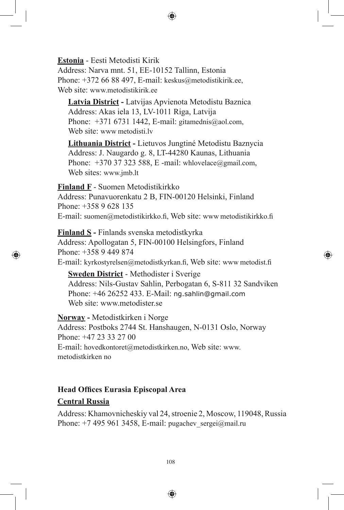**Estonia** - Eesti Metodisti Kirik Address: Narva mnt. 51, EE-10152 Tallinn, Estonia Phone: +372 66 88 497, E-mail: keskus@metodistikirik.ee, Web site: www.metodistikirik.ee

**Latvia District -** Latvijas Apvienota Metodistu Baznica Address: Akas iela 13, LV-1011 Riga, Latvija Phone: +371 6731 1442, E-mail: gitamednis@aol.com, Web site: www metodisti.lv

**Lithuania District -** Lietuvos Jungtiné Metodistu Baznycia Address: J. Naugardo g. 8, LT-44280 Kaunas, Lithuania Phone:  $+37037323588$ , E-mail: whlovelace@gmail.com, Web sites: www.jmb.lt

**Finland F** - Suomen Metodistikirkko Address: Punavuorenkatu 2 B, FIN-00120 Helsinki, Finland Phone: +358 9 628 135 E-mail: suomen@metodistikirkko.fi, Web site: www metodistikirkko.fi

**Finland S -** Finlands svenska metodistkyrka Address: Apollogatan 5, FIN-00100 Helsingfors, Finland Phone: +358 9 449 874 E-mail: kyrkostyrelsen@metodistkyrkan.fi, Web site: www metodist.fi

**Sweden District** - Methodister i Sverige Address: Nils-Gustav Sahlin, Perbogatan 6, S-811 32 Sandviken Phone: +46 26252 433. E-Mail: ng.sahlin@gmail.com Web site: www.metodister.se

**Norway -** Metodistkirken i Norge Address: Postboks 2744 St. Hanshaugen, N-0131 Oslo, Norway Phone: +47 23 33 27 00 E-mail: hovedkontoret@metodistkirken.no, Web site: www. metodistkirken no

# **Head Offices Eurasia Episcopal Area Central Russia**

Address: Khamovnicheskiy val 24, stroenie 2, Moscow, 119048, Russia Phone:  $+7$  495 961 3458, E-mail: pugachev sergei@mail.ru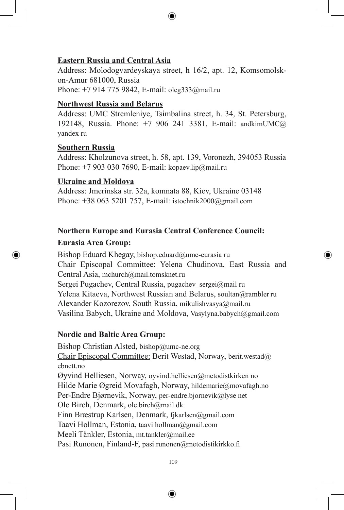## **Eastern Russia and Central Asia**

Address: Molodogvardeyskaya street, h 16/2, apt. 12, Komsomolskon-Amur 681000, Russia Phone: +7 914 775 9842, E-mail: oleg333@mail.ru

#### **Northwest Russia and Belarus**

Address: UMC Stremleniye, Tsimbalina street, h. 34, St. Petersburg, 192148, Russia. Phone: +7 906 241 3381, E-mail: andkimUMC@ yandex ru

#### **Southern Russia**

Address: Kholzunova street, h. 58, apt. 139, Voronezh, 394053 Russia Phone:  $+79030307690$ , E-mail: kopaev.lip@mail.ru

#### **Ukraine and Moldova**

Address: Jmerinska str. 32a, komnata 88, Kiev, Ukraine 03148 Phone: +38 063 5201 757, E-mail: istochnik2000@gmail.com

# **Northern Europe and Eurasia Central Conference Council: Eurasia Area Group:**

Bishop Eduard Khegay, bishop.eduard@umc-eurasia ru Chair Episcopal Committee: Yelena Chudinova, East Russia and Central Asia, mchurch@mail.tomsknet.ru Sergei Pugachev, Central Russia, pugachev sergei@mail ru Yelena Kitaeva, Northwest Russian and Belarus, soultan@rambler ru Alexander Kozorezov, South Russia, mikulishvasya@mail.ru Vasilina Babych, Ukraine and Moldova, Vasylyna.babych@gmail.com

#### **Nordic and Baltic Area Group:**

Bishop Christian Alsted, bishop@umc-ne.org Chair Episcopal Committee: Berit Westad, Norway, berit.westad@ ebnett.no Øyvind Helliesen, Norway, oyvind.helliesen@metodistkirken no Hilde Marie Øgreid Movafagh, Norway, hildemarie@movafagh.no Per-Endre Bjørnevik, Norway, per-endre.bjornevik@lyse net Ole Birch, Denmark, ole.birch@mail.dk Finn Bræstrup Karlsen, Denmark, fjkarlsen@gmail.com Taavi Hollman, Estonia, taavi hollman@gmail.com Meeli Tänkler, Estonia, mt.tankler@mail.ee Pasi Runonen, Finland-F, pasi.runonen@metodistikirkko.fi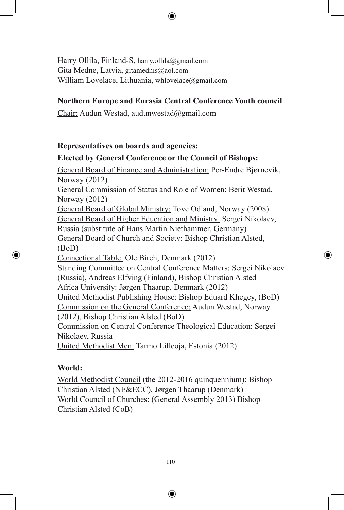Harry Ollila, Finland-S, harry.ollila@gmail.com Gita Medne, Latvia, gitamednis@aol.com William Lovelace, Lithuania, whlovelace@gmail.com

# **Northern Europe and Eurasia Central Conference Youth council**

Chair: Audun Westad, audunwestad@gmail.com

## **Representatives on boards and agencies:**

## **Elected by General Conference or the Council of Bishops:**

General Board of Finance and Administration: Per-Endre Bjørnevik, Norway (2012) General Commission of Status and Role of Women: Berit Westad, Norway (2012) General Board of Global Ministry: Tove Odland, Norway (2008) General Board of Higher Education and Ministry: Sergei Nikolaev, Russia (substitute of Hans Martin Niethammer, Germany) General Board of Church and Society: Bishop Christian Alsted, (BoD) Connectional Table: Ole Birch, Denmark (2012) Standing Committee on Central Conference Matters: Sergei Nikolaev (Russia), Andreas Elfving (Finland), Bishop Christian Alsted Africa University: Jørgen Thaarup, Denmark (2012) United Methodist Publishing House: Bishop Eduard Khegey, (BoD) Commission on the General Conference: Audun Westad, Norway (2012), Bishop Christian Alsted (BoD) Commission on Central Conference Theological Education: Sergei Nikolaev, Russia United Methodist Men: Tarmo Lilleoja, Estonia (2012)

## **World:**

World Methodist Council (the 2012-2016 quinquennium): Bishop Christian Alsted (NE&ECC), Jørgen Thaarup (Denmark) World Council of Churches: (General Assembly 2013) Bishop Christian Alsted (CoB)